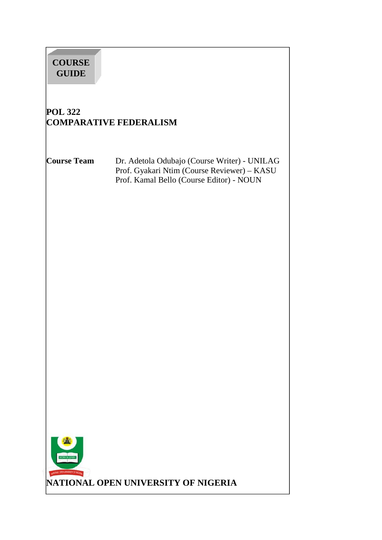# **COURSE GUIDE**

# **POL 322 COMPARATIVE FEDERALISM**

**Course Team** Dr. Adetola Odubajo (Course Writer) - UNILAG Prof. Gyakari Ntim (Course Reviewer) – KASU Prof. Kamal Bello (Course Editor) - NOUN

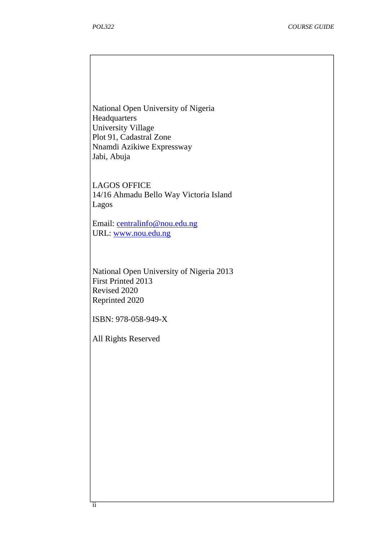National Open University of Nigeria **Headquarters** University Village Plot 91, Cadastral Zone Nnamdi Azikiwe Expressway Jabi, Abuja

LAGOS OFFICE 14/16 Ahmadu Bello Way Victoria Island Lagos

Email: centralinfo@nou.edu.ng URL: www.nou.edu.ng

National Open University of Nigeria 2013 First Printed 2013 Revised 2020 Reprinted 2020

ISBN: 978-058-949-X

All Rights Reserved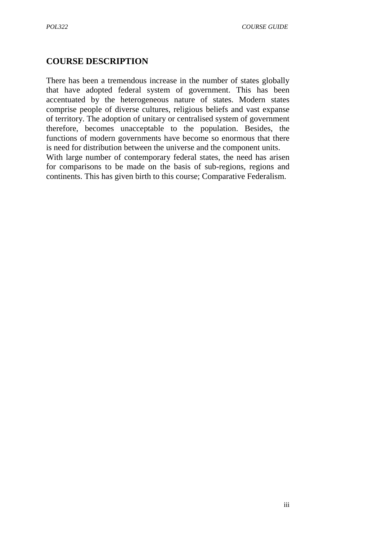# **COURSE DESCRIPTION**

There has been a tremendous increase in the number of states globally that have adopted federal system of government. This has been accentuated by the heterogeneous nature of states. Modern states comprise people of diverse cultures, religious beliefs and vast expanse of territory. The adoption of unitary or centralised system of government therefore, becomes unacceptable to the population. Besides, the functions of modern governments have become so enormous that there is need for distribution between the universe and the component units. With large number of contemporary federal states, the need has arisen for comparisons to be made on the basis of sub-regions, regions and

continents. This has given birth to this course; Comparative Federalism.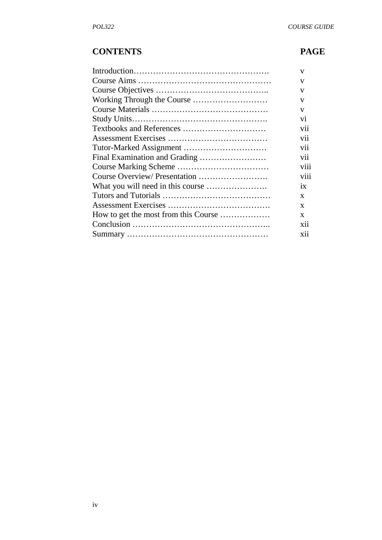# **CONTENTS PAGE**

| V                |
|------------------|
| V                |
| V                |
| V                |
| $\mathbf{V}$     |
| V1               |
| vii              |
| V11              |
| V11              |
| vii              |
| V111             |
| .<br><b>V111</b> |
| 1X               |
| X                |
| X                |
| X                |
| X11              |
| X11              |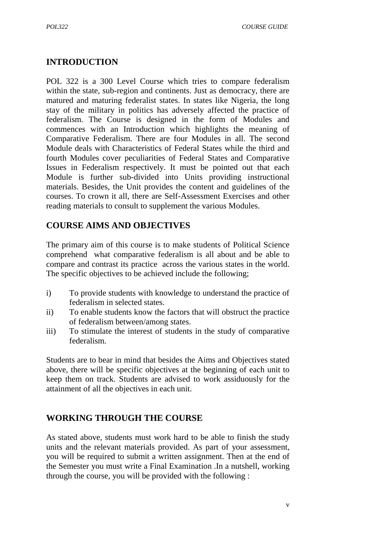# **INTRODUCTION**

POL 322 is a 300 Level Course which tries to compare federalism within the state, sub-region and continents. Just as democracy, there are matured and maturing federalist states. In states like Nigeria, the long stay of the military in politics has adversely affected the practice of federalism. The Course is designed in the form of Modules and commences with an Introduction which highlights the meaning of Comparative Federalism. There are four Modules in all. The second Module deals with Characteristics of Federal States while the third and fourth Modules cover peculiarities of Federal States and Comparative Issues in Federalism respectively. It must be pointed out that each Module is further sub-divided into Units providing instructional materials. Besides, the Unit provides the content and guidelines of the courses. To crown it all, there are Self-Assessment Exercises and other reading materials to consult to supplement the various Modules.

# **COURSE AIMS AND OBJECTIVES**

The primary aim of this course is to make students of Political Science comprehend what comparative federalism is all about and be able to compare and contrast its practice across the various states in the world. The specific objectives to be achieved include the following;

- i) To provide students with knowledge to understand the practice of federalism in selected states.
- ii) To enable students know the factors that will obstruct the practice of federalism between/among states.
- iii) To stimulate the interest of students in the study of comparative federalism.

Students are to bear in mind that besides the Aims and Objectives stated above, there will be specific objectives at the beginning of each unit to keep them on track. Students are advised to work assiduously for the attainment of all the objectives in each unit.

# **WORKING THROUGH THE COURSE**

As stated above, students must work hard to be able to finish the study units and the relevant materials provided. As part of your assessment, you will be required to submit a written assignment. Then at the end of the Semester you must write a Final Examination .In a nutshell, working through the course, you will be provided with the following :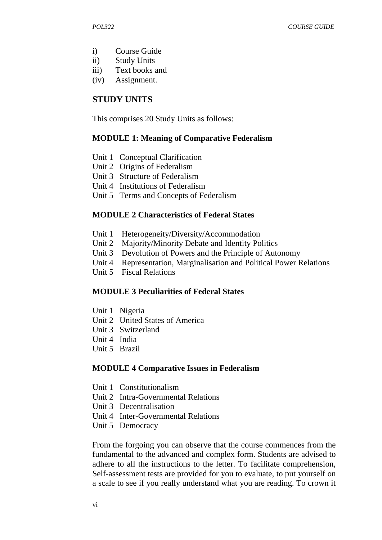- i) Course Guide
- ii) Study Units
- iii) Text books and
- (iv) Assignment.

## **STUDY UNITS**

This comprises 20 Study Units as follows:

#### **MODULE 1: Meaning of Comparative Federalism**

- Unit 1 Conceptual Clarification
- Unit 2 Origins of Federalism
- Unit 3 Structure of Federalism
- Unit 4 Institutions of Federalism
- Unit 5 Terms and Concepts of Federalism

#### **MODULE 2 Characteristics of Federal States**

- Unit 1 Heterogeneity/Diversity/Accommodation
- Unit 2 Majority/Minority Debate and Identity Politics
- Unit 3 Devolution of Powers and the Principle of Autonomy
- Unit 4 Representation, Marginalisation and Political Power Relations
- Unit 5 Fiscal Relations

#### **MODULE 3 Peculiarities of Federal States**

- Unit 1 Nigeria
- Unit 2 United States of America
- Unit 3 Switzerland
- Unit 4 India
- Unit 5 Brazil

#### **MODULE 4 Comparative Issues in Federalism**

- Unit 1 Constitutionalism
- Unit 2 Intra-Governmental Relations
- Unit 3 Decentralisation
- Unit 4 Inter-Governmental Relations
- Unit 5 Democracy

From the forgoing you can observe that the course commences from the fundamental to the advanced and complex form. Students are advised to adhere to all the instructions to the letter. To facilitate comprehension, Self-assessment tests are provided for you to evaluate, to put yourself on a scale to see if you really understand what you are reading. To crown it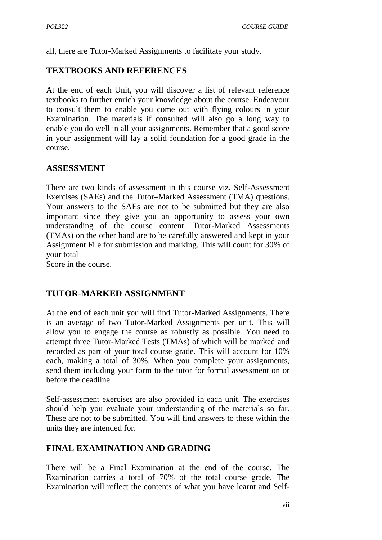all, there are Tutor-Marked Assignments to facilitate your study.

# **TEXTBOOKS AND REFERENCES**

At the end of each Unit, you will discover a list of relevant reference textbooks to further enrich your knowledge about the course. Endeavour to consult them to enable you come out with flying colours in your Examination. The materials if consulted will also go a long way to enable you do well in all your assignments. Remember that a good score in your assignment will lay a solid foundation for a good grade in the course.

# **ASSESSMENT**

There are two kinds of assessment in this course viz. Self-Assessment Exercises (SAEs) and the Tutor–Marked Assessment (TMA) questions. Your answers to the SAEs are not to be submitted but they are also important since they give you an opportunity to assess your own understanding of the course content. Tutor-Marked Assessments (TMAs) on the other hand are to be carefully answered and kept in your Assignment File for submission and marking. This will count for 30% of your total

Score in the course.

# **TUTOR-MARKED ASSIGNMENT**

At the end of each unit you will find Tutor-Marked Assignments. There is an average of two Tutor-Marked Assignments per unit. This will allow you to engage the course as robustly as possible. You need to attempt three Tutor-Marked Tests (TMAs) of which will be marked and recorded as part of your total course grade. This will account for 10% each, making a total of 30%. When you complete your assignments, send them including your form to the tutor for formal assessment on or before the deadline.

Self-assessment exercises are also provided in each unit. The exercises should help you evaluate your understanding of the materials so far. These are not to be submitted. You will find answers to these within the units they are intended for.

# **FINAL EXAMINATION AND GRADING**

There will be a Final Examination at the end of the course. The Examination carries a total of 70% of the total course grade. The Examination will reflect the contents of what you have learnt and Self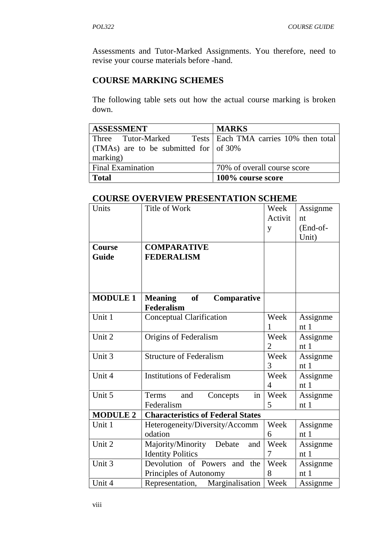Assessments and Tutor-Marked Assignments. You therefore, need to revise your course materials before -hand.

# **COURSE MARKING SCHEMES**

The following table sets out how the actual course marking is broken down.

| <b>ASSESSMENT</b>                              | <b>MARKS</b>                                             |
|------------------------------------------------|----------------------------------------------------------|
|                                                | Three Tutor-Marked Tests Each TMA carries 10% then total |
| (TMAs) are to be submitted for $\sigma$ of 30% |                                                          |
| marking)                                       |                                                          |
| <b>Final Examination</b>                       | 70% of overall course score                              |
| <b>Total</b>                                   | 100% course score                                        |

# **COURSE OVERVIEW PRESENTATION SCHEME**

| Units           | 1 REDERT LITTLE TO<br>Title of Work      | Week           |                 |
|-----------------|------------------------------------------|----------------|-----------------|
|                 |                                          | Activit        | Assignme        |
|                 |                                          |                | nt              |
|                 |                                          | y              | $(End-of-$      |
|                 |                                          |                | Unit)           |
| Course          | <b>COMPARATIVE</b>                       |                |                 |
| Guide           | <b>FEDERALISM</b>                        |                |                 |
|                 |                                          |                |                 |
|                 |                                          |                |                 |
| <b>MODULE 1</b> | <b>Meaning</b><br>of<br>Comparative      |                |                 |
|                 | <b>Federalism</b>                        |                |                 |
| Unit 1          | Conceptual Clarification                 | Week           | Assignme        |
|                 |                                          | 1              | nt1             |
| Unit 2          | Origins of Federalism                    | Week           | Assignme        |
|                 |                                          | $\overline{2}$ | nt1             |
| Unit 3          | <b>Structure of Federalism</b>           | Week           | Assignme        |
|                 |                                          | 3              | nt1             |
| Unit 4          | <b>Institutions of Federalism</b>        | Week           | Assignme        |
|                 |                                          | $\overline{4}$ | nt <sub>1</sub> |
| Unit 5          | Terms<br>and<br>Concepts<br>in           | Week           | Assignme        |
|                 | Federalism                               | 5              | nt <sub>1</sub> |
| <b>MODULE 2</b> | <b>Characteristics of Federal States</b> |                |                 |
| Unit 1          | Heterogeneity/Diversity/Accomm           | Week           | Assignme        |
|                 | odation                                  | 6              | nt1             |
| Unit 2          | Majority/Minority<br>Debate<br>and       | Week           | Assignme        |
|                 |                                          | 7              | nt1             |
|                 | <b>Identity Politics</b>                 | Week           |                 |
| Unit 3          | Devolution of Powers and the             |                | Assignme        |
|                 | 8<br>Principles of Autonomy              |                | nt1             |
| Unit 4          | Representation,<br>Marginalisation       | Week           | Assignme        |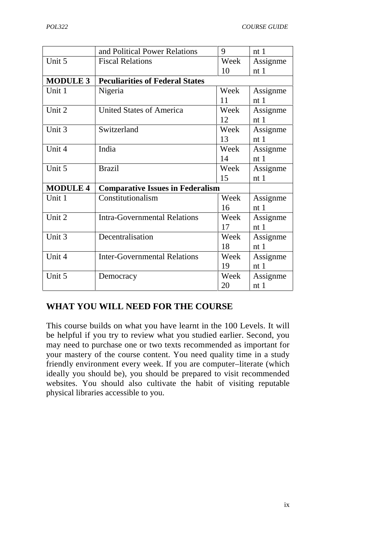|                 | and Political Power Relations           | 9    | nt1             |
|-----------------|-----------------------------------------|------|-----------------|
|                 |                                         |      |                 |
| Unit 5          | <b>Fiscal Relations</b>                 | Week | Assignme        |
|                 |                                         | 10   | nt1             |
| <b>MODULE 3</b> | <b>Peculiarities of Federal States</b>  |      |                 |
| Unit 1          | Nigeria                                 | Week | Assignme        |
|                 |                                         | 11   | nt1             |
| Unit 2          | <b>United States of America</b>         | Week | Assignme        |
|                 |                                         | 12   | nt <sub>1</sub> |
| Unit 3          | Switzerland                             | Week | Assignme        |
|                 |                                         | 13   | nt1             |
| Unit 4          | India                                   | Week | Assignme        |
|                 |                                         | 14   | nt1             |
| Unit 5          | <b>Brazil</b>                           | Week | Assignme        |
|                 |                                         | 15   | nt <sub>1</sub> |
| <b>MODULE 4</b> | <b>Comparative Issues in Federalism</b> |      |                 |
| Unit 1          | Constitutionalism                       | Week | Assignme        |
|                 |                                         | 16   | nt1             |
| Unit 2          | <b>Intra-Governmental Relations</b>     | Week | Assignme        |
|                 |                                         | 17   | nt1             |
| Unit 3          | Decentralisation                        | Week | Assignme        |
|                 |                                         | 18   | nt1             |
| Unit 4          | <b>Inter-Governmental Relations</b>     | Week | Assignme        |
|                 |                                         | 19   | nt1             |
| Unit 5          | Democracy                               | Week | Assignme        |
|                 |                                         | 20   | nt <sub>1</sub> |

# **WHAT YOU WILL NEED FOR THE COURSE**

This course builds on what you have learnt in the 100 Levels. It will be helpful if you try to review what you studied earlier. Second, you may need to purchase one or two texts recommended as important for your mastery of the course content. You need quality time in a study friendly environment every week. If you are computer–literate (which ideally you should be), you should be prepared to visit recommended websites. You should also cultivate the habit of visiting reputable physical libraries accessible to you.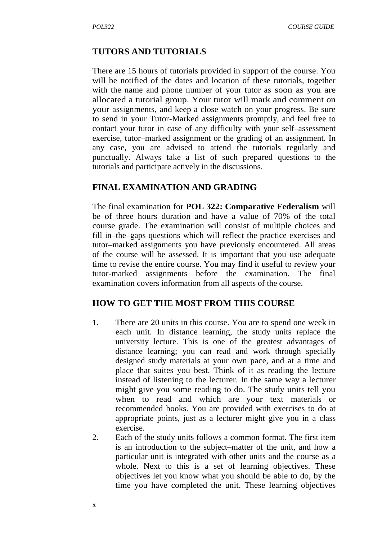#### **TUTORS AND TUTORIALS**

There are 15 hours of tutorials provided in support of the course. You will be notified of the dates and location of these tutorials, together with the name and phone number of your tutor as soon as you are allocated a tutorial group. Your tutor will mark and comment on your assignments, and keep a close watch on your progress. Be sure to send in your Tutor-Marked assignments promptly, and feel free to contact your tutor in case of any difficulty with your self–assessment exercise, tutor–marked assignment or the grading of an assignment. In any case, you are advised to attend the tutorials regularly and punctually. Always take a list of such prepared questions to the tutorials and participate actively in the discussions.

#### **FINAL EXAMINATION AND GRADING**

The final examination for **POL 322: Comparative Federalism** will be of three hours duration and have a value of 70% of the total course grade. The examination will consist of multiple choices and fill in–the–gaps questions which will reflect the practice exercises and tutor–marked assignments you have previously encountered. All areas of the course will be assessed. It is important that you use adequate time to revise the entire course. You may find it useful to review your tutor-marked assignments before the examination. The final examination covers information from all aspects of the course.

#### **HOW TO GET THE MOST FROM THIS COURSE**

- 1. There are 20 units in this course. You are to spend one week in each unit. In distance learning, the study units replace the university lecture. This is one of the greatest advantages of distance learning; you can read and work through specially designed study materials at your own pace, and at a time and place that suites you best. Think of it as reading the lecture instead of listening to the lecturer. In the same way a lecturer might give you some reading to do. The study units tell you when to read and which are your text materials or recommended books. You are provided with exercises to do at appropriate points, just as a lecturer might give you in a class exercise.
- 2. Each of the study units follows a common format. The first item is an introduction to the subject–matter of the unit, and how a particular unit is integrated with other units and the course as a whole. Next to this is a set of learning objectives. These objectives let you know what you should be able to do, by the time you have completed the unit. These learning objectives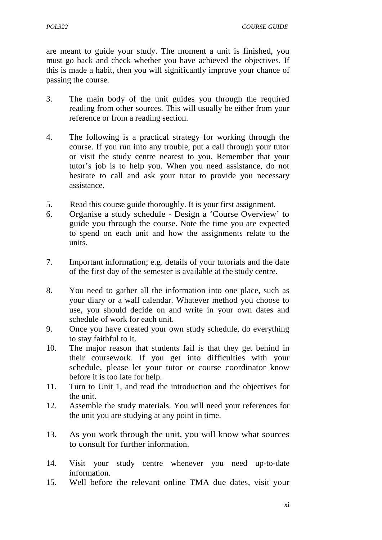are meant to guide your study. The moment a unit is finished, you must go back and check whether you have achieved the objectives. If this is made a habit, then you will significantly improve your chance of passing the course.

- 3. The main body of the unit guides you through the required reading from other sources. This will usually be either from your reference or from a reading section.
- 4. The following is a practical strategy for working through the course. If you run into any trouble, put a call through your tutor or visit the study centre nearest to you. Remember that your tutor's job is to help you. When you need assistance, do not hesitate to call and ask your tutor to provide you necessary assistance.
- 5. Read this course guide thoroughly. It is your first assignment.
- 6. Organise a study schedule Design a 'Course Overview' to guide you through the course. Note the time you are expected to spend on each unit and how the assignments relate to the units.
- 7. Important information; e.g. details of your tutorials and the date of the first day of the semester is available at the study centre.
- 8. You need to gather all the information into one place, such as your diary or a wall calendar. Whatever method you choose to use, you should decide on and write in your own dates and schedule of work for each unit.
- 9. Once you have created your own study schedule, do everything to stay faithful to it.
- 10. The major reason that students fail is that they get behind in their coursework. If you get into difficulties with your schedule, please let your tutor or course coordinator know before it is too late for help.
- 11. Turn to Unit 1, and read the introduction and the objectives for the unit.
- 12. Assemble the study materials. You will need your references for the unit you are studying at any point in time.
- 13. As you work through the unit, you will know what sources to consult for further information.
- 14. Visit your study centre whenever you need up-to-date information.
- 15. Well before the relevant online TMA due dates, visit your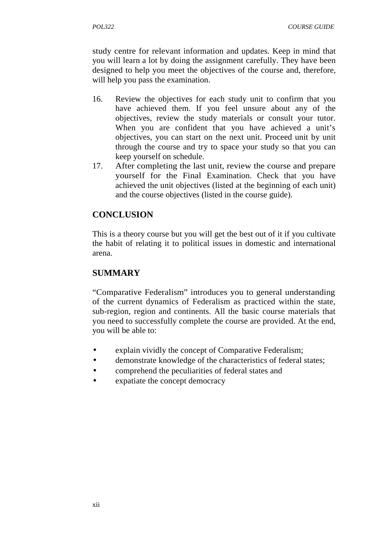study centre for relevant information and updates. Keep in mind that you will learn a lot by doing the assignment carefully. They have been designed to help you meet the objectives of the course and, therefore, will help you pass the examination.

- 16. Review the objectives for each study unit to confirm that you have achieved them. If you feel unsure about any of the objectives, review the study materials or consult your tutor. When you are confident that you have achieved a unit's objectives, you can start on the next unit. Proceed unit by unit through the course and try to space your study so that you can keep yourself on schedule.
- 17. After completing the last unit, review the course and prepare yourself for the Final Examination. Check that you have achieved the unit objectives (listed at the beginning of each unit) and the course objectives (listed in the course guide).

# **CONCLUSION**

This is a theory course but you will get the best out of it if you cultivate the habit of relating it to political issues in domestic and international arena.

# **SUMMARY**

"Comparative Federalism" introduces you to general understanding of the current dynamics of Federalism as practiced within the state, sub-region, region and continents. All the basic course materials that you need to successfully complete the course are provided. At the end, you will be able to:

- explain vividly the concept of Comparative Federalism;
- demonstrate knowledge of the characteristics of federal states;
- comprehend the peculiarities of federal states and
- expatiate the concept democracy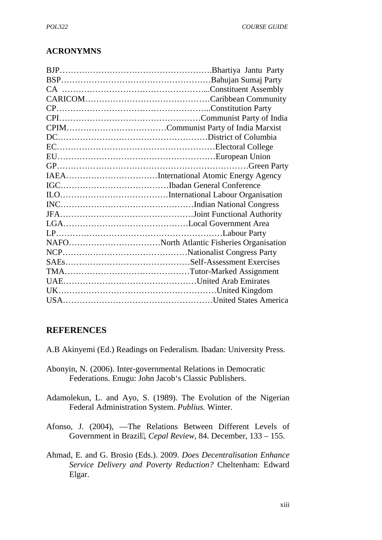## **ACRONYMNS**

| NAFONorth Atlantic Fisheries Organisation |
|-------------------------------------------|
|                                           |
|                                           |
|                                           |
|                                           |
|                                           |
|                                           |
|                                           |

#### **REFERENCES**

- A.B Akinyemi (Ed.) Readings on Federalism. Ibadan: University Press.
- Abonyin, N. (2006). Inter-governmental Relations in Democratic Federations. Enugu: John Jacob's Classic Publishers.
- Adamolekun, L. and Ayo, S. (1989). The Evolution of the Nigerian Federal Administration System. *Publius*. Winter.
- Afonso, J. (2004), The Relations Between Different Levels of Government in Brazil, *Cepal Review*, 84. December, 133 – 155.
- Ahmad, E. and G. Brosio (Eds.). 2009. *Does Decentralisation Enhance Service Delivery and Poverty Reduction?* Cheltenham: Edward Elgar.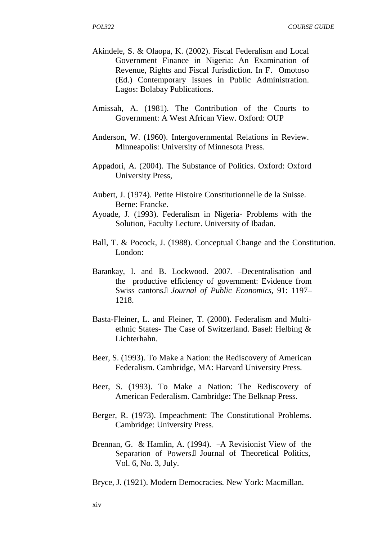- Akindele, S. & Olaopa, K. (2002). Fiscal Federalism and Local Government Finance in Nigeria: An Examination of Revenue, Rights and Fiscal Jurisdiction. In F. Omotoso (Ed.) Contemporary Issues in Public Administration. Lagos: Bolabay Publications.
- Amissah, A. (1981). The Contribution of the Courts to Government: A West African View. Oxford: OUP
- Anderson, W. (1960). Intergovernmental Relations in Review. Minneapolis: University of Minnesota Press.
- Appadori, A. (2004). The Substance of Politics. Oxford: Oxford University Press,
- Aubert, J. (1974). Petite Histoire Constitutionnelle de la Suisse. Berne: Francke.
- Ayoade, J. (1993). Federalism in Nigeria- Problems with the Solution, Faculty Lecture. University of Ibadan.
- Ball, T. & Pocock, J. (1988). Conceptual Change and the Constitution. London:
- Barankay, I. and B. Lockwood. 2007. Decentralisation and the productive efficiency of government: Evidence from Swiss cantons. *Journal of Public Economics*, 91: 1197– 1218.
- Basta-Fleiner, L. and Fleiner, T. (2000). Federalism and Multi ethnic States- The Case of Switzerland. Basel: Helbing & Lichterhahn.
- Beer, S. (1993). To Make a Nation: the Rediscovery of American Federalism. Cambridge, MA: Harvard University Press.
- Beer, S. (1993). To Make a Nation: The Rediscovery of American Federalism. Cambridge: The Belknap Press.
- Berger, R. (1973). Impeachment: The Constitutional Problems. Cambridge: University Press.
- Brennan, G. & Hamlin, A. (1994). A Revisionist View of the Separation of Powers. Journal of Theoretical Politics, Vol. 6, No. 3, July.

Bryce, J. (1921). Modern Democracies*.* New York: Macmillan.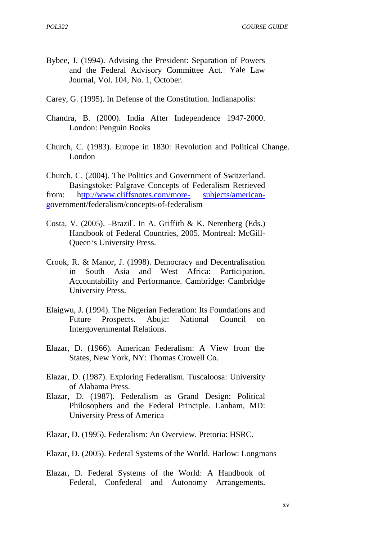- Bybee, J. (1994). Advising the President: Separation of Powers and the Federal Advisory Committee Act. Yale Law Journal, Vol. 104, No. 1, October.
- Carey, G. (1995). In Defense of the Constitution. Indianapolis:
- Chandra, B. (2000). India After Independence 1947-2000. London: Penguin Books
- Church, C. (1983). Europe in 1830: Revolution and Political Change. London

Church, C. (2004). The Politics and Government of Switzerland. Basingstoke: Palgrave Concepts of Federalism Retrieved from: http://www.cliffsnotes.com/more- subjects/american government/federalism/concepts-of-federalism

- Costa, V. (2005). Brazil . In A. Griffith & K. Nerenberg (Eds.) Handbook of Federal Countries, 2005. Montreal: McGill- Queen's University Press.
- Crook, R. & Manor, J. (1998). Democracy and Decentralisation in South Asia and West Africa: Participation, Accountability and Performance. Cambridge: Cambridge University Press.
- Elaigwu, J. (1994). The Nigerian Federation: Its Foundations and Future Prospects. Abuja: National Council on Intergovernmental Relations.
- Elazar, D. (1966). American Federalism: A View from the States, New York, NY: Thomas Crowell Co.
- Elazar, D. (1987). Exploring Federalism. Tuscaloosa: University of Alabama Press.
- Elazar, D. (1987). Federalism as Grand Design: Political Philosophers and the Federal Principle*.* Lanham, MD: University Press of America
- Elazar, D. (1995). Federalism: An Overview. Pretoria: HSRC.
- Elazar, D. (2005). Federal Systems of the World. Harlow: Longmans
- Elazar, D. Federal Systems of the World: A Handbook of Federal, Confederal and Autonomy Arrangements.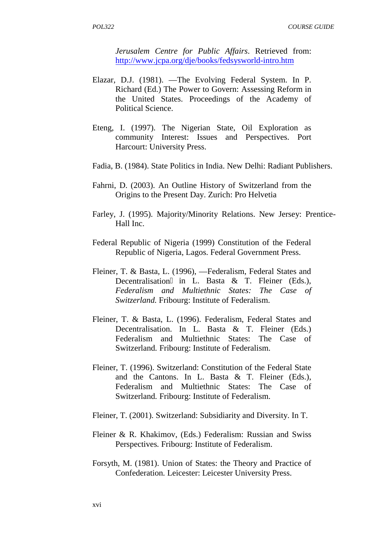*Jerusalem Centre for Public Affairs*. Retrieved from: http://www.jcpa.org/dje/books/fedsysworld-intro.htm

- Elazar, D.J. (1981). The Evolving Federal System. In P. Richard (Ed.) The Power to Govern: Assessing Reform in the United States. Proceedings of the Academy of Political Science.
- Eteng, I. (1997). The Nigerian State, Oil Exploration as community Interest: Issues and Perspectives. Port Harcourt: University Press.
- Fadia, B. (1984). State Politics in India. New Delhi: Radiant Publishers.
- Fahrni, D. (2003). An Outline History of Switzerland from the Origins to the Present Day. Zurich: Pro Helvetia
- Farley, J. (1995). Majority/Minority Relations. New Jersey: Prentice- Hall Inc.
- Federal Republic of Nigeria (1999) Constitution of the Federal Republic of Nigeria, Lagos. Federal Government Press.
- Fleiner, T. & Basta, L. (1996). Federalism, Federal States and Decentralisation in L. Basta  $\&$  T. Fleiner (Eds.), *Federalism and Multiethnic States: The Case of Switzerland.* Fribourg: Institute of Federalism.
- Fleiner, T. & Basta, L. (1996). Federalism, Federal States and Decentralisation. In L. Basta & T. Fleiner (Eds.) Federalism and Multiethnic States: The Case of Switzerland*.* Fribourg: Institute of Federalism.
- Fleiner, T. (1996). Switzerland: Constitution of the Federal State and the Cantons. In L. Basta & T. Fleiner (Eds.), Federalism and Multiethnic States: The Case of Switzerland*.* Fribourg: Institute of Federalism.
- Fleiner, T. (2001). Switzerland: Subsidiarity and Diversity. In T.
- Fleiner & R. Khakimov, (Eds.) Federalism: Russian and Swiss Perspectives*.* Fribourg: Institute of Federalism.
- Forsyth, M. (1981). Union of States: the Theory and Practice of Confederation*.* Leicester: Leicester University Press.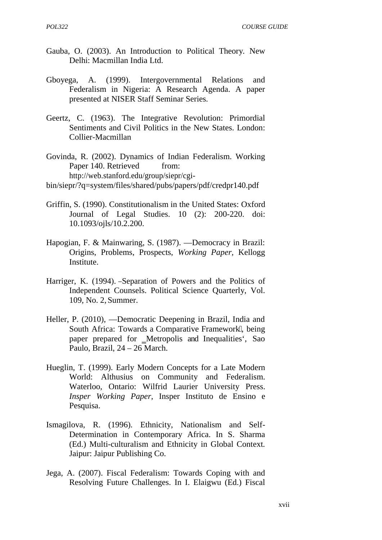- Gauba, O. (2003). An Introduction to Political Theory*.* New Delhi: Macmillan India Ltd.
- Gboyega, A. (1999). Intergovernmental Relations and Federalism in Nigeria: A Research Agenda. A paper presented at NISER Staff Seminar Series.
- Geertz, C. (1963). The Integrative Revolution: Primordial Sentiments and Civil Politics in the New States. London: Collier-Macmillan
- Govinda, R. (2002). Dynamics of Indian Federalism. Working Paper 140. Retrieved from: http://web.stanford.edu/group/siepr/cgi-

bin/siepr/?q=system/files/shared/pubs/papers/pdf/credpr140.pdf

- Griffin, S. (1990). Constitutionalism in the United States: Oxford Journal of Legal Studies. 10 (2): 200-220. doi: 10.1093/ojls/10.2.200.
- Hapogian, F. & Mainwaring, S. (1987). Democracy in Brazil: Origins, Problems, Prospects, *Working Paper,* Kellogg Institute.
- Harriger, K. (1994). Separation of Powers and the Politics of Independent Counsels. Political Science Quarterly, Vol. 109, No. 2, Summer.
- Heller, P. (2010), Democratic Deepening in Brazil, India and South Africa: Towards a Comparative Framework, being paper prepared for Metropolis and Inequalities', Sao Paulo, Brazil, 24 – 26 March.
- Hueglin, T. (1999). Early Modern Concepts for a Late Modern World: Althusius on Community and Federalism. Waterloo, Ontario: Wilfrid Laurier University Press. *Insper Working Paper,* Insper Instituto de Ensino e Pesquisa.
- Ismagilova, R. (1996). Ethnicity, Nationalism and Self- Determination in Contemporary Africa. In S. Sharma (Ed.) Multi-culturalism and Ethnicity in Global Context*.* Jaipur: Jaipur Publishing Co.
- Jega, A. (2007). Fiscal Federalism: Towards Coping with and Resolving Future Challenges. In I. Elaigwu (Ed.) Fiscal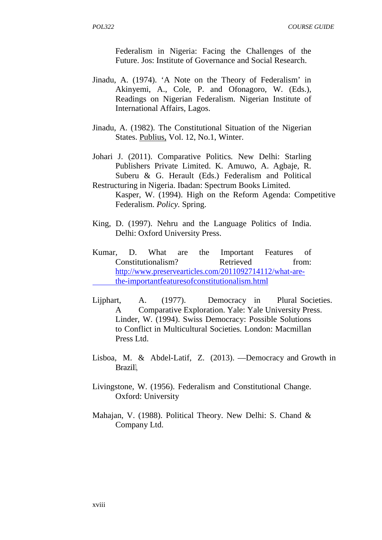Federalism in Nigeria: Facing the Challenges of the Future. Jos: Institute of Governance and Social Research.

- Jinadu, A. (1974). 'A Note on the Theory of Federalism' in Akinyemi, A., Cole, P. and Ofonagoro, W. (Eds.), Readings on Nigerian Federalism. Nigerian Institute of International Affairs, Lagos.
- Jinadu, A. (1982). The Constitutional Situation of the Nigerian States. Publius, Vol. 12, No.1, Winter.
- Johari J. (2011). Comparative Politics*.* New Delhi: Starling Publishers Private Limited. K. Amuwo, A. Agbaje, R. Suberu & G. Herault (Eds.) Federalism and Political
- Restructuring in Nigeria. Ibadan: Spectrum Books Limited. Kasper, W. (1994). High on the Reform Agenda: Competitive Federalism. *Policy.* Spring.
- King, D. (1997). Nehru and the Language Politics of India. Delhi: Oxford University Press.
- Kumar, D. What are the Important Features of Constitutionalism? Retrieved from: http://www.preservearticles.com/2011092714112/what-arethe-importantfeaturesofconstitutionalism.html
- Lijphart, A. (1977). Democracy in Plural Societies. A Comparative Exploration. Yale: Yale University Press. Linder, W. (1994). Swiss Democracy: Possible Solutions to Conflict in Multicultural Societies*.* London: Macmillan Press Ltd.
- Lisboa, M. & Abdel-Latif, Z. (2013). Democracy and Growth in Brazil,
- Livingstone, W. (1956). Federalism and Constitutional Change*.* Oxford: University
- Mahajan, V. (1988). Political Theory. New Delhi: S. Chand & Company Ltd.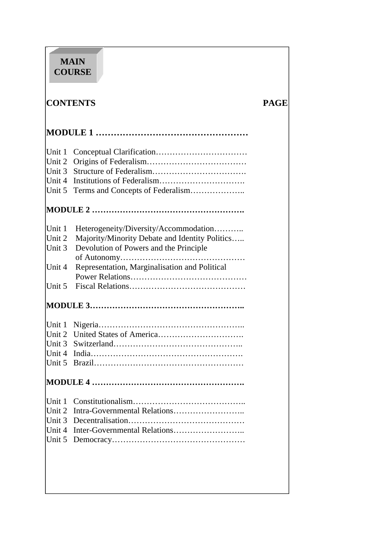# **MAIN COURSE**

# **CONTENTS PAGE**

| Unit 1 |                                                |  |
|--------|------------------------------------------------|--|
| Unit 2 |                                                |  |
| Unit 3 |                                                |  |
| Unit 4 |                                                |  |
| Unit 5 | Terms and Concepts of Federalism               |  |
|        |                                                |  |
| Unit 1 | Heterogeneity/Diversity/Accommodation          |  |
| Unit 2 | Majority/Minority Debate and Identity Politics |  |
| Unit 3 | Devolution of Powers and the Principle         |  |
|        |                                                |  |
| Unit 4 | Representation, Marginalisation and Political  |  |
|        |                                                |  |
| Unit 5 |                                                |  |
|        |                                                |  |
|        |                                                |  |
|        |                                                |  |
|        |                                                |  |
|        |                                                |  |
|        |                                                |  |
|        |                                                |  |
|        |                                                |  |
|        |                                                |  |
| Unit 3 |                                                |  |
| Unit 4 |                                                |  |
| Unit 5 |                                                |  |
|        |                                                |  |
|        |                                                |  |
|        |                                                |  |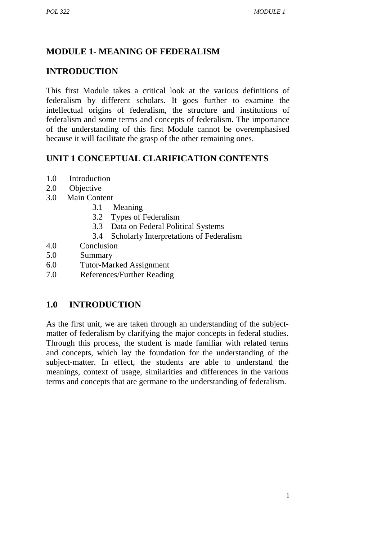# **MODULE 1- MEANING OF FEDERALISM**

# **INTRODUCTION**

This first Module takes a critical look at the various definitions of federalism by different scholars. It goes further to examine the intellectual origins of federalism, the structure and institutions of federalism and some terms and concepts of federalism. The importance of the understanding of this first Module cannot be overemphasised because it will facilitate the grasp of the other remaining ones.

# **UNIT 1 CONCEPTUAL CLARIFICATION CONTENTS**

- 1.0 Introduction
- 2.0 Objective
- 3.0 Main Content
	- 3.1 Meaning
	- 3.2 Types of Federalism
	- 3.3 Data on Federal Political Systems
	- 3.4 Scholarly Interpretations of Federalism
- 4.0 Conclusion
- 5.0 Summary
- 6.0 Tutor-Marked Assignment
- 7.0 References/Further Reading

# **1.0 INTRODUCTION**

As the first unit, we are taken through an understanding of the subject matter of federalism by clarifying the major concepts in federal studies. Through this process, the student is made familiar with related terms and concepts, which lay the foundation for the understanding of the subject-matter. In effect, the students are able to understand the meanings, context of usage, similarities and differences in the various terms and concepts that are germane to the understanding of federalism.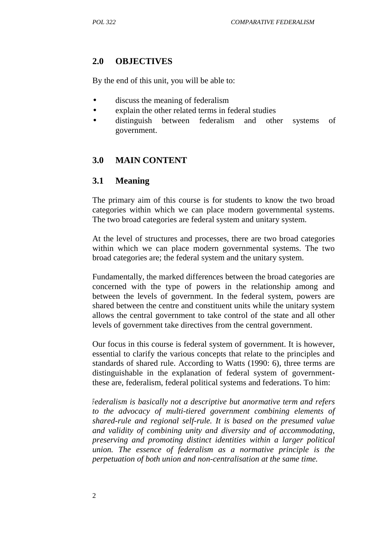# **2.0 OBJECTIVES**

By the end of this unit, you will be able to:

- discuss the meaning of federalism
- explain the other related terms in federal studies
- distinguish between federalism and other systems of government.

# **3.0 MAIN CONTENT**

# **3.1 Meaning**

The primary aim of this course is for students to know the two broad categories within which we can place modern governmental systems. The two broad categories are federal system and unitary system.

At the level of structures and processes, there are two broad categories within which we can place modern governmental systems. The two broad categories are; the federal system and the unitary system.

Fundamentally, the marked differences between the broad categories are concerned with the type of powers in the relationship among and between the levels of government. In the federal system, powers are shared between the centre and constituent units while the unitary system allows the central government to take control of the state and all other levels of government take directives from the central government.

Our focus in this course is federal system of government. It is however, essential to clarify the various concepts that relate to the principles and standards of shared rule. According to Watts (1990: 6), three terms are distinguishable in the explanation of federal system of governmentthese are, federalism, federal political systems and federations. To him:

*Federalism is basically not a descriptive but anormative term and refers to the advocacy of multi-tiered government combining elements of shared-rule and regional self-rule. It is based on the presumed value and validity of combining unity and diversity and of accommodating, preserving and promoting distinct identities within a larger political union. The essence of federalism as a normative principle is the perpetuation of both union and non-centralisation at the same time.*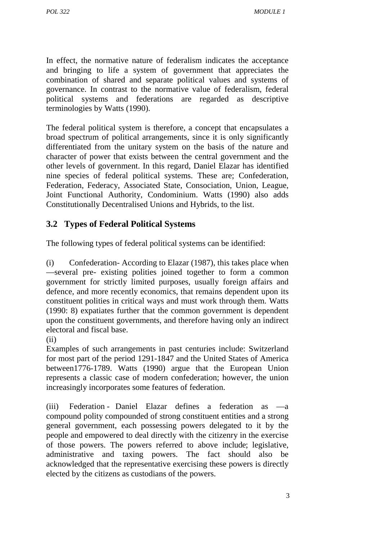In effect, the normative nature of federalism indicates the acceptance and bringing to life a system of government that appreciates the combination of shared and separate political values and systems of governance. In contrast to the normative value of federalism, federal political systems and federations are regarded as descriptive terminologies by Watts (1990).

The federal political system is therefore, a concept that encapsulates a broad spectrum of political arrangements, since it is only significantly differentiated from the unitary system on the basis of the nature and character of power that exists between the central government and the other levels of government. In this regard, Daniel Elazar has identified nine species of federal political systems. These are; Confederation, Federation, Federacy, Associated State, Consociation, Union, League, Joint Functional Authority, Condominium. Watts (1990) also adds Constitutionally Decentralised Unions and Hybrids, to the list.

# **3.2 Types of Federal Political Systems**

The following types of federal political systems can be identified:

(i) Confederation- According to Elazar (1987), this takes place when several pre- existing polities joined together to form a common government for strictly limited purposes, usually foreign affairs and defence, and more recently economics, that remains dependent upon its constituent polities in critical ways and must work through them. Watts (1990: 8) expatiates further that the common government is dependent upon the constituent governments, and therefore having only an indirect electoral and fiscal base.

Examples of such arrangements in past centuries include: Switzerland for most part of the period 1291-1847 and the United States of America between1776-1789. Watts (1990) argue that the European Union represents a classic case of modern confederation; however, the union increasingly incorporates some features of federation.

(iii) Federation - Daniel Elazar defines a federation as ―a compound polity compounded of strong constituent entities and a strong general government, each possessing powers delegated to it by the people and empowered to deal directly with the citizenry in the exercise of those powers. The powers referred to above include; legislative, administrative and taxing powers. The fact should also be acknowledged that the representative exercising these powers is directly elected by the citizens as custodians of the powers.

 $(i)$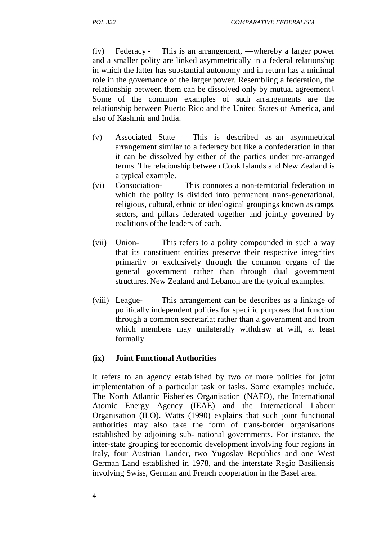(iv) Federacy - This is an arrangement, whereby a larger power and a smaller polity are linked asymmetrically in a federal relationship in which the latter has substantial autonomy and in return has a minimal role in the governance of the larger power. Resembling a federation, the relationship between them can be dissolved only by mutual agreement. Some of the common examples of such arrangements are the relationship between Puerto Rico and the United States of America, and also of Kashmir and India.

- (v) Associated State This is described as an asymmetrical arrangement similar to a federacy but like a confederation in that it can be dissolved by either of the parties under pre-arranged terms. The relationship between Cook Islands and New Zealand is a typical example.
- (vi) Consociation- This connotes a non-territorial federation in which the polity is divided into permanent trans-generational, religious, cultural, ethnic or ideological groupings known as camps, sectors, and pillars federated together and jointly governed by coalitions of the leaders of each.
- (vii) Union- This refers to a polity compounded in such a way that its constituent entities preserve their respective integrities primarily or exclusively through the common organs of the general government rather than through dual government structures. New Zealand and Lebanon are the typical examples.
- (viii) League- This arrangement can be describes as a linkage of politically independent polities for specific purposes that function through a common secretariat rather than a government and from which members may unilaterally withdraw at will, at least formally.

#### **(ix) Joint Functional Authorities**

It refers to an agency established by two or more polities for joint implementation of a particular task or tasks. Some examples include, The North Atlantic Fisheries Organisation (NAFO), the International Atomic Energy Agency (IEAE) and the International Labour Organisation (ILO). Watts (1990) explains that such joint functional authorities may also take the form of trans-border organisations established by adjoining sub- national governments. For instance, the inter-state grouping for economic development involving four regions in Italy, four Austrian Lander, two Yugoslav Republics and one West German Land established in 1978, and the interstate Regio Basiliensis involving Swiss, German and French cooperation in the Basel area.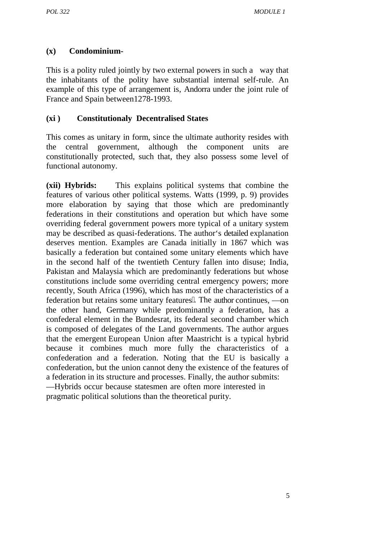#### **(x) Condominium-**

This is a polity ruled jointly by two external powers in such a way that the inhabitants of the polity have substantial internal self-rule. An example of this type of arrangement is, Andorra under the joint rule of France and Spain between1278-1993.

#### **(xi ) Constitutionaly Decentralised States**

This comes as unitary in form, since the ultimate authority resides with the central government, although the component units are constitutionally protected, such that, they also possess some level of functional autonomy.

**(xii) Hybrids:** This explains political systems that combine the features of various other political systems. Watts (1999, p. 9) provides more elaboration by saying that those which are predominantly federations in their constitutions and operation but which have some overriding federal government powers more typical of a unitary system may be described as quasi-federations. The author's detailed explanation deserves mention. Examples are Canada initially in 1867 which was basically a federation but contained some unitary elements which have in the second half of the twentieth Century fallen into disuse; India, Pakistan and Malaysia which are predominantly federations but whose constitutions include some overriding central emergency powers; more recently, South Africa (1996), which has most of the characteristics of a federation but retains some unitary features. The author continues, the other hand, Germany while predominantly a federation, has a confederal element in the Bundesrat, its federal second chamber which is composed of delegates of the Land governments. The author argues that the emergent European Union after Maastricht is a typical hybrid because it combines much more fully the characteristics of a confederation and a federation. Noting that the EU is basically a confederation, but the union cannot deny the existence of the features of a federation in its structure and processes. Finally, the author submits:

―Hybrids occur because statesmen are often more interested in pragmatic political solutions than the theoretical purity.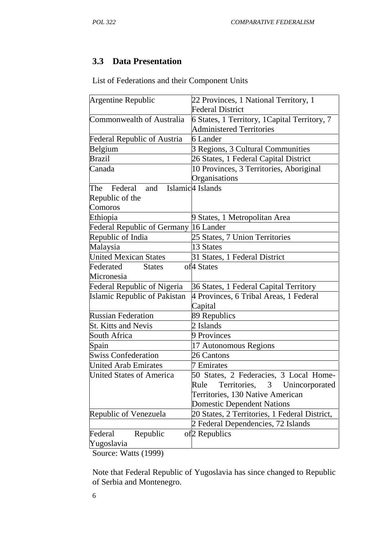# **3.3 Data Presentation**

List of Federations and their Component Units

| Argentine Republic                 | 22 Provinces, 1 National Territory, 1         |
|------------------------------------|-----------------------------------------------|
|                                    | <b>Federal District</b>                       |
| Commonwealth of Australia          | 6 States, 1 Territory, 1 Capital Territory, 7 |
|                                    | <b>Administered Territories</b>               |
| <b>Federal Republic of Austria</b> | 6 Lander                                      |
| Belgium                            | 3 Regions, 3 Cultural Communities             |
| <b>Brazil</b>                      | 26 States, 1 Federal Capital District         |
| Canada                             | 10 Provinces, 3 Territories, Aboriginal       |
|                                    | Organisations                                 |
| Federal<br>and<br>The              | Islamic <sup>4</sup> Islands                  |
| Republic of the                    |                                               |
| Comoros                            |                                               |
| Ethiopia                           | 9 States, 1 Metropolitan Area                 |
| <b>Federal Republic of Germany</b> | 16 Lander                                     |
| Republic of India                  | 25 States, 7 Union Territories                |
| Malaysia                           | 13 States                                     |
| <b>United Mexican States</b>       | 31 States, 1 Federal District                 |
| Federated<br><b>States</b>         | of <sup>4</sup> States                        |
| Micronesia                         |                                               |
| <b>Federal Republic of Nigeria</b> | 36 States, 1 Federal Capital Territory        |
| Islamic Republic of Pakistan       | 4 Provinces, 6 Tribal Areas, 1 Federal        |
|                                    | Capital                                       |
| <b>Russian Federation</b>          | 89 Republics                                  |
| <b>St. Kitts and Nevis</b>         | 2 Islands                                     |
| South Africa                       | 9 Provinces                                   |
| Spain                              | 17 Autonomous Regions                         |
| <b>Swiss Confederation</b>         | 26 Cantons                                    |
| <b>United Arab Emirates</b>        | 7 Emirates                                    |
| <b>United States of America</b>    | 50 States, 2 Federacies, 3 Local Home-        |
|                                    | Rule Territories, 3 Unincorporated            |
|                                    | Territories, 130 Native American              |
|                                    | <b>Domestic Dependent Nations</b>             |
| Republic of Venezuela              | 20 States, 2 Territories, 1 Federal District, |
|                                    | 2 Federal Dependencies, 72 Islands            |
| Federal<br>Republic                | of <sub>2</sub> Republics                     |
| Yugoslavia                         |                                               |
|                                    |                                               |

Source: Watts (1999)

Note that Federal Republic of Yugoslavia has since changed to Republic of Serbia and Montenegro.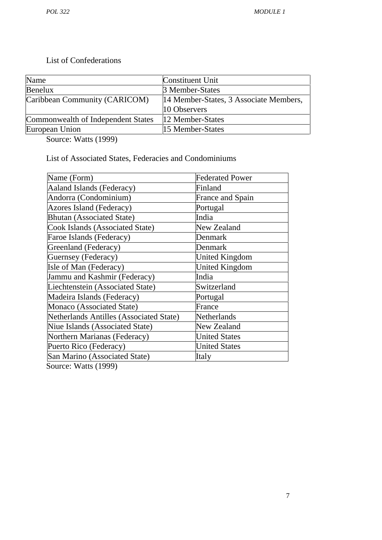### List of Confederations

| Name                               | <b>Constituent Unit</b>                |
|------------------------------------|----------------------------------------|
| Benelux                            | 3 Member-States                        |
| Caribbean Community (CARICOM)      | 14 Member-States, 3 Associate Members, |
|                                    | 10 Observers                           |
| Commonwealth of Independent States | 12 Member-States                       |
| European Union                     | 15 Member-States                       |

Source: Watts (1999)

List of Associated States, Federacies and Condominiums

| <b>Federated Power</b>  |
|-------------------------|
| Finland                 |
| <b>France and Spain</b> |
| Portugal                |
| India                   |
| New Zealand             |
| Denmark                 |
| Denmark                 |
| <b>United Kingdom</b>   |
| <b>United Kingdom</b>   |
| India                   |
| Switzerland             |
| Portugal                |
| France                  |
| Netherlands             |
| New Zealand             |
| <b>United States</b>    |
| <b>United States</b>    |
| Italy                   |
|                         |

Source: Watts (1999)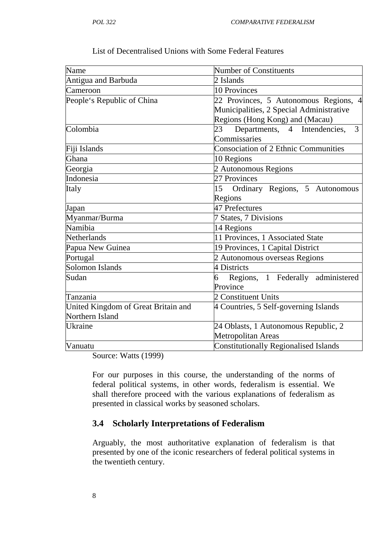| Name                                | <b>Number of Constituents</b>                |
|-------------------------------------|----------------------------------------------|
| Antigua and Barbuda                 | 2 Islands                                    |
| Cameroon                            | 10 Provinces                                 |
| People's Republic of China          | 22 Provinces, 5 Autonomous Regions, 4        |
|                                     | Municipalities, 2 Special Administrative     |
|                                     | Regions (Hong Kong) and (Macau)              |
| Colombia                            | Departments, 4 Intendencies,<br>23<br>3      |
|                                     | Commissaries                                 |
| Fiji Islands                        | <b>Consociation of 2 Ethnic Communities</b>  |
| Ghana                               | 10 Regions                                   |
| Georgia                             | 2 Autonomous Regions                         |
| Indonesia                           | 27 Provinces                                 |
| Italy                               | 15<br>Ordinary Regions, 5 Autonomous         |
|                                     | Regions                                      |
| Japan                               | 47 Prefectures                               |
| Myanmar/Burma                       | 7 States, 7 Divisions                        |
| Namibia                             | 14 Regions                                   |
| Netherlands                         | 11 Provinces, 1 Associated State             |
| Papua New Guinea                    | 19 Provinces, 1 Capital District             |
| Portugal                            | 2 Autonomous overseas Regions                |
| Solomon Islands                     | 4 Districts                                  |
| Sudan                               | Regions, 1 Federally administered<br>6       |
|                                     | Province                                     |
| Tanzania                            | 2 Constituent Units                          |
| United Kingdom of Great Britain and | 4 Countries, 5 Self-governing Islands        |
| Northern Island                     |                                              |
| <b>Ukraine</b>                      | 24 Oblasts, 1 Autonomous Republic, 2         |
|                                     | Metropolitan Areas                           |
| Vanuatu                             | <b>Constitutionally Regionalised Islands</b> |
|                                     |                                              |

List of Decentralised Unions with Some Federal Features

Source: Watts (1999)

For our purposes in this course, the understanding of the norms of federal political systems, in other words, federalism is essential. We shall therefore proceed with the various explanations of federalism as presented in classical works by seasoned scholars.

#### **3.4 Scholarly Interpretations of Federalism**

Arguably, the most authoritative explanation of federalism is that presented by one of the iconic researchers of federal political systems in the twentieth century.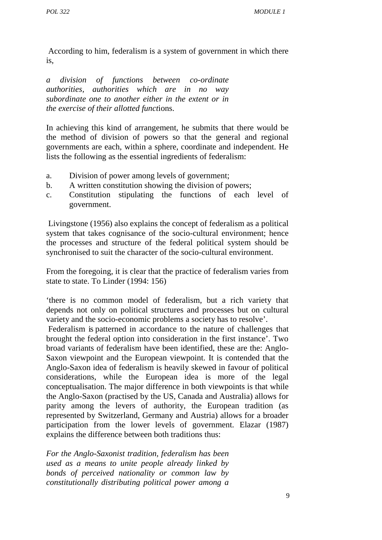According to him, federalism is a system of government in which there is,

*a division of functions between co-ordinate authorities, authorities which are in no way subordinate one to another either in the extent or in the exercise of their allotted funct*ions.

In achieving this kind of arrangement, he submits that there would be the method of division of powers so that the general and regional governments are each, within a sphere, coordinate and independent. He lists the following as the essential ingredients of federalism:

- a. Division of power among levels of government;
- b. A written constitution showing the division of powers;
- c. Constitution stipulating the functions of each level of government.

Livingstone (1956) also explains the concept of federalism as a political system that takes cognisance of the socio-cultural environment; hence the processes and structure of the federal political system should be synchronised to suit the character of the socio-cultural environment.

From the foregoing, it is clear that the practice of federalism varies from state to state. To Linder (1994: 156)

'there is no common model of federalism, but a rich variety that depends not only on political structures and processes but on cultural variety and the socio-economic problems a society has to resolve'.

Federalism is patterned in accordance to the nature of challenges that brought the federal option into consideration in the first instance'. Two broad variants of federalism have been identified, these are the: Anglo- Saxon viewpoint and the European viewpoint. It is contended that the Anglo-Saxon idea of federalism is heavily skewed in favour of political considerations, while the European idea is more of the legal conceptualisation. The major difference in both viewpoints is that while the Anglo-Saxon (practised by the US, Canada and Australia) allows for parity among the levers of authority, the European tradition (as represented by Switzerland, Germany and Austria) allows for a broader participation from the lower levels of government. Elazar (1987) explains the difference between both traditions thus:

*For the Anglo-Saxonist tradition, federalism has been used as a means to unite people already linked by bonds of perceived nationality or common law by constitutionally distributing political power among a*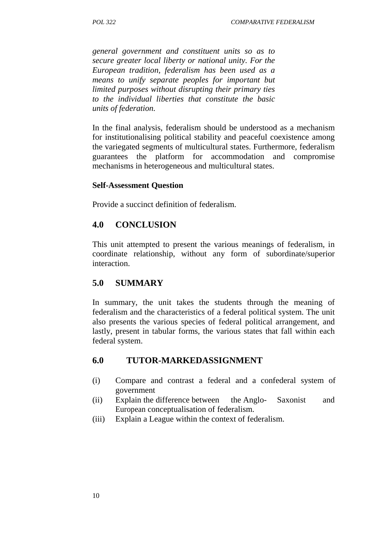*general government and constituent units so as to secure greater local liberty or national unity. For the European tradition, federalism has been used as a means to unify separate peoples for important but limited purposes without disrupting their primary ties to the individual liberties that constitute the basic units of federation.*

In the final analysis, federalism should be understood as a mechanism for institutionalising political stability and peaceful coexistence among the variegated segments of multicultural states. Furthermore, federalism guarantees the platform for accommodation and compromise mechanisms in heterogeneous and multicultural states.

#### **Self-Assessment Question**

Provide a succinct definition of federalism.

# **4.0 CONCLUSION**

This unit attempted to present the various meanings of federalism, in coordinate relationship, without any form of subordinate/superior interaction.

# **5.0 SUMMARY**

In summary, the unit takes the students through the meaning of federalism and the characteristics of a federal political system. The unit also presents the various species of federal political arrangement, and lastly, present in tabular forms, the various states that fall within each federal system.

# **6.0 TUTOR-MARKEDASSIGNMENT**

- (i) Compare and contrast a federal and a confederal system of government
- (ii) Explain the difference between the Anglo- Saxonist and European conceptualisation of federalism.
- (iii) Explain a League within the context of federalism.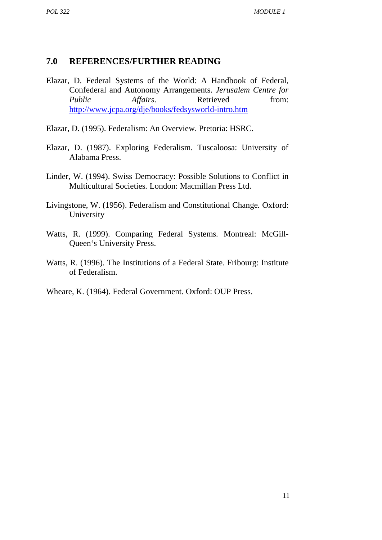#### **7.0 REFERENCES/FURTHER READING**

- Elazar, D. Federal Systems of the World: A Handbook of Federal, Confederal and Autonomy Arrangements. *Jerusalem Centre for Public Affairs*. Retrieved from: http://www.jcpa.org/dje/books/fedsysworld-intro.htm
- Elazar, D. (1995). Federalism: An Overview. Pretoria: HSRC.
- Elazar, D. (1987). Exploring Federalism. Tuscaloosa: University of Alabama Press.
- Linder, W. (1994). Swiss Democracy: Possible Solutions to Conflict in Multicultural Societies*.* London: Macmillan Press Ltd.
- Livingstone, W. (1956). Federalism and Constitutional Change*.* Oxford: University
- Watts, R. (1999). Comparing Federal Systems*.* Montreal: McGill- Queen's University Press.
- Watts, R. (1996). The Institutions of a Federal State. Fribourg: Institute of Federalism.
- Wheare, K. (1964). Federal Government*.* Oxford: OUP Press.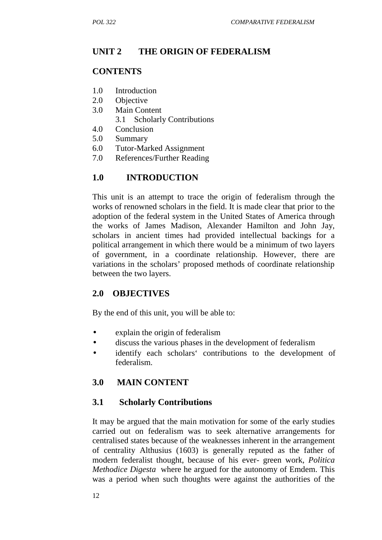# **UNIT 2 THE ORIGIN OF FEDERALISM**

## **CONTENTS**

- 1.0 Introduction
- 2.0 Objective
- 3.0 Main Content
	- 3.1 Scholarly Contributions
- 4.0 Conclusion
- 5.0 Summary
- 6.0 Tutor-Marked Assignment
- 7.0 References/Further Reading

# **1.0 INTRODUCTION**

This unit is an attempt to trace the origin of federalism through the works of renowned scholars in the field. It is made clear that prior to the adoption of the federal system in the United States of America through the works of James Madison, Alexander Hamilton and John Jay, scholars in ancient times had provided intellectual backings for a political arrangement in which there would be a minimum of two layers of government, in a coordinate relationship. However, there are variations in the scholars' proposed methods of coordinate relationship between the two layers.

# **2.0 OBJECTIVES**

By the end of this unit, you will be able to:

- explain the origin of federalism
- discuss the various phases in the development of federalism
- identify each scholars' contributions to the development of federalism.

# **3.0 MAIN CONTENT**

# **3.1 Scholarly Contributions**

It may be argued that the main motivation for some of the early studies carried out on federalism was to seek alternative arrangements for centralised states because of the weaknesses inherent in the arrangement of centrality Althusius (1603) is generally reputed as the father of modern federalist thought, because of his ever- green work, *Politica Methodice Digesta* where he argued for the autonomy of Emdem. This was a period when such thoughts were against the authorities of the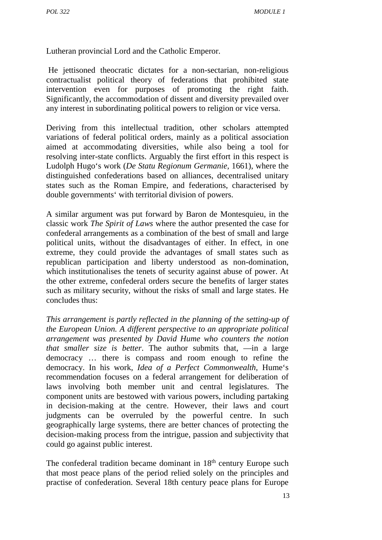Lutheran provincial Lord and the Catholic Emperor.

He jettisoned theocratic dictates for a non-sectarian, non-religious contractualist political theory of federations that prohibited state intervention even for purposes of promoting the right faith. Significantly, the accommodation of dissent and diversity prevailed over any interest in subordinating political powers to religion or vice versa.

Deriving from this intellectual tradition, other scholars attempted variations of federal political orders, mainly as a political association aimed at accommodating diversities, while also being a tool for resolving inter-state conflicts. Arguably the first effort in this respect is Ludolph Hugo's work (*De Statu Regionum Germanie,* 1661), where the distinguished confederations based on alliances, decentralised unitary states such as the Roman Empire, and federations, characterised by double governments' with territorial division of powers.

A similar argument was put forward by Baron de Montesquieu, in the classic work *The Spirit of Laws* where the author presented the case for confederal arrangements as a combination of the best of small and large political units, without the disadvantages of either. In effect, in one extreme, they could provide the advantages of small states such as republican participation and liberty understood as non-domination, which institutionalises the tenets of security against abuse of power. At the other extreme, confederal orders secure the benefits of larger states such as military security, without the risks of small and large states. He concludes thus:

*This arrangement is partly reflected in the planning of the setting-up of the European Union. A different perspective to an appropriate political arrangement was presented by David Hume who counters the notion that smaller size is better*. The author submits that, in a large democracy … there is compass and room enough to refine the democracy. In his work, *Idea of a Perfect Commonwealth,* Hume's recommendation focuses on a federal arrangement for deliberation of laws involving both member unit and central legislatures. The component units are bestowed with various powers, including partaking in decision-making at the centre. However, their laws and court judgments can be overruled by the powerful centre. In such geographically large systems, there are better chances of protecting the decision-making process from the intrigue, passion and subjectivity that could go against public interest.

The confederal tradition became dominant in 18<sup>th</sup> century Europe such that most peace plans of the period relied solely on the principles and practise of confederation. Several 18th century peace plans for Europe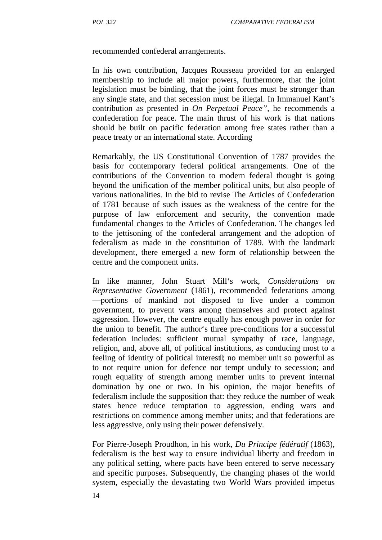recommended confederal arrangements.

In his own contribution, Jacques Rousseau provided for an enlarged membership to include all major powers, furthermore, that the joint legislation must be binding, that the joint forces must be stronger than any single state, and that secession must be illegal. In Immanuel Kant's contribution as presented in *On Perpetual Peace"*, he recommends a confederation for peace. The main thrust of his work is that nations should be built on pacific federation among free states rather than a peace treaty or an international state. According

Remarkably, the US Constitutional Convention of 1787 provides the basis for contemporary federal political arrangements. One of the contributions of the Convention to modern federal thought is going beyond the unification of the member political units, but also people of various nationalities. In the bid to revise The Articles of Confederation of 1781 because of such issues as the weakness of the centre for the purpose of law enforcement and security, the convention made fundamental changes to the Articles of Confederation. The changes led to the jettisoning of the confederal arrangement and the adoption of federalism as made in the constitution of 1789. With the landmark development, there emerged a new form of relationship between the centre and the component units.

In like manner, John Stuart Mill's work, *Considerations on Representative Government* (1861), recommended federations among portions of mankind not disposed to live under a common government, to prevent wars among themselves and protect against aggression. However, the centre equally has enough power in order for the union to benefit. The author's three pre-conditions for a successful federation includes: sufficient mutual sympathy of race, language, religion, and, above all, of political institutions, as conducing most to a feeling of identity of political interest; no member unit so powerful as to not require union for defence nor tempt unduly to secession; and rough equality of strength among member units to prevent internal domination by one or two. In his opinion, the major benefits of federalism include the supposition that: they reduce the number of weak states hence reduce temptation to aggression, ending wars and restrictions on commence among member units; and that federations are less aggressive, only using their power defensively.

For Pierre-Joseph Proudhon, in his work, *Du Principe fédératif* (1863), federalism is the best way to ensure individual liberty and freedom in any political setting, where pacts have been entered to serve necessary and specific purposes. Subsequently, the changing phases of the world system, especially the devastating two World Wars provided impetus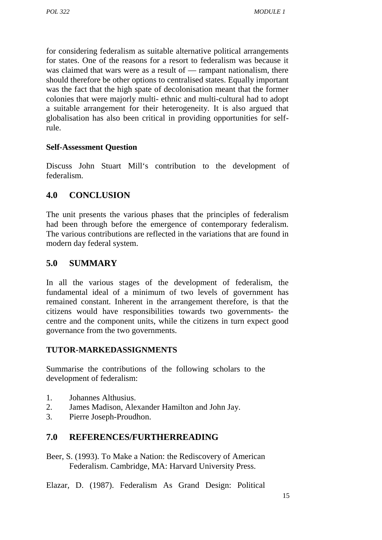for considering federalism as suitable alternative political arrangements for states. One of the reasons for a resort to federalism was because it was claimed that wars were as a result of rampant nationalism, there should therefore be other options to centralised states. Equally important was the fact that the high spate of decolonisation meant that the former colonies that were majorly multi- ethnic and multi-cultural had to adopt a suitable arrangement for their heterogeneity. It is also argued that globalisation has also been critical in providing opportunities for selfrule.

### **Self-Assessment Question**

Discuss John Stuart Mill's contribution to the development of federalism.

# **4.0 CONCLUSION**

The unit presents the various phases that the principles of federalism had been through before the emergence of contemporary federalism. The various contributions are reflected in the variations that are found in modern day federal system.

# **5.0 SUMMARY**

In all the various stages of the development of federalism, the fundamental ideal of a minimum of two levels of government has remained constant. Inherent in the arrangement therefore, is that the citizens would have responsibilities towards two governments- the centre and the component units, while the citizens in turn expect good governance from the two governments.

# **TUTOR-MARKEDASSIGNMENTS**

Summarise the contributions of the following scholars to the development of federalism:

- 1. Johannes Althusius.
- 2. James Madison, Alexander Hamilton and John Jay.
- 3. Pierre Joseph-Proudhon.

# **7.0 REFERENCES/FURTHERREADING**

Beer, S. (1993). To Make a Nation: the Rediscovery of American Federalism. Cambridge, MA: Harvard University Press.

Elazar, D. (1987). Federalism As Grand Design: Political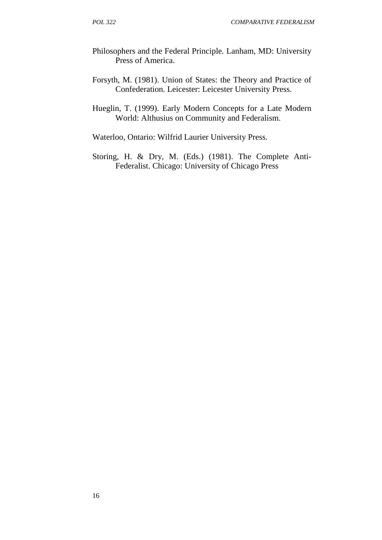- Philosophers and the Federal Principle*.* Lanham, MD: University Press of America.
- Forsyth, M. (1981). Union of States: the Theory and Practice of Confederation*.* Leicester: Leicester University Press.
- Hueglin, T. (1999). Early Modern Concepts for a Late Modern World: Althusius on Community and Federalism.

Waterloo, Ontario: Wilfrid Laurier University Press.

Storing, H. & Dry, M. (Eds.) (1981). The Complete Anti- Federalist. Chicago: University of Chicago Press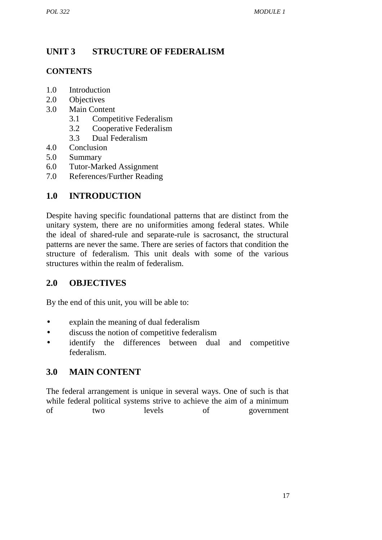# **UNIT 3 STRUCTURE OF FEDERALISM**

# **CONTENTS**

- 1.0 Introduction
- 2.0 Objectives
- 3.0 Main Content
	- 3.1 Competitive Federalism
	- 3.2 Cooperative Federalism
	- 3.3 Dual Federalism
- 4.0 Conclusion
- 5.0 Summary
- 6.0 Tutor-Marked Assignment
- 7.0 References/Further Reading

# **1.0 INTRODUCTION**

Despite having specific foundational patterns that are distinct from the unitary system, there are no uniformities among federal states. While the ideal of shared-rule and separate-rule is sacrosanct, the structural patterns are never the same. There are series of factors that condition the structure of federalism. This unit deals with some of the various structures within the realm of federalism.

# **2.0 OBJECTIVES**

By the end of this unit, you will be able to:

- explain the meaning of dual federalism
- discuss the notion of competitive federalism
- identify the differences between dual and competitive federalism.

# **3.0 MAIN CONTENT**

The federal arrangement is unique in several ways. One of such is that while federal political systems strive to achieve the aim of a minimum of two levels of government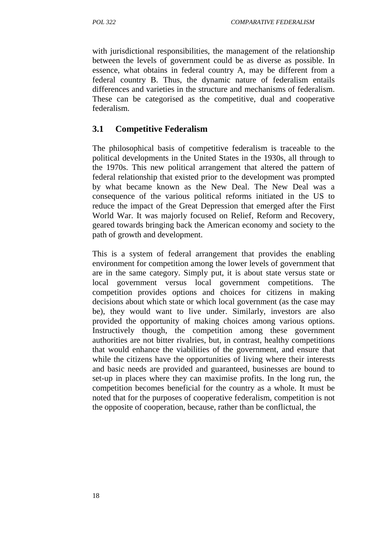with jurisdictional responsibilities, the management of the relationship between the levels of government could be as diverse as possible. In essence, what obtains in federal country A, may be different from a federal country B. Thus, the dynamic nature of federalism entails differences and varieties in the structure and mechanisms of federalism. These can be categorised as the competitive, dual and cooperative federalism.

# **3.1 Competitive Federalism**

The philosophical basis of competitive federalism is traceable to the political developments in the United States in the 1930s, all through to the 1970s. This new political arrangement that altered the pattern of federal relationship that existed prior to the development was prompted by what became known as the New Deal. The New Deal was a consequence of the various political reforms initiated in the US to reduce the impact of the Great Depression that emerged after the First World War. It was majorly focused on Relief, Reform and Recovery, geared towards bringing back the American economy and society to the path of growth and development.

This is a system of federal arrangement that provides the enabling environment for competition among the lower levels of government that are in the same category. Simply put, it is about state versus state or local government versus local government competitions. The competition provides options and choices for citizens in making decisions about which state or which local government (as the case may be), they would want to live under. Similarly, investors are also provided the opportunity of making choices among various options. Instructively though, the competition among these government authorities are not bitter rivalries, but, in contrast, healthy competitions that would enhance the viabilities of the government, and ensure that while the citizens have the opportunities of living where their interests and basic needs are provided and guaranteed, businesses are bound to set-up in places where they can maximise profits. In the long run, the competition becomes beneficial for the country as a whole. It must be noted that for the purposes of cooperative federalism, competition is not the opposite of cooperation, because, rather than be conflictual, the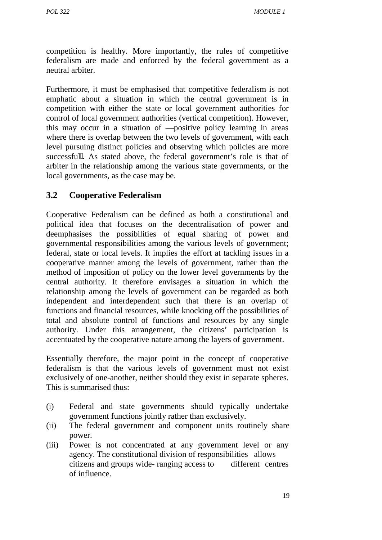competition is healthy. More importantly, the rules of competitive federalism are made and enforced by the federal government as a neutral arbiter.

Furthermore, it must be emphasised that competitive federalism is not emphatic about a situation in which the central government is in competition with either the state or local government authorities for control of local government authorities (vertical competition). However, this may occur in a situation of spositive policy learning in areas where there is overlap between the two levels of government, with each level pursuing distinct policies and observing which policies are more successful. As stated above, the federal government's role is that of arbiter in the relationship among the various state governments, or the local governments, as the case may be.

# **3.2 Cooperative Federalism**

Cooperative Federalism can be defined as both a constitutional and political idea that focuses on the decentralisation of power and deemphasises the possibilities of equal sharing of power and governmental responsibilities among the various levels of government; federal, state or local levels. It implies the effort at tackling issues in a cooperative manner among the levels of government, rather than the method of imposition of policy on the lower level governments by the central authority. It therefore envisages a situation in which the relationship among the levels of government can be regarded as both independent and interdependent such that there is an overlap of functions and financial resources, while knocking off the possibilities of total and absolute control of functions and resources by any single authority. Under this arrangement, the citizens' participation is accentuated by the cooperative nature among the layers of government.

Essentially therefore, the major point in the concept of cooperative federalism is that the various levels of government must not exist exclusively of one-another, neither should they exist in separate spheres. This is summarised thus:

- (i) Federal and state governments should typically undertake government functions jointly rather than exclusively.
- (ii) The federal government and component units routinely share power.
- (iii) Power is not concentrated at any government level or any agency. The constitutional division of responsibilities allows citizens and groups wide- ranging access to different centres of influence.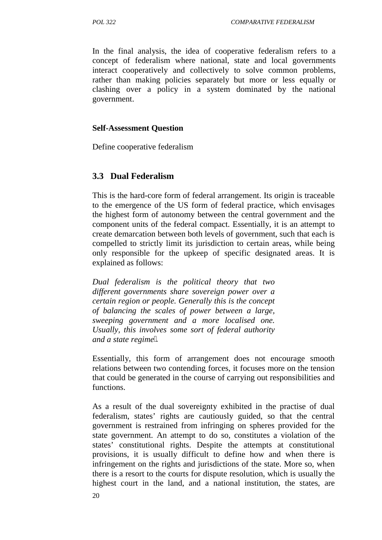In the final analysis, the idea of cooperative federalism refers to a concept of federalism where national, state and local governments interact cooperatively and collectively to solve common problems, rather than making policies separately but more or less equally or clashing over a policy in a system dominated by the national government.

#### **Self-Assessment Question**

Define cooperative federalism

#### **3.3 Dual Federalism**

This is the hard-core form of federal arrangement. Its origin is traceable to the emergence of the US form of federal practice, which envisages the highest form of autonomy between the central government and the component units of the federal compact. Essentially, it is an attempt to create demarcation between both levels of government, such that each is compelled to strictly limit its jurisdiction to certain areas, while being only responsible for the upkeep of specific designated areas. It is explained as follows:

*Dual federalism is the political theory that two different governments share sovereign power over a certain region or people. Generally this is the concept of balancing the scales of power between a large, sweeping government and a more localised one. Usually, this involves some sort of federal authority and a state regime*.

Essentially, this form of arrangement does not encourage smooth relations between two contending forces, it focuses more on the tension that could be generated in the course of carrying out responsibilities and functions.

As a result of the dual sovereignty exhibited in the practise of dual federalism, states' rights are cautiously guided, so that the central government is restrained from infringing on spheres provided for the state government. An attempt to do so, constitutes a violation of the states' constitutional rights. Despite the attempts at constitutional provisions, it is usually difficult to define how and when there is infringement on the rights and jurisdictions of the state. More so, when there is a resort to the courts for dispute resolution, which is usually the highest court in the land, and a national institution, the states, are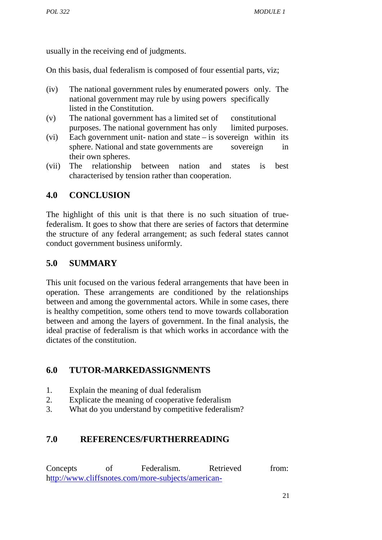usually in the receiving end of judgments.

On this basis, dual federalism is composed of four essential parts, viz;

- (iv) The national government rules by enumerated powers only. The national government may rule by using powers specifically listed in the Constitution.
- (v) The national government has a limited set of constitutional purposes. The national government has only limited purposes.
- (vi) Each government unit- nation and state is sovereign within its sphere. National and state governments are sovereign in their own spheres.
- (vii) The relationship between nation and states is best characterised by tension rather than cooperation.

# **4.0 CONCLUSION**

The highlight of this unit is that there is no such situation of truefederalism. It goes to show that there are series of factors that determine the structure of any federal arrangement; as such federal states cannot conduct government business uniformly.

# **5.0 SUMMARY**

This unit focused on the various federal arrangements that have been in operation. These arrangements are conditioned by the relationships between and among the governmental actors. While in some cases, there is healthy competition, some others tend to move towards collaboration between and among the layers of government. In the final analysis, the ideal practise of federalism is that which works in accordance with the dictates of the constitution.

## **6.0 TUTOR-MARKEDASSIGNMENTS**

- 1. Explain the meaning of dual federalism
- 2. Explicate the meaning of cooperative federalism
- 3. What do you understand by competitive federalism?

## **7.0 REFERENCES/FURTHERREADING**

Concepts of Federalism. Retrieved from: http://www.cliffsnotes.com/more-subjects/american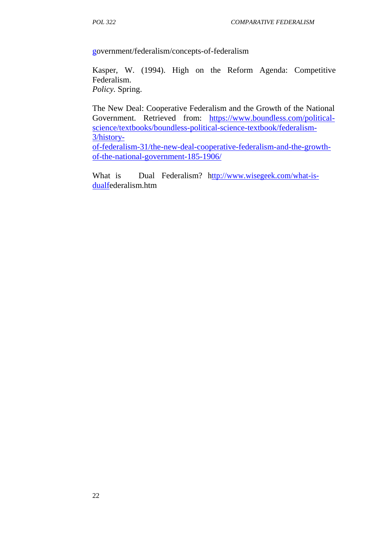government/federalism/concepts-of-federalism

Kasper, W. (1994). High on the Reform Agenda: Competitive Federalism. *Policy.* Spring.

The New Deal: Cooperative Federalism and the Growth of the National Government. Retrieved from: https://www.boundless.com/political science/textbooks/boundless-political-science-textbook/federalism- 3/history-

of-federalism-31/the-new-deal-cooperative-federalism-and-the-growth of-the-national-government-185-1906/

What is Dual Federalism? http://www.wisegeek.com/what-isdualfederalism.htm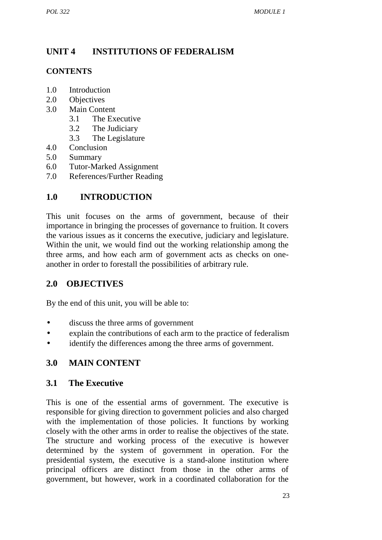# **UNIT 4 INSTITUTIONS OF FEDERALISM**

### **CONTENTS**

- 1.0 Introduction
- 2.0 Objectives
- 3.0 Main Content
	- 3.1 The Executive
	- 3.2 The Judiciary
	- 3.3 The Legislature
- 4.0 Conclusion
- 5.0 Summary
- 6.0 Tutor-Marked Assignment
- 7.0 References/Further Reading

# **1.0 INTRODUCTION**

This unit focuses on the arms of government, because of their importance in bringing the processes of governance to fruition. It covers the various issues as it concerns the executive, judiciary and legislature. Within the unit, we would find out the working relationship among the three arms, and how each arm of government acts as checks on one another in order to forestall the possibilities of arbitrary rule.

## **2.0 OBJECTIVES**

By the end of this unit, you will be able to:

- discuss the three arms of government
- explain the contributions of each arm to the practice of federalism
- identify the differences among the three arms of government.

# **3.0 MAIN CONTENT**

## **3.1 The Executive**

This is one of the essential arms of government. The executive is responsible for giving direction to government policies and also charged with the implementation of those policies. It functions by working closely with the other arms in order to realise the objectives of the state. The structure and working process of the executive is however determined by the system of government in operation. For the presidential system, the executive is a stand-alone institution where principal officers are distinct from those in the other arms of government, but however, work in a coordinated collaboration for the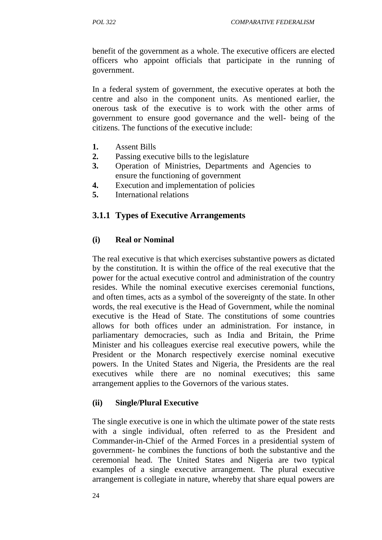benefit of the government as a whole. The executive officers are elected officers who appoint officials that participate in the running of government.

In a federal system of government, the executive operates at both the centre and also in the component units. As mentioned earlier, the onerous task of the executive is to work with the other arms of government to ensure good governance and the well- being of the citizens. The functions of the executive include:

- **1.** Assent Bills
- **2.** Passing executive bills to the legislature
- **3.** Operation of Ministries, Departments and Agencies to ensure the functioning of government
- **4.** Execution and implementation of policies
- **5.** International relations

### **3.1.1 Types of Executive Arrangements**

#### **(i) Real or Nominal**

The real executive is that which exercises substantive powers as dictated by the constitution. It is within the office of the real executive that the power for the actual executive control and administration of the country resides. While the nominal executive exercises ceremonial functions, and often times, acts as a symbol of the sovereignty of the state. In other words, the real executive is the Head of Government, while the nominal executive is the Head of State. The constitutions of some countries allows for both offices under an administration. For instance, in parliamentary democracies, such as India and Britain, the Prime Minister and his colleagues exercise real executive powers, while the President or the Monarch respectively exercise nominal executive powers. In the United States and Nigeria, the Presidents are the real executives while there are no nominal executives; this same arrangement applies to the Governors of the various states.

#### **(ii) Single/Plural Executive**

The single executive is one in which the ultimate power of the state rests with a single individual, often referred to as the President and Commander-in-Chief of the Armed Forces in a presidential system of government- he combines the functions of both the substantive and the ceremonial head. The United States and Nigeria are two typical examples of a single executive arrangement. The plural executive arrangement is collegiate in nature, whereby that share equal powers are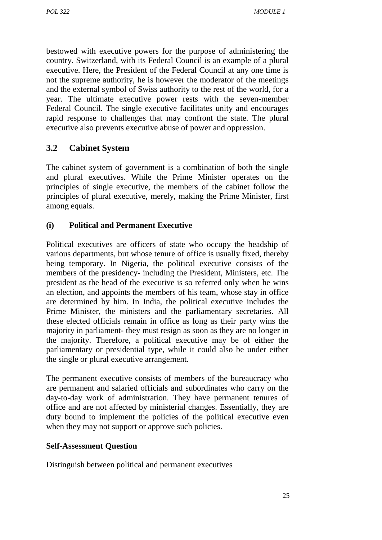bestowed with executive powers for the purpose of administering the country. Switzerland, with its Federal Council is an example of a plural executive. Here, the President of the Federal Council at any one time is not the supreme authority, he is however the moderator of the meetings and the external symbol of Swiss authority to the rest of the world, for a year. The ultimate executive power rests with the seven-member Federal Council. The single executive facilitates unity and encourages rapid response to challenges that may confront the state. The plural executive also prevents executive abuse of power and oppression.

# **3.2 Cabinet System**

The cabinet system of government is a combination of both the single and plural executives. While the Prime Minister operates on the principles of single executive, the members of the cabinet follow the principles of plural executive, merely, making the Prime Minister, first among equals.

### **(i) Political and Permanent Executive**

Political executives are officers of state who occupy the headship of various departments, but whose tenure of office is usually fixed, thereby being temporary. In Nigeria, the political executive consists of the members of the presidency- including the President, Ministers, etc. The president as the head of the executive is so referred only when he wins an election, and appoints the members of his team, whose stay in office are determined by him. In India, the political executive includes the Prime Minister, the ministers and the parliamentary secretaries. All these elected officials remain in office as long as their party wins the majority in parliament- they must resign as soon as they are no longer in the majority. Therefore, a political executive may be of either the parliamentary or presidential type, while it could also be under either the single or plural executive arrangement.

The permanent executive consists of members of the bureaucracy who are permanent and salaried officials and subordinates who carry on the day-to-day work of administration. They have permanent tenures of office and are not affected by ministerial changes. Essentially, they are duty bound to implement the policies of the political executive even when they may not support or approve such policies.

### **Self-Assessment Question**

Distinguish between political and permanent executives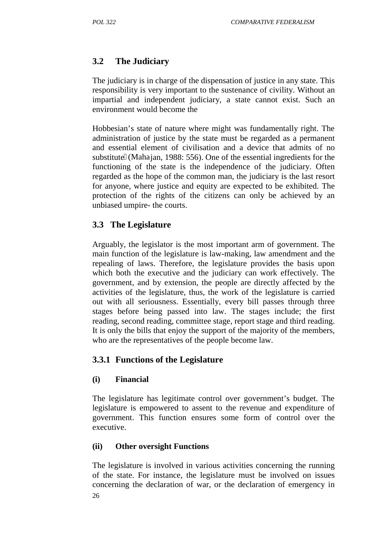# **3.2 The Judiciary**

The judiciary is in charge of the dispensation of justice in any state. This responsibility is very important to the sustenance of civility. Without an impartial and independent judiciary, a state cannot exist. Such an environment would become the

Hobbesian's state of nature where might was fundamentally right. The administration of justice by the state must be regarded as a permanent and essential element of civilisation and a device that admits of no substitute (Mahajan, 1988: 556). One of the essential ingredients for the functioning of the state is the independence of the judiciary. Often regarded as the hope of the common man, the judiciary is the last resort for anyone, where justice and equity are expected to be exhibited. The protection of the rights of the citizens can only be achieved by an unbiased umpire- the courts.

# **3.3 The Legislature**

Arguably, the legislator is the most important arm of government. The main function of the legislature is law-making, law amendment and the repealing of laws. Therefore, the legislature provides the basis upon which both the executive and the judiciary can work effectively. The government, and by extension, the people are directly affected by the activities of the legislature, thus, the work of the legislature is carried out with all seriousness. Essentially, every bill passes through three stages before being passed into law. The stages include; the first reading, second reading, committee stage, report stage and third reading. It is only the bills that enjoy the support of the majority of the members, who are the representatives of the people become law.

## **3.3.1 Functions of the Legislature**

## **(i) Financial**

The legislature has legitimate control over government's budget. The legislature is empowered to assent to the revenue and expenditure of government. This function ensures some form of control over the executive.

## **(ii) Other oversight Functions**

26 The legislature is involved in various activities concerning the running of the state. For instance, the legislature must be involved on issues concerning the declaration of war, or the declaration of emergency in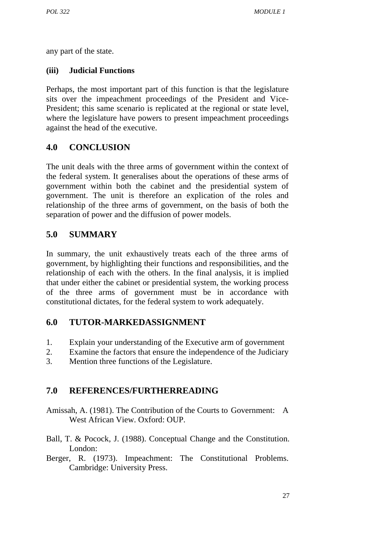any part of the state.

### **(iii) Judicial Functions**

Perhaps, the most important part of this function is that the legislature sits over the impeachment proceedings of the President and Vice- President; this same scenario is replicated at the regional or state level, where the legislature have powers to present impeachment proceedings against the head of the executive.

# **4.0 CONCLUSION**

The unit deals with the three arms of government within the context of the federal system. It generalises about the operations of these arms of government within both the cabinet and the presidential system of government. The unit is therefore an explication of the roles and relationship of the three arms of government, on the basis of both the separation of power and the diffusion of power models.

# **5.0 SUMMARY**

In summary, the unit exhaustively treats each of the three arms of government, by highlighting their functions and responsibilities, and the relationship of each with the others. In the final analysis, it is implied that under either the cabinet or presidential system, the working process of the three arms of government must be in accordance with constitutional dictates, for the federal system to work adequately.

## **6.0 TUTOR-MARKEDASSIGNMENT**

- 1. Explain your understanding of the Executive arm of government
- 2. Examine the factors that ensure the independence of the Judiciary
- 3. Mention three functions of the Legislature.

# **7.0 REFERENCES/FURTHERREADING**

- Amissah, A. (1981). The Contribution of the Courts to Government: A West African View. Oxford: OUP.
- Ball, T. & Pocock, J. (1988). Conceptual Change and the Constitution. London:
- Berger, R. (1973). Impeachment: The Constitutional Problems. Cambridge: University Press.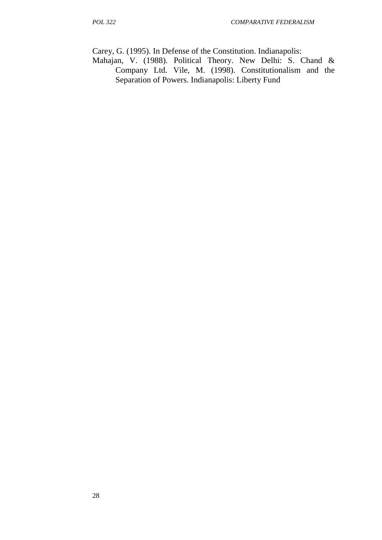Carey, G. (1995). In Defense of the Constitution. Indianapolis:

Mahajan, V. (1988). Political Theory. New Delhi: S. Chand & Company Ltd. Vile, M. (1998). Constitutionalism and the Separation of Powers. Indianapolis: Liberty Fund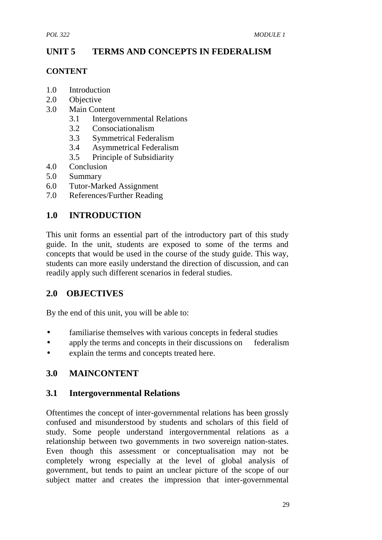# **UNIT 5 TERMS AND CONCEPTS IN FEDERALISM**

### **CONTENT**

- 1.0 Introduction
- 2.0 Objective
- 3.0 Main Content
	- 3.1 Intergovernmental Relations
	- 3.2 Consociationalism
	- 3.3 Symmetrical Federalism
	- 3.4 Asymmetrical Federalism
	- 3.5 Principle of Subsidiarity
- 4.0 Conclusion
- 5.0 Summary
- 6.0 Tutor-Marked Assignment
- 7.0 References/Further Reading

# **1.0 INTRODUCTION**

This unit forms an essential part of the introductory part of this study guide. In the unit, students are exposed to some of the terms and concepts that would be used in the course of the study guide. This way, students can more easily understand the direction of discussion, and can readily apply such different scenarios in federal studies.

# **2.0 OBJECTIVES**

By the end of this unit, you will be able to:

- familiarise themselves with various concepts in federal studies
- apply the terms and concepts in their discussions on federalism
- explain the terms and concepts treated here.

# **3.0 MAINCONTENT**

### **3.1 Intergovernmental Relations**

Oftentimes the concept of inter-governmental relations has been grossly confused and misunderstood by students and scholars of this field of study. Some people understand intergovernmental relations as a relationship between two governments in two sovereign nation-states. Even though this assessment or conceptualisation may not be completely wrong especially at the level of global analysis of government, but tends to paint an unclear picture of the scope of our subject matter and creates the impression that inter-governmental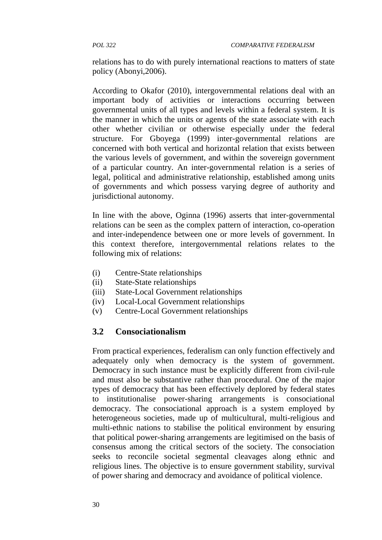relations has to do with purely international reactions to matters of state policy (Abonyi,2006).

According to Okafor (2010), intergovernmental relations deal with an important body of activities or interactions occurring between governmental units of all types and levels within a federal system. It is the manner in which the units or agents of the state associate with each other whether civilian or otherwise especially under the federal structure. For Gboyega (1999) inter-governmental relations are concerned with both vertical and horizontal relation that exists between the various levels of government, and within the sovereign government of a particular country. An inter-governmental relation is a series of legal, political and administrative relationship, established among units of governments and which possess varying degree of authority and jurisdictional autonomy.

In line with the above, Oginna (1996) asserts that inter-governmental relations can be seen as the complex pattern of interaction, co-operation and inter-independence between one or more levels of government. In this context therefore, intergovernmental relations relates to the following mix of relations:

- (i) Centre-State relationships
- (ii) State-State relationships
- (iii) State-Local Government relationships
- (iv) Local-Local Government relationships
- (v) Centre-Local Government relationships

### **3.2 Consociationalism**

From practical experiences, federalism can only function effectively and adequately only when democracy is the system of government. Democracy in such instance must be explicitly different from civil-rule and must also be substantive rather than procedural. One of the major types of democracy that has been effectively deplored by federal states to institutionalise power-sharing arrangements is consociational democracy. The consociational approach is a system employed by heterogeneous societies, made up of multicultural, multi-religious and multi-ethnic nations to stabilise the political environment by ensuring that political power-sharing arrangements are legitimised on the basis of consensus among the critical sectors of the society. The consociation seeks to reconcile societal segmental cleavages along ethnic and religious lines. The objective is to ensure government stability, survival of power sharing and democracy and avoidance of political violence.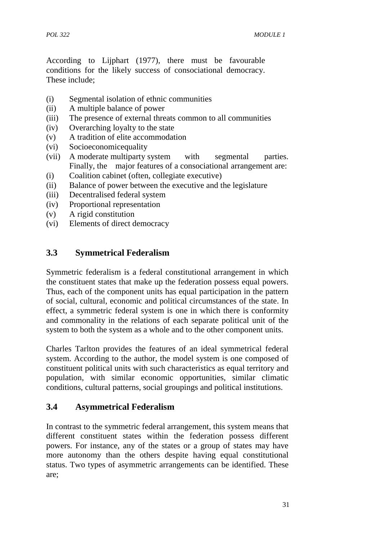According to Lijphart (1977), there must be favourable conditions for the likely success of consociational democracy. These include;

- (i) Segmental isolation of ethnic communities
- (ii) A multiple balance of power
- (iii) The presence of external threats common to all communities
- (iv) Overarching loyalty to the state
- (v) A tradition of elite accommodation
- (vi) Socioeconomicequality
- (vii) A moderate multiparty system with segmental parties. Finally, the major features of a consociational arrangement are:
- (i) Coalition cabinet (often, collegiate executive)
- (ii) Balance of power between the executive and the legislature
- (iii) Decentralised federal system
- (iv) Proportional representation
- (v) A rigid constitution
- (vi) Elements of direct democracy

### **3.3 Symmetrical Federalism**

Symmetric federalism is a federal constitutional arrangement in which the constituent states that make up the federation possess equal powers. Thus, each of the component units has equal participation in the pattern of social, cultural, economic and political circumstances of the state. In effect, a symmetric federal system is one in which there is conformity and commonality in the relations of each separate political unit of the system to both the system as a whole and to the other component units.

Charles Tarlton provides the features of an ideal symmetrical federal system. According to the author, the model system is one composed of constituent political units with such characteristics as equal territory and population, with similar economic opportunities, similar climatic conditions, cultural patterns, social groupings and political institutions.

### **3.4 Asymmetrical Federalism**

In contrast to the symmetric federal arrangement, this system means that different constituent states within the federation possess different powers. For instance, any of the states or a group of states may have more autonomy than the others despite having equal constitutional status. Two types of asymmetric arrangements can be identified. These are;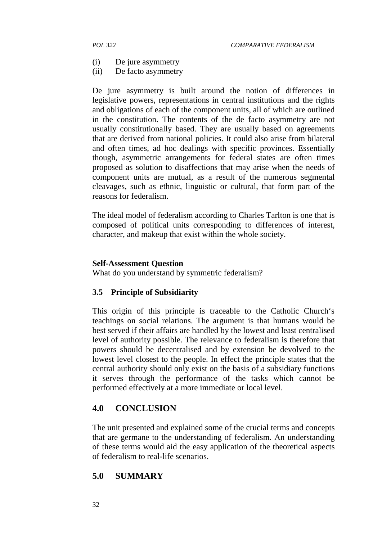- (i) De jure asymmetry
- (ii) De facto asymmetry

De jure asymmetry is built around the notion of differences in legislative powers, representations in central institutions and the rights and obligations of each of the component units, all of which are outlined in the constitution. The contents of the de facto asymmetry are not usually constitutionally based. They are usually based on agreements that are derived from national policies. It could also arise from bilateral and often times, ad hoc dealings with specific provinces. Essentially though, asymmetric arrangements for federal states are often times proposed as solution to disaffections that may arise when the needs of component units are mutual, as a result of the numerous segmental cleavages, such as ethnic, linguistic or cultural, that form part of the reasons for federalism.

The ideal model of federalism according to Charles Tarlton is one that is composed of political units corresponding to differences of interest, character, and makeup that exist within the whole society.

#### **Self-Assessment Question**

What do you understand by symmetric federalism?

#### **3.5 Principle of Subsidiarity**

This origin of this principle is traceable to the Catholic Church's teachings on social relations. The argument is that humans would be best served if their affairs are handled by the lowest and least centralised level of authority possible. The relevance to federalism is therefore that powers should be decentralised and by extension be devolved to the lowest level closest to the people. In effect the principle states that the central authority should only exist on the basis of a subsidiary functions it serves through the performance of the tasks which cannot be performed effectively at a more immediate or local level.

### **4.0 CONCLUSION**

The unit presented and explained some of the crucial terms and concepts that are germane to the understanding of federalism. An understanding of these terms would aid the easy application of the theoretical aspects of federalism to real-life scenarios.

### **5.0 SUMMARY**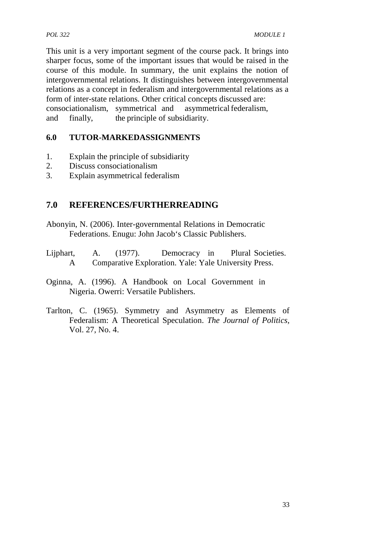This unit is a very important segment of the course pack. It brings into sharper focus, some of the important issues that would be raised in the course of this module. In summary, the unit explains the notion of intergovernmental relations. It distinguishes between intergovernmental relations as a concept in federalism and intergovernmental relations as a form of inter-state relations. Other critical concepts discussed are: consociationalism, symmetrical and asymmetrical federalism, and finally, the principle of subsidiarity.

## **6.0 TUTOR-MARKEDASSIGNMENTS**

- 1. Explain the principle of subsidiarity
- 2. Discuss consociationalism
- 3. Explain asymmetrical federalism

# **7.0 REFERENCES/FURTHERREADING**

- Abonyin, N. (2006). Inter-governmental Relations in Democratic Federations. Enugu: John Jacob's Classic Publishers.
- Lijphart, A. (1977). Democracy in Plural Societies. A Comparative Exploration. Yale: Yale University Press.
- Oginna, A. (1996). A Handbook on Local Government in Nigeria. Owerri: Versatile Publishers.
- Tarlton, C. (1965). Symmetry and Asymmetry as Elements of Federalism: A Theoretical Speculation. *The Journal of Politics,* Vol. 27, No. 4.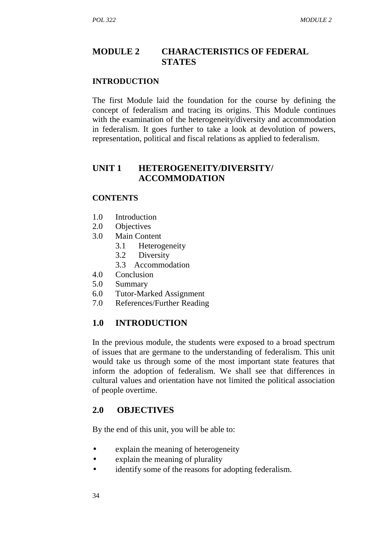# **MODULE 2 CHARACTERISTICS OF FEDERAL STATES**

#### **INTRODUCTION**

The first Module laid the foundation for the course by defining the concept of federalism and tracing its origins. This Module continues with the examination of the heterogeneity/diversity and accommodation in federalism. It goes further to take a look at devolution of powers, representation, political and fiscal relations as applied to federalism.

### **UNIT 1 HETEROGENEITY/DIVERSITY/ ACCOMMODATION**

#### **CONTENTS**

- 1.0 Introduction
- 2.0 Objectives
- 3.0 Main Content
	- 3.1 Heterogeneity
	- 3.2 Diversity
	- 3.3 Accommodation
- 4.0 Conclusion
- 5.0 Summary
- 6.0 Tutor-Marked Assignment
- 7.0 References/Further Reading

## **1.0 INTRODUCTION**

In the previous module, the students were exposed to a broad spectrum of issues that are germane to the understanding of federalism. This unit would take us through some of the most important state features that inform the adoption of federalism. We shall see that differences in cultural values and orientation have not limited the political association of people overtime.

## **2.0 OBJECTIVES**

By the end of this unit, you will be able to:

- explain the meaning of heterogeneity
- explain the meaning of plurality
- identify some of the reasons for adopting federalism.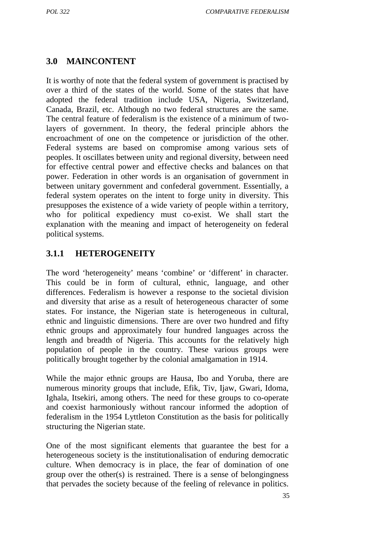# **3.0 MAINCONTENT**

It is worthy of note that the federal system of government is practised by over a third of the states of the world. Some of the states that have adopted the federal tradition include USA, Nigeria, Switzerland, Canada, Brazil, etc. Although no two federal structures are the same. The central feature of federalism is the existence of a minimum of twolayers of government. In theory, the federal principle abhors the encroachment of one on the competence or jurisdiction of the other. Federal systems are based on compromise among various sets of peoples. It oscillates between unity and regional diversity, between need for effective central power and effective checks and balances on that power. Federation in other words is an organisation of government in between unitary government and confederal government. Essentially, a federal system operates on the intent to forge unity in diversity. This presupposes the existence of a wide variety of people within a territory, who for political expediency must co-exist. We shall start the explanation with the meaning and impact of heterogeneity on federal political systems.

# **3.1.1 HETEROGENEITY**

The word 'heterogeneity' means 'combine' or 'different' in character. This could be in form of cultural, ethnic, language, and other differences. Federalism is however a response to the societal division and diversity that arise as a result of heterogeneous character of some states. For instance, the Nigerian state is heterogeneous in cultural, ethnic and linguistic dimensions. There are over two hundred and fifty ethnic groups and approximately four hundred languages across the length and breadth of Nigeria. This accounts for the relatively high population of people in the country. These various groups were politically brought together by the colonial amalgamation in 1914.

While the major ethnic groups are Hausa, Ibo and Yoruba, there are numerous minority groups that include, Efik, Tiv, Ijaw, Gwari, Idoma, Ighala, Itsekiri, among others. The need for these groups to co-operate and coexist harmoniously without rancour informed the adoption of federalism in the 1954 Lyttleton Constitution as the basis for politically structuring the Nigerian state.

One of the most significant elements that guarantee the best for a heterogeneous society is the institutionalisation of enduring democratic culture. When democracy is in place, the fear of domination of one group over the other(s) is restrained. There is a sense of belongingness that pervades the society because of the feeling of relevance in politics.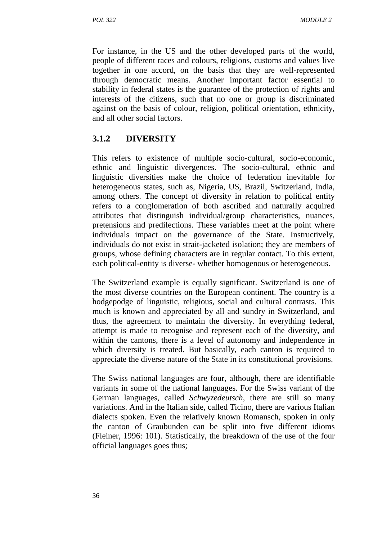For instance, in the US and the other developed parts of the world, people of different races and colours, religions, customs and values live together in one accord, on the basis that they are well-represented through democratic means. Another important factor essential to stability in federal states is the guarantee of the protection of rights and interests of the citizens, such that no one or group is discriminated against on the basis of colour, religion, political orientation, ethnicity, and all other social factors.

# **3.1.2 DIVERSITY**

This refers to existence of multiple socio-cultural, socio-economic, ethnic and linguistic divergences. The socio-cultural, ethnic and linguistic diversities make the choice of federation inevitable for heterogeneous states, such as, Nigeria, US, Brazil, Switzerland, India, among others. The concept of diversity in relation to political entity refers to a conglomeration of both ascribed and naturally acquired attributes that distinguish individual/group characteristics, nuances, pretensions and predilections. These variables meet at the point where individuals impact on the governance of the State. Instructively, individuals do not exist in strait-jacketed isolation; they are members of groups, whose defining characters are in regular contact. To this extent, each political-entity is diverse- whether homogenous or heterogeneous.

The Switzerland example is equally significant. Switzerland is one of the most diverse countries on the European continent. The country is a hodgepodge of linguistic, religious, social and cultural contrasts. This much is known and appreciated by all and sundry in Switzerland, and thus, the agreement to maintain the diversity. In everything federal, attempt is made to recognise and represent each of the diversity, and within the cantons, there is a level of autonomy and independence in which diversity is treated. But basically, each canton is required to appreciate the diverse nature of the State in its constitutional provisions.

The Swiss national languages are four, although, there are identifiable variants in some of the national languages. For the Swiss variant of the German languages, called *Schwyzedeutsch*, there are still so many variations. And in the Italian side, called Ticino, there are various Italian dialects spoken. Even the relatively known Romansch, spoken in only the canton of Graubunden can be split into five different idioms (Fleiner, 1996: 101). Statistically, the breakdown of the use of the four official languages goes thus;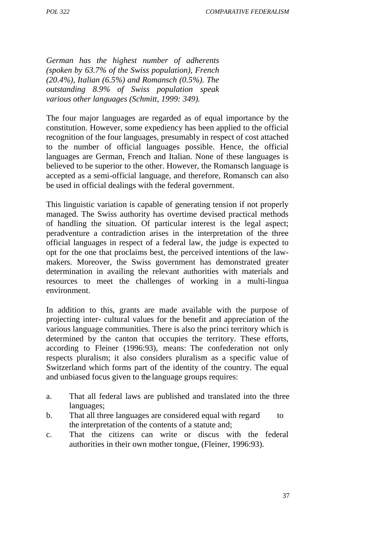*German has the highest number of adherents (spoken by 63.7% of the Swiss population), French (20.4%), Italian (6.5%) and Romansch (0.5%). The outstanding 8.9% of Swiss population speak various other languages (Schmitt, 1999: 349).*

The four major languages are regarded as of equal importance by the constitution. However, some expediency has been applied to the official recognition of the four languages, presumably in respect of cost attached to the number of official languages possible. Hence, the official languages are German, French and Italian. None of these languages is believed to be superior to the other. However, the Romansch language is accepted as a semi-official language, and therefore, Romansch can also be used in official dealings with the federal government.

This linguistic variation is capable of generating tension if not properly managed. The Swiss authority has overtime devised practical methods of handling the situation. Of particular interest is the legal aspect; peradventure a contradiction arises in the interpretation of the three official languages in respect of a federal law, the judge is expected to opt for the one that proclaims best, the perceived intentions of the law makers. Moreover, the Swiss government has demonstrated greater determination in availing the relevant authorities with materials and resources to meet the challenges of working in a multi-lingua environment.

In addition to this, grants are made available with the purpose of projecting inter- cultural values for the benefit and appreciation of the various language communities. There is also the princi territory which is determined by the canton that occupies the territory. These efforts, according to Fleiner (1996:93), means: The confederation not only respects pluralism; it also considers pluralism as a specific value of Switzerland which forms part of the identity of the country. The equal and unbiased focus given to the language groups requires:

- a. That all federal laws are published and translated into the three languages;
- b. That all three languages are considered equal with regard to the interpretation of the contents of a statute and;
- c. That the citizens can write or discus with the federal authorities in their own mother tongue, (Fleiner, 1996:93).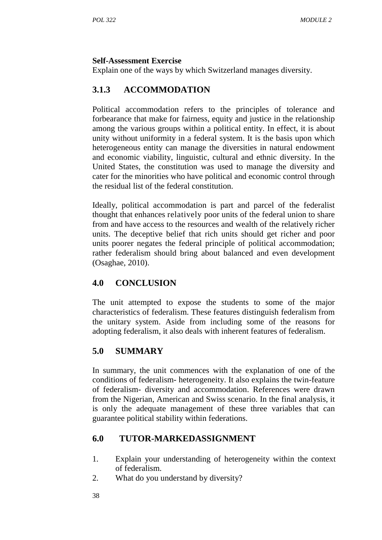#### **Self-Assessment Exercise**

Explain one of the ways by which Switzerland manages diversity.

# **3.1.3 ACCOMMODATION**

Political accommodation refers to the principles of tolerance and forbearance that make for fairness, equity and justice in the relationship among the various groups within a political entity. In effect, it is about unity without uniformity in a federal system. It is the basis upon which heterogeneous entity can manage the diversities in natural endowment and economic viability, linguistic, cultural and ethnic diversity. In the United States, the constitution was used to manage the diversity and cater for the minorities who have political and economic control through the residual list of the federal constitution.

Ideally, political accommodation is part and parcel of the federalist thought that enhances relatively poor units of the federal union to share from and have access to the resources and wealth of the relatively richer units. The deceptive belief that rich units should get richer and poor units poorer negates the federal principle of political accommodation; rather federalism should bring about balanced and even development (Osaghae, 2010).

# **4.0 CONCLUSION**

The unit attempted to expose the students to some of the major characteristics of federalism. These features distinguish federalism from the unitary system. Aside from including some of the reasons for adopting federalism, it also deals with inherent features of federalism.

## **5.0 SUMMARY**

In summary, the unit commences with the explanation of one of the conditions of federalism- heterogeneity. It also explains the twin-feature of federalism- diversity and accommodation. References were drawn from the Nigerian, American and Swiss scenario. In the final analysis, it is only the adequate management of these three variables that can guarantee political stability within federations.

# **6.0 TUTOR-MARKEDASSIGNMENT**

- 1. Explain your understanding of heterogeneity within the context of federalism.
- 2. What do you understand by diversity?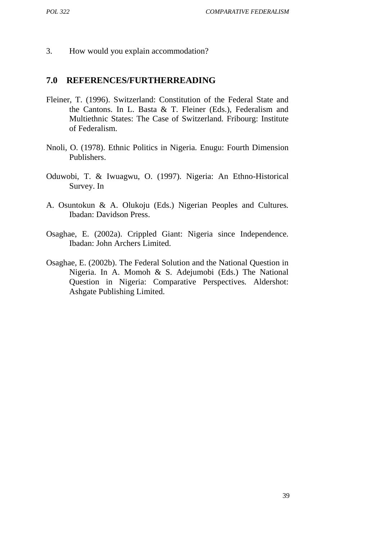3. How would you explain accommodation?

#### **7.0 REFERENCES/FURTHERREADING**

- Fleiner, T. (1996). Switzerland: Constitution of the Federal State and the Cantons. In L. Basta & T. Fleiner (Eds.), Federalism and Multiethnic States: The Case of Switzerland*.* Fribourg: Institute of Federalism.
- Nnoli, O. (1978). Ethnic Politics in Nigeria*.* Enugu: Fourth Dimension Publishers.
- Oduwobi, T. & Iwuagwu, O. (1997). Nigeria: An Ethno-Historical Survey. In
- A. Osuntokun & A. Olukoju (Eds.) Nigerian Peoples and Cultures*.* Ibadan: Davidson Press.
- Osaghae, E. (2002a). Crippled Giant: Nigeria since Independence*.* Ibadan: John Archers Limited.
- Osaghae, E. (2002b). The Federal Solution and the National Question in Nigeria. In A. Momoh & S. Adejumobi (Eds.) The National Question in Nigeria: Comparative Perspectives*.* Aldershot: Ashgate Publishing Limited.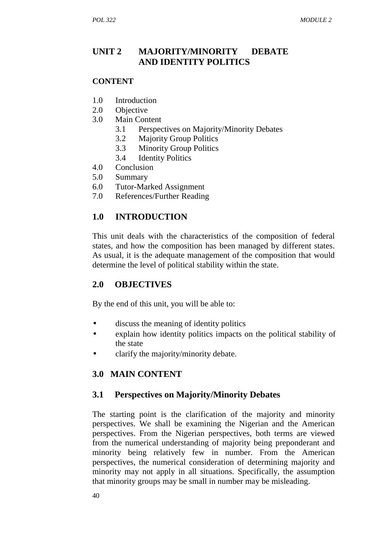# **UNIT 2 MAJORITY/MINORITY DEBATE AND IDENTITY POLITICS**

#### **CONTENT**

- 1.0 Introduction
- 2.0 Objective
- 3.0 Main Content
	- 3.1 Perspectives on Majority/Minority Debates
	- 3.2 Majority Group Politics
	- 3.3 Minority Group Politics
	- 3.4 Identity Politics
- 4.0 Conclusion
- 5.0 Summary
- 6.0 Tutor-Marked Assignment
- 7.0 References/Further Reading

# **1.0 INTRODUCTION**

This unit deals with the characteristics of the composition of federal states, and how the composition has been managed by different states. As usual, it is the adequate management of the composition that would determine the level of political stability within the state.

## **2.0 OBJECTIVES**

By the end of this unit, you will be able to:

- discuss the meaning of identity politics
- explain how identity politics impacts on the political stability of the state
- clarify the majority/minority debate.

## **3.0 MAIN CONTENT**

## **3.1 Perspectives on Majority/Minority Debates**

The starting point is the clarification of the majority and minority perspectives. We shall be examining the Nigerian and the American perspectives. From the Nigerian perspectives, both terms are viewed from the numerical understanding of majority being preponderant and minority being relatively few in number. From the American perspectives, the numerical consideration of determining majority and minority may not apply in all situations. Specifically, the assumption that minority groups may be small in number may be misleading.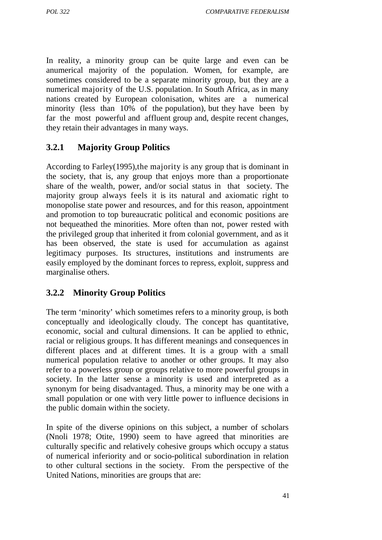In reality, a minority group can be quite large and even can be anumerical majority of the population. Women, for example, are sometimes considered to be a separate minority group, but they are a numerical majority of the U.S. population. In South Africa, as in many nations created by European colonisation, whites are a numerical minority (less than 10% of the population), but they have been by far the most powerful and affluent group and, despite recent changes, they retain their advantages in many ways.

# **3.2.1 Majority Group Politics**

According to Farley(1995),the majority is any group that is dominant in the society, that is, any group that enjoys more than a proportionate share of the wealth, power, and/or social status in that society. The majority group always feels it is its natural and axiomatic right to monopolise state power and resources, and for this reason, appointment and promotion to top bureaucratic political and economic positions are not bequeathed the minorities. More often than not, power rested with the privileged group that inherited it from colonial government, and as it has been observed, the state is used for accumulation as against legitimacy purposes. Its structures, institutions and instruments are easily employed by the dominant forces to repress, exploit, suppress and marginalise others.

# **3.2.2 Minority Group Politics**

The term 'minority' which sometimes refers to a minority group, is both conceptually and ideologically cloudy. The concept has quantitative, economic, social and cultural dimensions. It can be applied to ethnic, racial or religious groups. It has different meanings and consequences in different places and at different times. It is a group with a small numerical population relative to another or other groups. It may also refer to a powerless group or groups relative to more powerful groups in society. In the latter sense a minority is used and interpreted as a synonym for being disadvantaged. Thus, a minority may be one with a small population or one with very little power to influence decisions in the public domain within the society.

In spite of the diverse opinions on this subject, a number of scholars (Nnoli 1978; Otite, 1990) seem to have agreed that minorities are culturally specific and relatively cohesive groups which occupy a status of numerical inferiority and or socio-political subordination in relation to other cultural sections in the society. From the perspective of the United Nations, minorities are groups that are: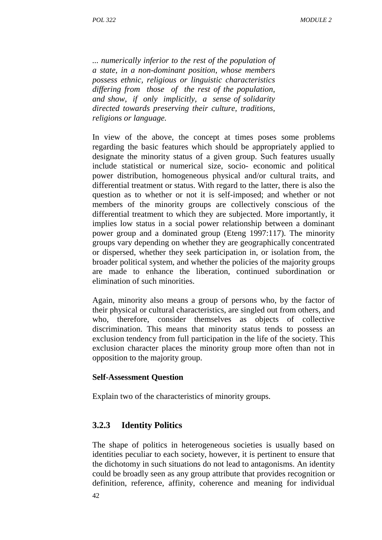*... numerically inferior to the rest of the population of a state, in a non-dominant position, whose members possess ethnic, religious or linguistic characteristics differing from those of the rest of the population, and show, if only implicitly, a sense of solidarity directed towards preserving their culture, traditions, religions or language.*

In view of the above, the concept at times poses some problems regarding the basic features which should be appropriately applied to designate the minority status of a given group. Such features usually include statistical or numerical size, socio- economic and political power distribution, homogeneous physical and/or cultural traits, and differential treatment or status. With regard to the latter, there is also the question as to whether or not it is self-imposed; and whether or not members of the minority groups are collectively conscious of the differential treatment to which they are subjected. More importantly, it implies low status in a social power relationship between a dominant power group and a dominated group (Eteng 1997:117). The minority groups vary depending on whether they are geographically concentrated or dispersed, whether they seek participation in, or isolation from, the broader political system, and whether the policies of the majority groups are made to enhance the liberation, continued subordination or elimination of such minorities.

Again, minority also means a group of persons who, by the factor of their physical or cultural characteristics, are singled out from others, and who, therefore, consider themselves as objects of collective discrimination. This means that minority status tends to possess an exclusion tendency from full participation in the life of the society. This exclusion character places the minority group more often than not in opposition to the majority group.

#### **Self-Assessment Question**

Explain two of the characteristics of minority groups.

## **3.2.3 Identity Politics**

The shape of politics in heterogeneous societies is usually based on identities peculiar to each society, however, it is pertinent to ensure that the dichotomy in such situations do not lead to antagonisms. An identity could be broadly seen as any group attribute that provides recognition or definition, reference, affinity, coherence and meaning for individual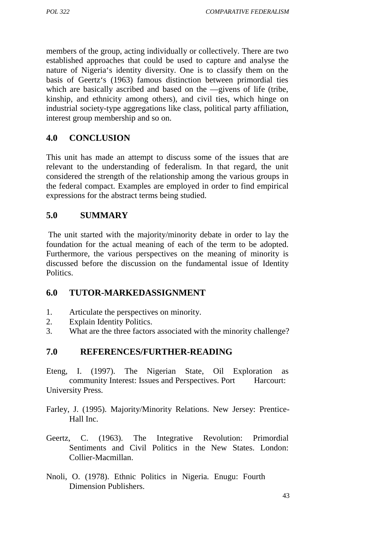members of the group, acting individually or collectively. There are two established approaches that could be used to capture and analyse the nature of Nigeria's identity diversity. One is to classify them on the basis of Geertz's (1963) famous distinction between primordial ties which are basically ascribed and based on the givens of life (tribe. which are basically ascribed and based on the kinship, and ethnicity among others), and civil ties, which hinge on industrial society-type aggregations like class, political party affiliation, interest group membership and so on.

# **4.0 CONCLUSION**

This unit has made an attempt to discuss some of the issues that are relevant to the understanding of federalism. In that regard, the unit considered the strength of the relationship among the various groups in the federal compact. Examples are employed in order to find empirical expressions for the abstract terms being studied.

## **5.0 SUMMARY**

The unit started with the majority/minority debate in order to lay the foundation for the actual meaning of each of the term to be adopted. Furthermore, the various perspectives on the meaning of minority is discussed before the discussion on the fundamental issue of Identity Politics.

## **6.0 TUTOR-MARKEDASSIGNMENT**

- 1. Articulate the perspectives on minority.
- 2. Explain Identity Politics.
- 3. What are the three factors associated with the minority challenge?

## **7.0 REFERENCES/FURTHER-READING**

Eteng, I. (1997). The Nigerian State, Oil Exploration as community Interest: Issues and Perspectives. Port Harcourt: University Press.

- Farley, J. (1995). Majority/Minority Relations. New Jersey: Prentice- Hall Inc.
- Geertz, C. (1963). The Integrative Revolution: Primordial Sentiments and Civil Politics in the New States. London: Collier-Macmillan.
- Nnoli, O. (1978). Ethnic Politics in Nigeria*.* Enugu: Fourth Dimension Publishers.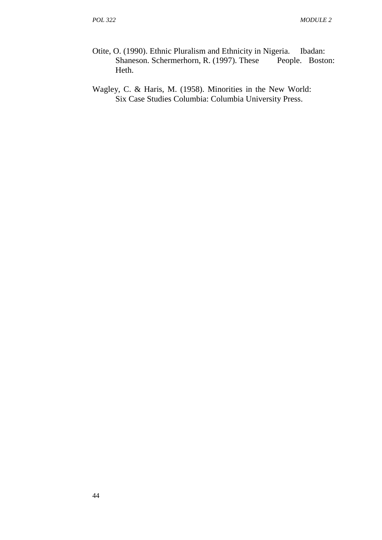- Otite, O. (1990). Ethnic Pluralism and Ethnicity in Nigeria. Ibadan:<br>Shaneson. Schermerhorn, R. (1997). These People. Boston: Shaneson. Schermerhorn, R. (1997). These Heth.
- Wagley, C. & Haris, M. (1958). Minorities in the New World: Six Case Studies Columbia: Columbia University Press.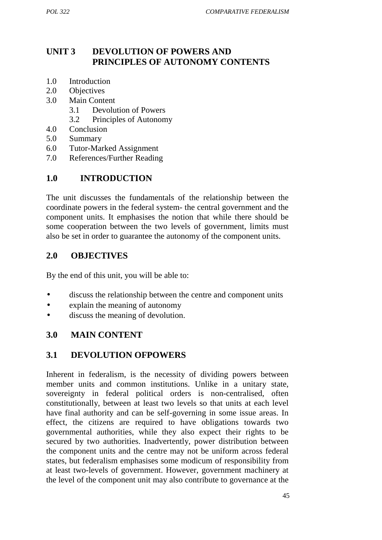# **UNIT 3 DEVOLUTION OF POWERS AND PRINCIPLES OF AUTONOMY CONTENTS**

- 1.0 Introduction
- 2.0 Objectives
- 3.0 Main Content
	- 3.1 Devolution of Powers
	- 3.2 Principles of Autonomy
- 4.0 Conclusion
- 5.0 Summary
- 6.0 Tutor-Marked Assignment
- 7.0 References/Further Reading

## **1.0 INTRODUCTION**

The unit discusses the fundamentals of the relationship between the coordinate powers in the federal system- the central government and the component units. It emphasises the notion that while there should be some cooperation between the two levels of government, limits must also be set in order to guarantee the autonomy of the component units.

## **2.0 OBJECTIVES**

By the end of this unit, you will be able to:

- discuss the relationship between the centre and component units
- explain the meaning of autonomy
- discuss the meaning of devolution.

### **3.0 MAIN CONTENT**

## **3.1 DEVOLUTION OFPOWERS**

Inherent in federalism, is the necessity of dividing powers between member units and common institutions. Unlike in a unitary state, sovereignty in federal political orders is non-centralised, often constitutionally, between at least two levels so that units at each level have final authority and can be self-governing in some issue areas. In effect, the citizens are required to have obligations towards two governmental authorities, while they also expect their rights to be secured by two authorities. Inadvertently, power distribution between the component units and the centre may not be uniform across federal states, but federalism emphasises some modicum of responsibility from at least two-levels of government. However, government machinery at the level of the component unit may also contribute to governance at the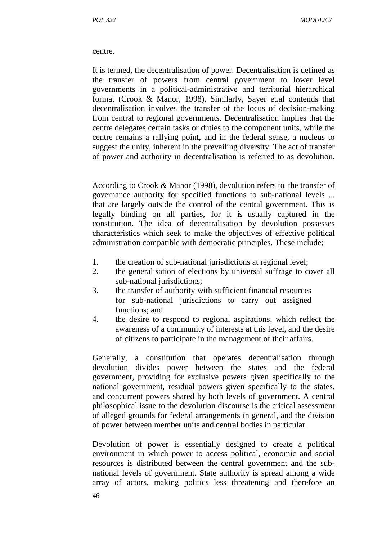#### centre.

It is termed, the decentralisation of power. Decentralisation is defined as the transfer of powers from central government to lower level governments in a political-administrative and territorial hierarchical format (Crook & Manor, 1998). Similarly, Sayer et.al contends that decentralisation involves the transfer of the locus of decision-making from central to regional governments. Decentralisation implies that the centre delegates certain tasks or duties to the component units, while the centre remains a rallying point, and in the federal sense, a nucleus to suggest the unity, inherent in the prevailing diversity. The act of transfer of power and authority in decentralisation is referred to as devolution.

According to Crook & Manor (1998), devolution refers to the transfer of governance authority for specified functions to sub-national levels ... that are largely outside the control of the central government. This is legally binding on all parties, for it is usually captured in the constitution. The idea of decentralisation by devolution possesses characteristics which seek to make the objectives of effective political administration compatible with democratic principles. These include;

- 1. the creation of sub-national jurisdictions at regional level;
- 2. the generalisation of elections by universal suffrage to cover all sub-national jurisdictions;
- 3. the transfer of authority with sufficient financial resources for sub-national jurisdictions to carry out assigned functions; and
- 4. the desire to respond to regional aspirations, which reflect the awareness of a community of interests at this level, and the desire of citizens to participate in the management of their affairs.

Generally, a constitution that operates decentralisation through devolution divides power between the states and the federal government, providing for exclusive powers given specifically to the national government, residual powers given specifically to the states, and concurrent powers shared by both levels of government. A central philosophical issue to the devolution discourse is the critical assessment of alleged grounds for federal arrangements in general, and the division of power between member units and central bodies in particular.

Devolution of power is essentially designed to create a political environment in which power to access political, economic and social resources is distributed between the central government and the sub national levels of government. State authority is spread among a wide array of actors, making politics less threatening and therefore an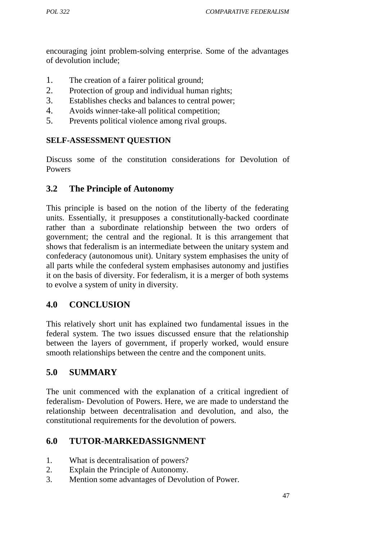encouraging joint problem-solving enterprise. Some of the advantages of devolution include;

- 1. The creation of a fairer political ground;
- 2. Protection of group and individual human rights;
- 3. Establishes checks and balances to central power;
- 4. Avoids winner-take-all political competition;
- 5. Prevents political violence among rival groups.

### **SELF-ASSESSMENT QUESTION**

Discuss some of the constitution considerations for Devolution of Powers

# **3.2 The Principle of Autonomy**

This principle is based on the notion of the liberty of the federating units. Essentially, it presupposes a constitutionally-backed coordinate rather than a subordinate relationship between the two orders of government; the central and the regional. It is this arrangement that shows that federalism is an intermediate between the unitary system and confederacy (autonomous unit). Unitary system emphasises the unity of all parts while the confederal system emphasises autonomy and justifies it on the basis of diversity. For federalism, it is a merger of both systems to evolve a system of unity in diversity.

# **4.0 CONCLUSION**

This relatively short unit has explained two fundamental issues in the federal system. The two issues discussed ensure that the relationship between the layers of government, if properly worked, would ensure smooth relationships between the centre and the component units.

# **5.0 SUMMARY**

The unit commenced with the explanation of a critical ingredient of federalism- Devolution of Powers. Here, we are made to understand the relationship between decentralisation and devolution, and also, the constitutional requirements for the devolution of powers.

## **6.0 TUTOR-MARKEDASSIGNMENT**

- 1. What is decentralisation of powers?
- 2. Explain the Principle of Autonomy.
- 3. Mention some advantages of Devolution of Power.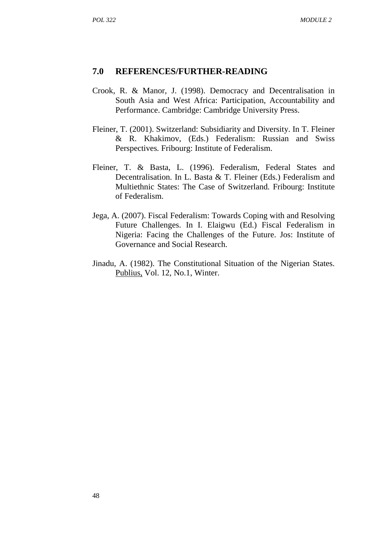#### **7.0 REFERENCES/FURTHER-READING**

- Crook, R. & Manor, J. (1998). Democracy and Decentralisation in South Asia and West Africa: Participation, Accountability and Performance. Cambridge: Cambridge University Press.
- Fleiner, T. (2001). Switzerland: Subsidiarity and Diversity. In T. Fleiner & R. Khakimov, (Eds.) Federalism: Russian and Swiss Perspectives*.* Fribourg: Institute of Federalism.
- Fleiner, T. & Basta, L. (1996). Federalism, Federal States and Decentralisation. In L. Basta & T. Fleiner (Eds.) Federalism and Multiethnic States: The Case of Switzerland*.* Fribourg: Institute of Federalism.
- Jega, A. (2007). Fiscal Federalism: Towards Coping with and Resolving Future Challenges. In I. Elaigwu (Ed.) Fiscal Federalism in Nigeria: Facing the Challenges of the Future. Jos: Institute of Governance and Social Research.
- Jinadu, A. (1982). The Constitutional Situation of the Nigerian States. Publius, Vol. 12, No.1, Winter.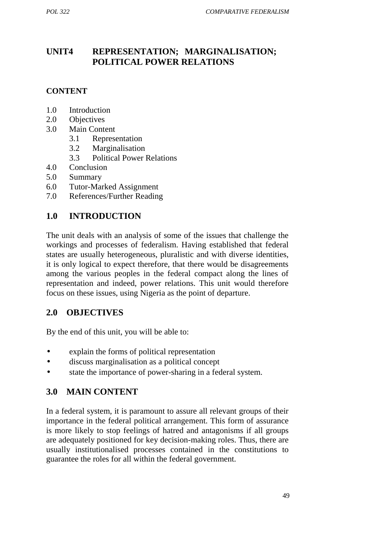# **UNIT4 REPRESENTATION; MARGINALISATION; POLITICAL POWER RELATIONS**

# **CONTENT**

- 1.0 Introduction
- 2.0 Objectives
- 3.0 Main Content
	- 3.1 Representation
	- 3.2 Marginalisation
	- 3.3 Political Power Relations
- 4.0 Conclusion
- 5.0 Summary
- 6.0 Tutor-Marked Assignment
- 7.0 References/Further Reading

# **1.0 INTRODUCTION**

The unit deals with an analysis of some of the issues that challenge the workings and processes of federalism. Having established that federal states are usually heterogeneous, pluralistic and with diverse identities, it is only logical to expect therefore, that there would be disagreements among the various peoples in the federal compact along the lines of representation and indeed, power relations. This unit would therefore focus on these issues, using Nigeria as the point of departure.

## **2.0 OBJECTIVES**

By the end of this unit, you will be able to:

- explain the forms of political representation
- discuss marginalisation as a political concept
- state the importance of power-sharing in a federal system.

# **3.0 MAIN CONTENT**

In a federal system, it is paramount to assure all relevant groups of their importance in the federal political arrangement. This form of assurance is more likely to stop feelings of hatred and antagonisms if all groups are adequately positioned for key decision-making roles. Thus, there are usually institutionalised processes contained in the constitutions to guarantee the roles for all within the federal government.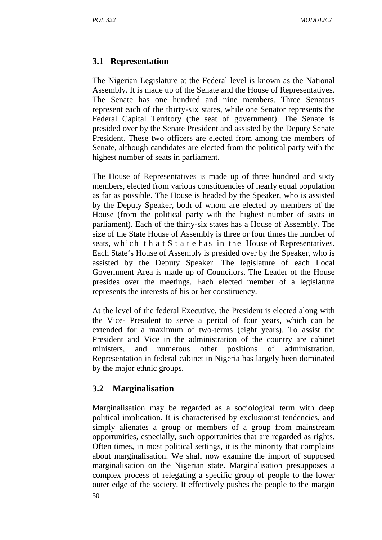# **3.1 Representation**

The Nigerian Legislature at the Federal level is known as the National Assembly. It is made up of the Senate and the House of Representatives. The Senate has one hundred and nine members. Three Senators represent each of the thirty-six states, while one Senator represents the Federal Capital Territory (the seat of government). The Senate is presided over by the Senate President and assisted by the Deputy Senate President. These two officers are elected from among the members of Senate, although candidates are elected from the political party with the highest number of seats in parliament.

The House of Representatives is made up of three hundred and sixty members, elected from various constituencies of nearly equal population as far as possible. The House is headed by the Speaker, who is assisted by the Deputy Speaker, both of whom are elected by members of the House (from the political party with the highest number of seats in parliament). Each of the thirty-six states has a House of Assembly. The size of the State House of Assembly is three or four times the number of as far as possible. The House is headed by the Speaker, who is assisted<br>by the Deputy Speaker, both of whom are elected by members of the<br>House (from the political party with the highest number of seats in<br>parliament). Eac Each State's House of Assembly is presided over by the Speaker, who is assisted by the Deputy Speaker. The legislature of each Local Government Area is made up of Councilors. The Leader of the House presides over the meetings. Each elected member of a legislature represents the interests of his or her constituency.

At the level of the federal Executive, the President is elected along with the Vice- President to serve a period of four years, which can be extended for a maximum of two-terms (eight years). To assist the President and Vice in the administration of the country are cabinet ministers, and numerous other positions of administration. Representation in federal cabinet in Nigeria has largely been dominated by the major ethnic groups.

## **3.2 Marginalisation**

50 Marginalisation may be regarded as a sociological term with deep political implication. It is characterised by exclusionist tendencies, and simply alienates a group or members of a group from mainstream opportunities, especially, such opportunities that are regarded as rights. Often times, in most political settings, it is the minority that complains about marginalisation. We shall now examine the import of supposed marginalisation on the Nigerian state. Marginalisation presupposes a complex process of relegating a specific group of people to the lower outer edge of the society. It effectively pushes the people to the margin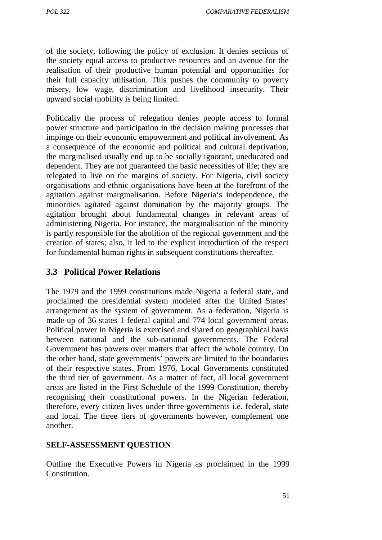*POL 322 COMPARATIVE FEDERALISM*

of the society, following the policy of exclusion. It denies sections of the society equal access to productive resources and an avenue for the realisation of their productive human potential and opportunities for their full capacity utilisation. This pushes the community to poverty misery, low wage, discrimination and livelihood insecurity. Their upward social mobility is being limited.

Politically the process of relegation denies people access to formal power structure and participation in the decision making processes that impinge on their economic empowerment and political involvement. As a consequence of the economic and political and cultural deprivation, the marginalised usually end up to be socially ignorant, uneducated and dependent. They are not guaranteed the basic necessities of life; they are relegated to live on the margins of society. For Nigeria, civil society organisations and ethnic organisations have been at the forefront of the agitation against marginalisation. Before Nigeria's independence, the minorities agitated against domination by the majority groups. The agitation brought about fundamental changes in relevant areas of administering Nigeria. For instance, the marginalisation of the minority is partly responsible for the abolition of the regional government and the creation of states; also, it led to the explicit introduction of the respect for fundamental human rights in subsequent constitutions thereafter.

### **3.3 Political Power Relations**

The 1979 and the 1999 constitutions made Nigeria a federal state, and proclaimed the presidential system modeled after the United States' arrangement as the system of government. As a federation, Nigeria is made up of 36 states 1 federal capital and 774 local government areas. Political power in Nigeria is exercised and shared on geographical basis between national and the sub-national governments. The Federal Government has powers over matters that affect the whole country. On the other hand, state governments' powers are limited to the boundaries of their respective states. From 1976, Local Governments constituted the third tier of government. As a matter of fact, all local government areas are listed in the First Schedule of the 1999 Constitution, thereby recognising their constitutional powers. In the Nigerian federation, therefore, every citizen lives under three governments i.e. federal, state and local. The three tiers of governments however, complement one another.

#### **SELF-ASSESSMENT QUESTION**

Outline the Executive Powers in Nigeria as proclaimed in the 1999 Constitution.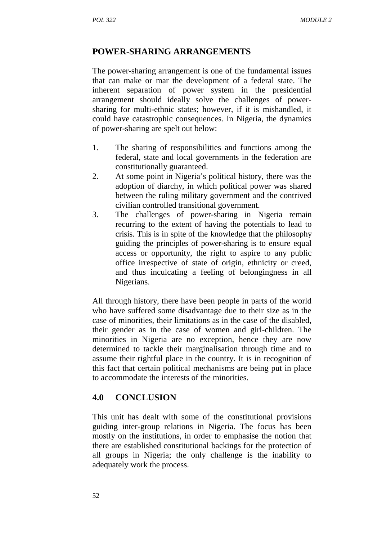### **POWER-SHARING ARRANGEMENTS**

The power-sharing arrangement is one of the fundamental issues that can make or mar the development of a federal state. The inherent separation of power system in the presidential arrangement should ideally solve the challenges of power sharing for multi-ethnic states; however, if it is mishandled, it could have catastrophic consequences. In Nigeria, the dynamics of power-sharing are spelt out below:

- 1. The sharing of responsibilities and functions among the federal, state and local governments in the federation are constitutionally guaranteed.
- 2. At some point in Nigeria's political history, there was the adoption of diarchy, in which political power was shared between the ruling military government and the contrived civilian controlled transitional government.
- 3. The challenges of power-sharing in Nigeria remain recurring to the extent of having the potentials to lead to crisis. This is in spite of the knowledge that the philosophy guiding the principles of power-sharing is to ensure equal access or opportunity, the right to aspire to any public office irrespective of state of origin, ethnicity or creed, and thus inculcating a feeling of belongingness in all Nigerians.

All through history, there have been people in parts of the world who have suffered some disadvantage due to their size as in the case of minorities, their limitations as in the case of the disabled, their gender as in the case of women and girl-children. The minorities in Nigeria are no exception, hence they are now determined to tackle their marginalisation through time and to assume their rightful place in the country. It is in recognition of this fact that certain political mechanisms are being put in place to accommodate the interests of the minorities.

### **4.0 CONCLUSION**

This unit has dealt with some of the constitutional provisions guiding inter-group relations in Nigeria. The focus has been mostly on the institutions, in order to emphasise the notion that there are established constitutional backings for the protection of all groups in Nigeria; the only challenge is the inability to adequately work the process.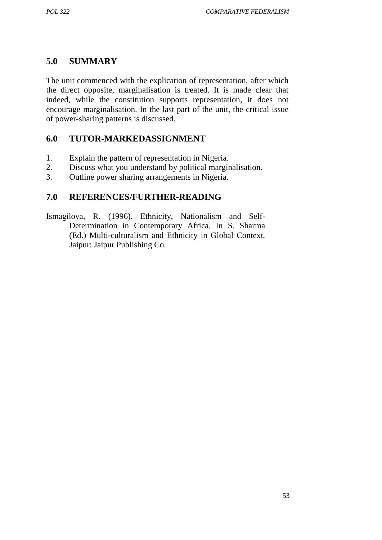# **5.0 SUMMARY**

The unit commenced with the explication of representation, after which the direct opposite, marginalisation is treated. It is made clear that indeed, while the constitution supports representation, it does not encourage marginalisation. In the last part of the unit, the critical issue of power-sharing patterns is discussed.

## **6.0 TUTOR-MARKEDASSIGNMENT**

- 1. Explain the pattern of representation in Nigeria.
- 2. Discuss what you understand by political marginalisation.
- 3. Outline power sharing arrangements in Nigeria.

### **7.0 REFERENCES/FURTHER-READING**

Ismagilova, R. (1996). Ethnicity, Nationalism and Self- Determination in Contemporary Africa. In S. Sharma (Ed.) Multi-culturalism and Ethnicity in Global Context*.* Jaipur: Jaipur Publishing Co.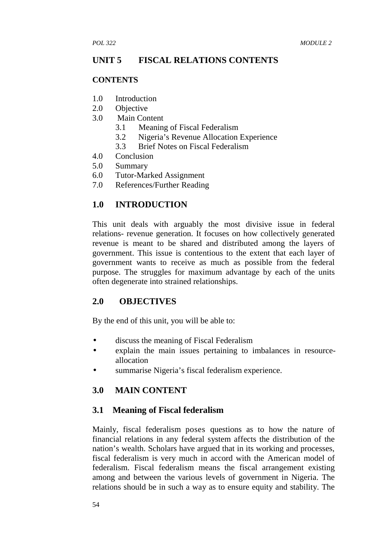### **UNIT 5 FISCAL RELATIONS CONTENTS**

#### **CONTENTS**

- 1.0 Introduction
- 2.0 Objective
- 3.0 Main Content
	- 3.1 Meaning of Fiscal Federalism
	- 3.2 Nigeria's Revenue Allocation Experience
	- 3.3 Brief Notes on Fiscal Federalism
- 4.0 Conclusion
- 5.0 Summary
- 6.0 Tutor-Marked Assignment
- 7.0 References/Further Reading

### **1.0 INTRODUCTION**

This unit deals with arguably the most divisive issue in federal relations- revenue generation. It focuses on how collectively generated revenue is meant to be shared and distributed among the layers of government. This issue is contentious to the extent that each layer of government wants to receive as much as possible from the federal purpose. The struggles for maximum advantage by each of the units often degenerate into strained relationships.

### **2.0 OBJECTIVES**

By the end of this unit, you will be able to:

- discuss the meaning of Fiscal Federalism
- explain the main issues pertaining to imbalances in resource allocation
- summarise Nigeria's fiscal federalism experience.

## **3.0 MAIN CONTENT**

## **3.1 Meaning of Fiscal federalism**

Mainly, fiscal federalism poses questions as to how the nature of financial relations in any federal system affects the distribution of the nation's wealth. Scholars have argued that in its working and processes, fiscal federalism is very much in accord with the American model of federalism. Fiscal federalism means the fiscal arrangement existing among and between the various levels of government in Nigeria. The relations should be in such a way as to ensure equity and stability. The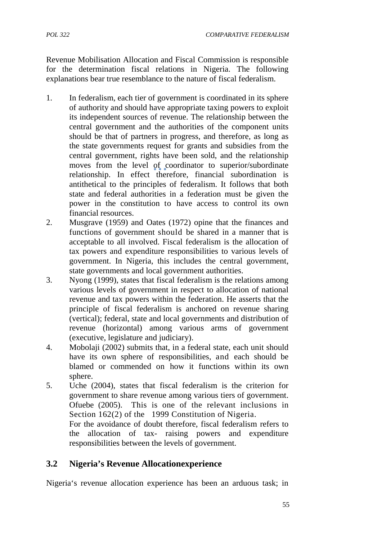Revenue Mobilisation Allocation and Fiscal Commission is responsible for the determination fiscal relations in Nigeria. The following explanations bear true resemblance to the nature of fiscal federalism.

- 1. In federalism, each tier of government is coordinated in its sphere of authority and should have appropriate taxing powers to exploit its independent sources of revenue. The relationship between the central government and the authorities of the component units should be that of partners in progress, and therefore, as long as the state governments request for grants and subsidies from the central government, rights have been sold, and the relationship moves from the level of coordinator to superior/subordinate relationship. In effect therefore, financial subordination is antithetical to the principles of federalism. It follows that both state and federal authorities in a federation must be given the power in the constitution to have access to control its own financial resources.
- 2. Musgrave (1959) and Oates (1972) opine that the finances and functions of government should be shared in a manner that is acceptable to all involved. Fiscal federalism is the allocation of tax powers and expenditure responsibilities to various levels of government. In Nigeria, this includes the central government, state governments and local government authorities.
- 3. Nyong (1999), states that fiscal federalism is the relations among various levels of government in respect to allocation of national revenue and tax powers within the federation. He asserts that the principle of fiscal federalism is anchored on revenue sharing (vertical); federal, state and local governments and distribution of revenue (horizontal) among various arms of government (executive, legislature and judiciary).
- 4. Mobolaji (2002) submits that, in a federal state, each unit should have its own sphere of responsibilities, and each should be blamed or commended on how it functions within its own sphere.
- 5. Uche (2004), states that fiscal federalism is the criterion for government to share revenue among various tiers of government. Ofuebe (2005). This is one of the relevant inclusions in Section 162(2) of the 1999 Constitution of Nigeria. For the avoidance of doubt therefore, fiscal federalism refers to the allocation of tax- raising powers and expenditure responsibilities between the levels of government.

## **3.2 Nigeria's Revenue Allocationexperience**

Nigeria's revenue allocation experience has been an arduous task; in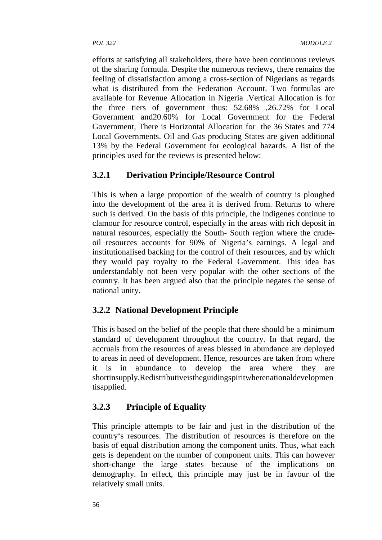efforts at satisfying all stakeholders, there have been continuous reviews of the sharing formula. Despite the numerous reviews, there remains the feeling of dissatisfaction among a cross-section of Nigerians as regards what is distributed from the Federation Account. Two formulas are available for Revenue Allocation in Nigeria .Vertical Allocation is for the three tiers of government thus: 52.68% ,26.72% for Local Government and20.60% for Local Government for the Federal Government, There is Horizontal Allocation for the 36 States and 774 Local Governments. Oil and Gas producing States are given additional 13% by the Federal Government for ecological hazards. A list of the principles used for the reviews is presented below:

## **3.2.1 Derivation Principle/Resource Control**

This is when a large proportion of the wealth of country is ploughed into the development of the area it is derived from. Returns to where such is derived. On the basis of this principle, the indigenes continue to clamour for resource control, especially in the areas with rich deposit in natural resources, especially the South- South region where the crude oil resources accounts for 90% of Nigeria's earnings. A legal and institutionalised backing for the control of their resources, and by which they would pay royalty to the Federal Government. This idea has understandably not been very popular with the other sections of the country. It has been argued also that the principle negates the sense of national unity.

## **3.2.2 National Development Principle**

This is based on the belief of the people that there should be a minimum standard of development throughout the country. In that regard, the accruals from the resources of areas blessed in abundance are deployed to areas in need of development. Hence, resources are taken from where it is in abundance to develop the area where they are shortinsupply.Redistributiveistheguidingspiritwherenationaldevelopmen tisapplied.

## **3.2.3 Principle of Equality**

This principle attempts to be fair and just in the distribution of the country's resources. The distribution of resources is therefore on the basis of equal distribution among the component units. Thus, what each gets is dependent on the number of component units. This can however short-change the large states because of the implications on demography. In effect, this principle may just be in favour of the relatively small units.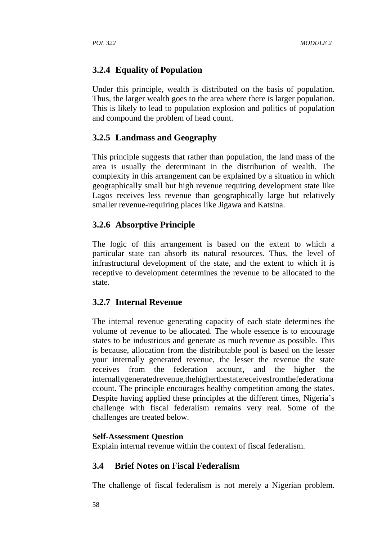## **3.2.4 Equality of Population**

Under this principle, wealth is distributed on the basis of population. Thus, the larger wealth goes to the area where there is larger population. This is likely to lead to population explosion and politics of population and compound the problem of head count.

#### **3.2.5 Landmass and Geography**

This principle suggests that rather than population, the land mass of the area is usually the determinant in the distribution of wealth. The complexity in this arrangement can be explained by a situation in which geographically small but high revenue requiring development state like Lagos receives less revenue than geographically large but relatively smaller revenue-requiring places like Jigawa and Katsina.

#### **3.2.6 Absorptive Principle**

The logic of this arrangement is based on the extent to which a particular state can absorb its natural resources. Thus, the level of infrastructural development of the state, and the extent to which it is receptive to development determines the revenue to be allocated to the state.

#### **3.2.7 Internal Revenue**

The internal revenue generating capacity of each state determines the volume of revenue to be allocated. The whole essence is to encourage states to be industrious and generate as much revenue as possible. This is because, allocation from the distributable pool is based on the lesser your internally generated revenue, the lesser the revenue the state receives from the federation account, and the higher the internallygeneratedrevenue,thehigherthestatereceivesfromthefederationa ccount. The principle encourages healthy competition among the states. Despite having applied these principles at the different times, Nigeria's challenge with fiscal federalism remains very real. Some of the challenges are treated below.

#### **Self-Assessment Question**

Explain internal revenue within the context of fiscal federalism.

#### **3.4 Brief Notes on Fiscal Federalism**

The challenge of fiscal federalism is not merely a Nigerian problem.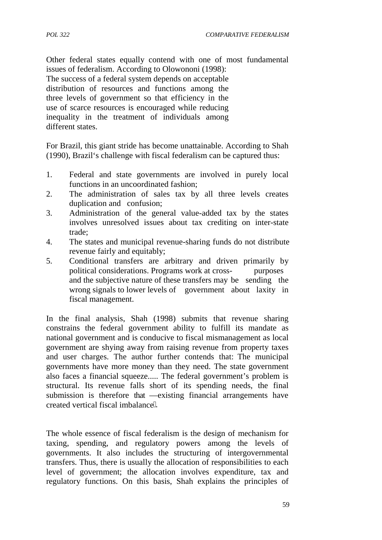Other federal states equally contend with one of most fundamental issues of federalism. According to Olowononi (1998): The success of a federal system depends on acceptable distribution of resources and functions among the three levels of government so that efficiency in the use of scarce resources is encouraged while reducing inequality in the treatment of individuals among different states.

For Brazil, this giant stride has become unattainable. According to Shah (1990), Brazil's challenge with fiscal federalism can be captured thus:

- 1. Federal and state governments are involved in purely local functions in an uncoordinated fashion;
- 2. The administration of sales tax by all three levels creates duplication and confusion;
- 3. Administration of the general value-added tax by the states involves unresolved issues about tax crediting on inter-state trade;
- 4. The states and municipal revenue-sharing funds do not distribute revenue fairly and equitably;
- 5. Conditional transfers are arbitrary and driven primarily by political considerations. Programs work at cross- purposes and the subjective nature of these transfers may be sending the wrong signals to lower levels of government about laxity in fiscal management.

In the final analysis, Shah (1998) submits that revenue sharing constrains the federal government ability to fulfill its mandate as national government and is conducive to fiscal mismanagement as local government are shying away from raising revenue from property taxes and user charges. The author further contends that: The municipal governments have more money than they need. The state government also faces a financial squeeze..... The federal government's problem is structural. Its revenue falls short of its spending needs, the final submission is therefore that existing financial arrangements have created vertical fiscal imbalance.

The whole essence of fiscal federalism is the design of mechanism for taxing, spending, and regulatory powers among the levels of governments. It also includes the structuring of intergovernmental transfers. Thus, there is usually the allocation of responsibilities to each level of government; the allocation involves expenditure, tax and regulatory functions. On this basis, Shah explains the principles of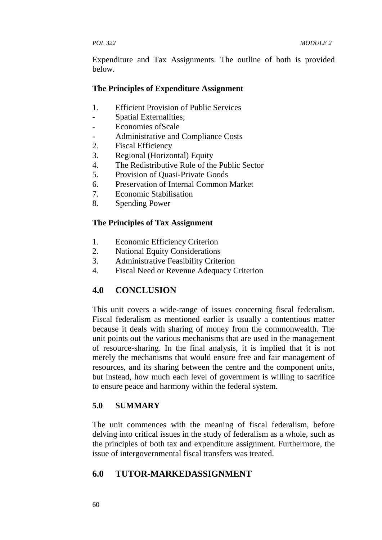Expenditure and Tax Assignments. The outline of both is provided below.

#### **The Principles of Expenditure Assignment**

- 1. Efficient Provision of Public Services
- Spatial Externalities;
- Economies ofScale
- Administrative and Compliance Costs
- 2. Fiscal Efficiency
- 3. Regional (Horizontal) Equity
- 4. The Redistributive Role of the Public Sector
- 5. Provision of Quasi-Private Goods
- 6. Preservation of Internal Common Market
- 7. Economic Stabilisation
- 8. Spending Power

#### **The Principles of Tax Assignment**

- 1. Economic Efficiency Criterion
- 2. National Equity Considerations
- 3. Administrative Feasibility Criterion
- 4. Fiscal Need or Revenue Adequacy Criterion

## **4.0 CONCLUSION**

This unit covers a wide-range of issues concerning fiscal federalism. Fiscal federalism as mentioned earlier is usually a contentious matter because it deals with sharing of money from the commonwealth. The unit points out the various mechanisms that are used in the management of resource-sharing. In the final analysis, it is implied that it is not merely the mechanisms that would ensure free and fair management of resources, and its sharing between the centre and the component units, but instead, how much each level of government is willing to sacrifice to ensure peace and harmony within the federal system.

### **5.0 SUMMARY**

The unit commences with the meaning of fiscal federalism, before delving into critical issues in the study of federalism as a whole, such as the principles of both tax and expenditure assignment. Furthermore, the issue of intergovernmental fiscal transfers was treated.

## **6.0 TUTOR-MARKEDASSIGNMENT**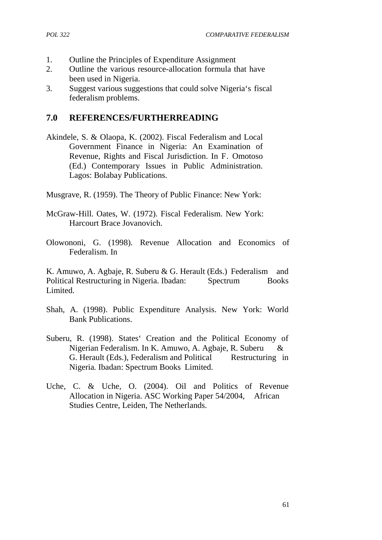- 1. Outline the Principles of Expenditure Assignment
- 2. Outline the various resource-allocation formula that have been used in Nigeria.
- 3. Suggest various suggestions that could solve Nigeria's fiscal federalism problems.

### **7.0 REFERENCES/FURTHERREADING**

- Akindele, S. & Olaopa, K. (2002). Fiscal Federalism and Local Government Finance in Nigeria: An Examination of Revenue, Rights and Fiscal Jurisdiction. In F. Omotoso (Ed.) Contemporary Issues in Public Administration. Lagos: Bolabay Publications.
- Musgrave, R. (1959). The Theory of Public Finance: New York:
- McGraw-Hill. Oates, W. (1972). Fiscal Federalism. New York: Harcourt Brace Jovanovich.
- Olowononi, G. (1998). Revenue Allocation and Economics of Federalism. In

K. Amuwo, A. Agbaje, R. Suberu & G. Herault (Eds.) Federalism and Political Restructuring in Nigeria. Ibadan: Spectrum Books Limited.

- Shah, A. (1998). Public Expenditure Analysis. New York: World Bank Publications.
- Suberu, R. (1998). States' Creation and the Political Economy of Nigerian Federalism. In K. Amuwo, A. Agbaje, R. Suberu & G. Herault (Eds.), Federalism and Political Restructuring in Nigeria*.* Ibadan: Spectrum Books Limited.
- Uche, C. & Uche, O. (2004). Oil and Politics of Revenue Allocation in Nigeria. ASC Working Paper 54/2004, African Studies Centre, Leiden, The Netherlands.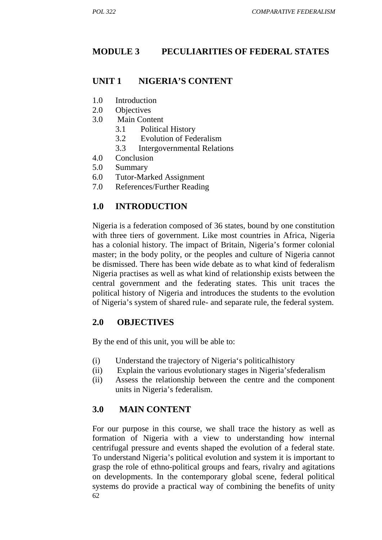## **MODULE 3 PECULIARITIES OF FEDERAL STATES**

### **UNIT 1 NIGERIA'S CONTENT**

- 1.0 Introduction
- 2.0 Objectives
- 3.0 Main Content
	- 3.1 Political History
	- 3.2 Evolution of Federalism
	- 3.3 Intergovernmental Relations
- 4.0 Conclusion
- 5.0 Summary
- 6.0 Tutor-Marked Assignment
- 7.0 References/Further Reading

### **1.0 INTRODUCTION**

Nigeria is a federation composed of 36 states, bound by one constitution with three tiers of government. Like most countries in Africa, Nigeria has a colonial history. The impact of Britain, Nigeria's former colonial master; in the body polity, or the peoples and culture of Nigeria cannot be dismissed. There has been wide debate as to what kind of federalism Nigeria practises as well as what kind of relationship exists between the central government and the federating states. This unit traces the political history of Nigeria and introduces the students to the evolution of Nigeria's system of shared rule- and separate rule, the federal system.

### **2.0 OBJECTIVES**

By the end of this unit, you will be able to:

- (i) Understand the trajectory of Nigeria's politicalhistory
- (ii) Explain the various evolutionary stages in Nigeria'sfederalism
- (ii) Assess the relationship between the centre and the component units in Nigeria's federalism.

### **3.0 MAIN CONTENT**

62 For our purpose in this course, we shall trace the history as well as formation of Nigeria with a view to understanding how internal centrifugal pressure and events shaped the evolution of a federal state. To understand Nigeria's political evolution and system it is important to grasp the role of ethno-political groups and fears, rivalry and agitations on developments. In the contemporary global scene, federal political systems do provide a practical way of combining the benefits of unity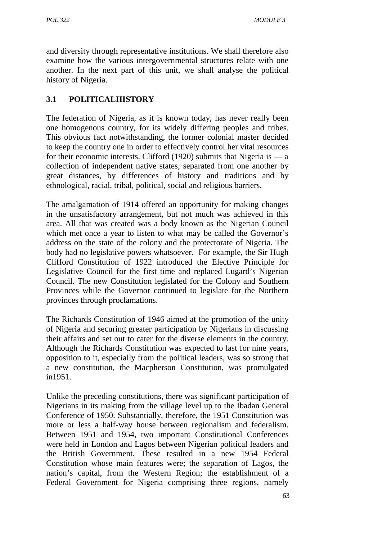and diversity through representative institutions. We shall therefore also examine how the various intergovernmental structures relate with one another. In the next part of this unit, we shall analyse the political history of Nigeria.

## **3.1 POLITICALHISTORY**

The federation of Nigeria, as it is known today, has never really been one homogenous country, for its widely differing peoples and tribes. This obvious fact notwithstanding, the former colonial master decided to keep the country one in order to effectively control her vital resources for their economic interests. Clifford (1920) submits that Nigeria is ― a collection of independent native states, separated from one another by great distances, by differences of history and traditions and by ethnological, racial, tribal, political, social and religious barriers.

The amalgamation of 1914 offered an opportunity for making changes in the unsatisfactory arrangement, but not much was achieved in this area. All that was created was a body known as the Nigerian Council which met once a year to listen to what may be called the Governor's address on the state of the colony and the protectorate of Nigeria. The body had no legislative powers whatsoever. For example, the Sir Hugh Clifford Constitution of 1922 introduced the Elective Principle for Legislative Council for the first time and replaced Lugard's Nigerian Council. The new Constitution legislated for the Colony and Southern Provinces while the Governor continued to legislate for the Northern provinces through proclamations.

The Richards Constitution of 1946 aimed at the promotion of the unity of Nigeria and securing greater participation by Nigerians in discussing their affairs and set out to cater for the diverse elements in the country. Although the Richards Constitution was expected to last for nine years, opposition to it, especially from the political leaders, was so strong that a new constitution, the Macpherson Constitution, was promulgated in1951.

Unlike the preceding constitutions, there was significant participation of Nigerians in its making from the village level up to the Ibadan General Conference of 1950. Substantially, therefore, the 1951 Constitution was more or less a half-way house between regionalism and federalism. Between 1951 and 1954, two important Constitutional Conferences were held in London and Lagos between Nigerian political leaders and the British Government. These resulted in a new 1954 Federal Constitution whose main features were; the separation of Lagos, the nation's capital, from the Western Region; the establishment of a Federal Government for Nigeria comprising three regions, namely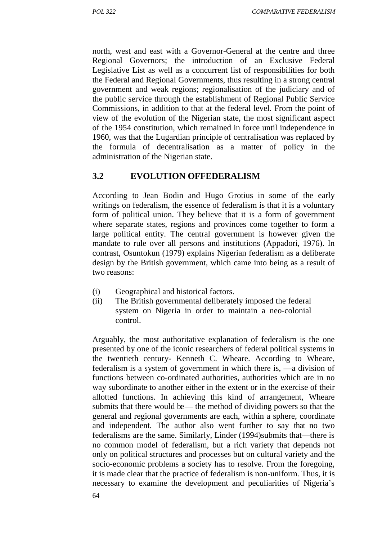north, west and east with a Governor-General at the centre and three Regional Governors; the introduction of an Exclusive Federal Legislative List as well as a concurrent list of responsibilities for both the Federal and Regional Governments, thus resulting in a strong central government and weak regions; regionalisation of the judiciary and of the public service through the establishment of Regional Public Service Commissions, in addition to that at the federal level. From the point of view of the evolution of the Nigerian state, the most significant aspect of the 1954 constitution, which remained in force until independence in 1960, was that the Lugardian principle of centralisation was replaced by the formula of decentralisation as a matter of policy in the administration of the Nigerian state.

### **3.2 EVOLUTION OFFEDERALISM**

According to Jean Bodin and Hugo Grotius in some of the early writings on federalism, the essence of federalism is that it is a voluntary form of political union. They believe that it is a form of government where separate states, regions and provinces come together to form a large political entity. The central government is however given the mandate to rule over all persons and institutions (Appadori, 1976). In contrast, Osuntokun (1979) explains Nigerian federalism as a deliberate design by the British government, which came into being as a result of two reasons:

- (i) Geographical and historical factors.
- (ii) The British governmental deliberately imposed the federal system on Nigeria in order to maintain a neo-colonial control.

Arguably, the most authoritative explanation of federalism is the one presented by one of the iconic researchers of federal political systems in the twentieth century- Kenneth C. Wheare. According to Wheare, federalism is a system of government in which there is, ―a division of functions between co-ordinated authorities, authorities which are in no way subordinate to another either in the extent or in the exercise of their allotted functions. In achieving this kind of arrangement, Wheare submits that there would be— the method of dividing powers so that the general and regional governments are each, within a sphere, coordinate and independent. The author also went further to say that no two federalisms are the same. Similarly, Linder (1994) submits that —there is no common model of federalism, but a rich variety that depends not only on political structures and processes but on cultural variety and the socio-economic problems a society has to resolve. From the foregoing, it is made clear that the practice of federalism is non-uniform. Thus, it is necessary to examine the development and peculiarities of Nigeria's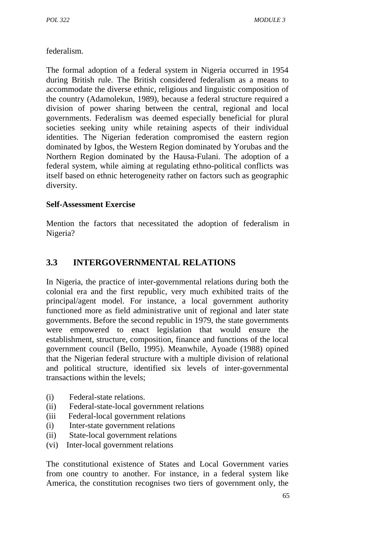federalism.

The formal adoption of a federal system in Nigeria occurred in 1954 during British rule. The British considered federalism as a means to accommodate the diverse ethnic, religious and linguistic composition of the country (Adamolekun, 1989), because a federal structure required a division of power sharing between the central, regional and local governments. Federalism was deemed especially beneficial for plural societies seeking unity while retaining aspects of their individual identities. The Nigerian federation compromised the eastern region dominated by Igbos, the Western Region dominated by Yorubas and the Northern Region dominated by the Hausa-Fulani. The adoption of a federal system, while aiming at regulating ethno-political conflicts was itself based on ethnic heterogeneity rather on factors such as geographic diversity.

### **Self-Assessment Exercise**

Mention the factors that necessitated the adoption of federalism in Nigeria?

# **3.3 INTERGOVERNMENTAL RELATIONS**

In Nigeria, the practice of inter-governmental relations during both the colonial era and the first republic, very much exhibited traits of the principal/agent model. For instance, a local government authority functioned more as field administrative unit of regional and later state governments. Before the second republic in 1979, the state governments were empowered to enact legislation that would ensure the establishment, structure, composition, finance and functions of the local government council (Bello, 1995). Meanwhile, Ayoade (1988) opined that the Nigerian federal structure with a multiple division of relational and political structure, identified six levels of inter-governmental transactions within the levels;

- (i) Federal-state relations.
- (ii) Federal-state-local government relations
- (iii Federal-local government relations
- (i) Inter-state government relations
- (ii) State-local government relations
- (vi) Inter-local government relations

The constitutional existence of States and Local Government varies from one country to another. For instance, in a federal system like America, the constitution recognises two tiers of government only, the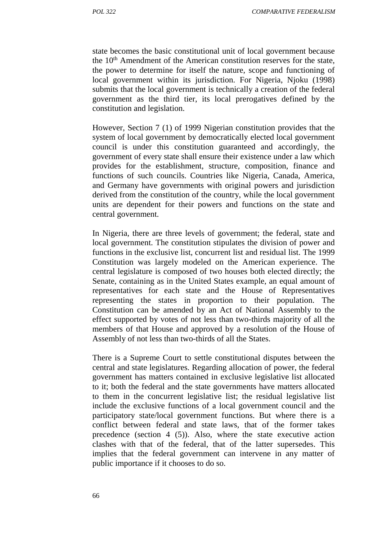state becomes the basic constitutional unit of local government because the 10<sup>th</sup> Amendment of the American constitution reserves for the state, the power to determine for itself the nature, scope and functioning of local government within its jurisdiction. For Nigeria, Njoku (1998) submits that the local government is technically a creation of the federal government as the third tier, its local prerogatives defined by the constitution and legislation.

However, Section 7 (1) of 1999 Nigerian constitution provides that the system of local government by democratically elected local government council is under this constitution guaranteed and accordingly, the government of every state shall ensure their existence under a law which provides for the establishment, structure, composition, finance and functions of such councils. Countries like Nigeria, Canada, America, and Germany have governments with original powers and jurisdiction derived from the constitution of the country, while the local government units are dependent for their powers and functions on the state and central government.

In Nigeria, there are three levels of government; the federal, state and local government. The constitution stipulates the division of power and functions in the exclusive list, concurrent list and residual list. The 1999 Constitution was largely modeled on the American experience. The central legislature is composed of two houses both elected directly; the Senate, containing as in the United States example, an equal amount of representatives for each state and the House of Representatives representing the states in proportion to their population. The Constitution can be amended by an Act of National Assembly to the effect supported by votes of not less than two-thirds majority of all the members of that House and approved by a resolution of the House of Assembly of not less than two-thirds of all the States.

There is a Supreme Court to settle constitutional disputes between the central and state legislatures. Regarding allocation of power, the federal government has matters contained in exclusive legislative list allocated to it; both the federal and the state governments have matters allocated to them in the concurrent legislative list; the residual legislative list include the exclusive functions of a local government council and the participatory state/local government functions. But where there is a conflict between federal and state laws, that of the former takes precedence (section 4 (5)). Also, where the state executive action clashes with that of the federal, that of the latter supersedes. This implies that the federal government can intervene in any matter of public importance if it chooses to do so.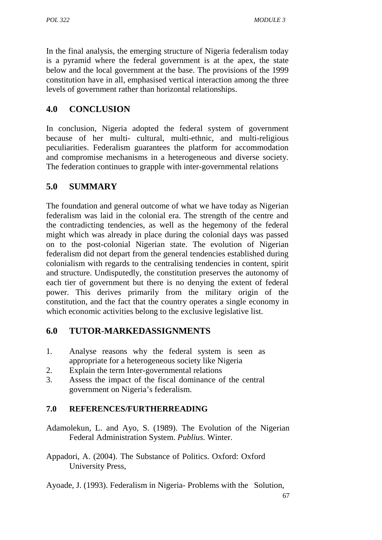In the final analysis, the emerging structure of Nigeria federalism today is a pyramid where the federal government is at the apex, the state below and the local government at the base. The provisions of the 1999 constitution have in all, emphasised vertical interaction among the three levels of government rather than horizontal relationships.

# **4.0 CONCLUSION**

In conclusion, Nigeria adopted the federal system of government because of her multi- cultural, multi-ethnic, and multi-religious peculiarities. Federalism guarantees the platform for accommodation and compromise mechanisms in a heterogeneous and diverse society. The federation continues to grapple with inter-governmental relations

# **5.0 SUMMARY**

The foundation and general outcome of what we have today as Nigerian federalism was laid in the colonial era. The strength of the centre and the contradicting tendencies, as well as the hegemony of the federal might which was already in place during the colonial days was passed on to the post-colonial Nigerian state. The evolution of Nigerian federalism did not depart from the general tendencies established during colonialism with regards to the centralising tendencies in content, spirit and structure. Undisputedly, the constitution preserves the autonomy of each tier of government but there is no denying the extent of federal power. This derives primarily from the military origin of the constitution, and the fact that the country operates a single economy in which economic activities belong to the exclusive legislative list.

# **6.0 TUTOR-MARKEDASSIGNMENTS**

- 1. Analyse reasons why the federal system is seen as appropriate for a heterogeneous society like Nigeria
- 2. Explain the term Inter-governmental relations
- 3. Assess the impact of the fiscal dominance of the central government on Nigeria's federalism.

## **7.0 REFERENCES/FURTHERREADING**

- Adamolekun, L. and Ayo, S. (1989). The Evolution of the Nigerian Federal Administration System. *Publius*. Winter.
- Appadori, A. (2004). The Substance of Politics. Oxford: Oxford University Press,

Ayoade, J. (1993). Federalism in Nigeria- Problems with the Solution,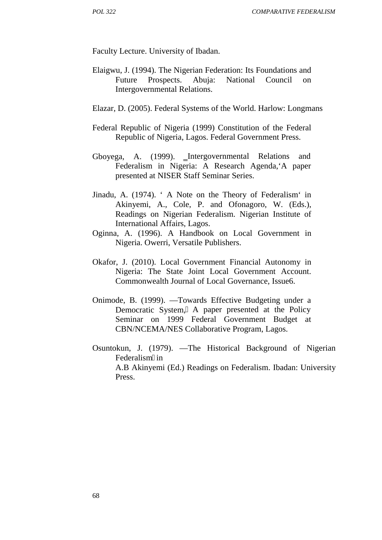Faculty Lecture. University of Ibadan.

- Elaigwu, J. (1994). The Nigerian Federation: Its Foundations and Future Prospects. Abuja: National Council on Intergovernmental Relations.
- Elazar, D. (2005). Federal Systems of the World. Harlow: Longmans
- Federal Republic of Nigeria (1999) Constitution of the Federal Republic of Nigeria, Lagos. Federal Government Press.
- Gboyega, A. (1999). Intergovernmental Relations and Federalism in Nigeria: A Research Agenda,'A paper presented at NISER Staff Seminar Series.
- Jinadu, A. (1974). ' A Note on the Theory of Federalism' in Akinyemi, A., Cole, P. and Ofonagoro, W. (Eds.), Readings on Nigerian Federalism. Nigerian Institute of International Affairs, Lagos.
- Oginna, A. (1996). A Handbook on Local Government in Nigeria. Owerri, Versatile Publishers.
- Okafor, J. (2010). Local Government Financial Autonomy in Nigeria: The State Joint Local Government Account. Commonwealth Journal of Local Governance, Issue6.
- Onimode, B. (1999). ―Towards Effective Budgeting under a Democratic System, A paper presented at the Policy Seminar on 1999 Federal Government Budget at CBN/NCEMA/NES Collaborative Program, Lagos.
- Osuntokun, J. (1979). ―The Historical Background of Nigerian Federalism in A.B Akinyemi (Ed.) Readings on Federalism. Ibadan: University Press.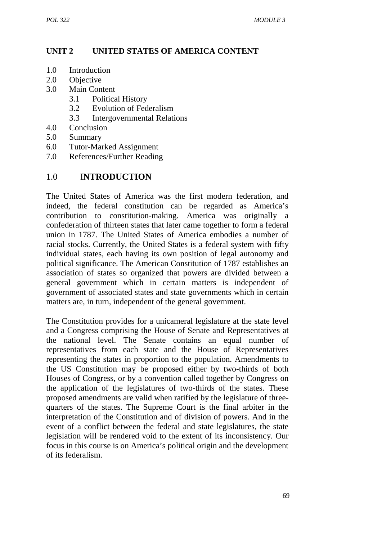## **UNIT 2 UNITED STATES OF AMERICA CONTENT**

- 1.0 Introduction
- 2.0 Objective
- 3.0 Main Content
	- 3.1 Political History
	- 3.2 Evolution of Federalism
	- 3.3 Intergovernmental Relations
- 4.0 Conclusion
- 5.0 Summary
- 6.0 Tutor-Marked Assignment
- 7.0 References/Further Reading

### 1.0 I**NTRODUCTION**

The United States of America was the first modern federation, and indeed, the federal constitution can be regarded as America's contribution to constitution-making. America was originally a confederation of thirteen states that later came together to form a federal union in 1787. The United States of America embodies a number of racial stocks. Currently, the United States is a federal system with fifty individual states, each having its own position of legal autonomy and political significance. The American Constitution of 1787 establishes an association of states so organized that powers are divided between a general government which in certain matters is independent of government of associated states and state governments which in certain matters are, in turn, independent of the general government.

The Constitution provides for a unicameral legislature at the state level and a Congress comprising the House of Senate and Representatives at the national level. The Senate contains an equal number of representatives from each state and the House of Representatives representing the states in proportion to the population. Amendments to the US Constitution may be proposed either by two-thirds of both Houses of Congress, or by a convention called together by Congress on the application of the legislatures of two-thirds of the states. These proposed amendments are valid when ratified by the legislature of three quarters of the states. The Supreme Court is the final arbiter in the interpretation of the Constitution and of division of powers. And in the event of a conflict between the federal and state legislatures, the state legislation will be rendered void to the extent of its inconsistency. Our focus in this course is on America's political origin and the development of its federalism.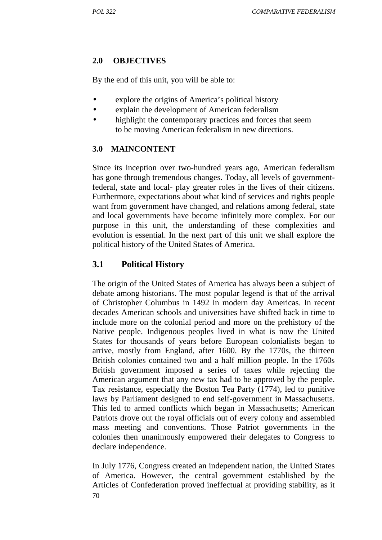### **2.0 OBJECTIVES**

By the end of this unit, you will be able to:

- explore the origins of America's political history
- explain the development of American federalism
- highlight the contemporary practices and forces that seem to be moving American federalism in new directions.

### **3.0 MAINCONTENT**

Since its inception over two-hundred years ago, American federalism has gone through tremendous changes. Today, all levels of governmentfederal, state and local- play greater roles in the lives of their citizens. Furthermore, expectations about what kind of services and rights people want from government have changed, and relations among federal, state and local governments have become infinitely more complex. For our purpose in this unit, the understanding of these complexities and evolution is essential. In the next part of this unit we shall explore the political history of the United States of America.

## **3.1 Political History**

The origin of the United States of America has always been a subject of debate among historians. The most popular legend is that of the arrival of Christopher Columbus in 1492 in modern day Americas. In recent decades American schools and universities have shifted back in time to include more on the colonial period and more on the prehistory of the Native people. Indigenous peoples lived in what is now the United States for thousands of years before European colonialists began to arrive, mostly from England, after 1600. By the 1770s, the thirteen British colonies contained two and a half million people. In the 1760s British government imposed a series of taxes while rejecting the American argument that any new tax had to be approved by the people. Tax resistance, especially the Boston Tea Party (1774), led to punitive laws by Parliament designed to end self-government in Massachusetts. This led to armed conflicts which began in Massachusetts; American Patriots drove out the royal officials out of every colony and assembled mass meeting and conventions. Those Patriot governments in the colonies then unanimously empowered their delegates to Congress to declare independence.

70 In July 1776, Congress created an independent nation, the United States of America. However, the central government established by the Articles of Confederation proved ineffectual at providing stability, as it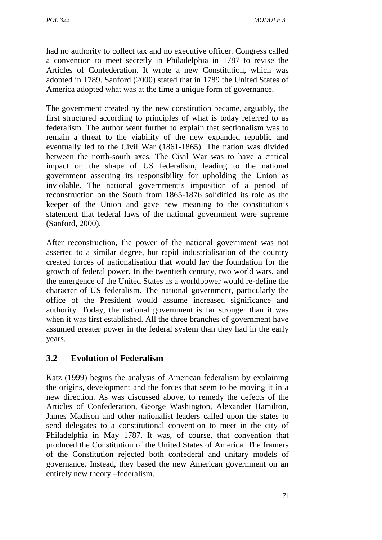had no authority to collect tax and no executive officer. Congress called a convention to meet secretly in Philadelphia in 1787 to revise the Articles of Confederation. It wrote a new Constitution, which was adopted in 1789. Sanford (2000) stated that in 1789 the United States of America adopted what was at the time a unique form of governance.

The government created by the new constitution became, arguably, the first structured according to principles of what is today referred to as federalism. The author went further to explain that sectionalism was to remain a threat to the viability of the new expanded republic and eventually led to the Civil War (1861-1865). The nation was divided between the north-south axes. The Civil War was to have a critical impact on the shape of US federalism, leading to the national government asserting its responsibility for upholding the Union as inviolable. The national government's imposition of a period of reconstruction on the South from 1865-1876 solidified its role as the keeper of the Union and gave new meaning to the constitution's statement that federal laws of the national government were supreme (Sanford, 2000).

After reconstruction, the power of the national government was not asserted to a similar degree, but rapid industrialisation of the country created forces of nationalisation that would lay the foundation for the growth of federal power. In the twentieth century, two world wars, and the emergence of the United States as a worldpower would re-define the character of US federalism. The national government, particularly the office of the President would assume increased significance and authority. Today, the national government is far stronger than it was when it was first established. All the three branches of government have assumed greater power in the federal system than they had in the early years.

# **3.2 Evolution of Federalism**

Katz (1999) begins the analysis of American federalism by explaining the origins, development and the forces that seem to be moving it in a new direction. As was discussed above, to remedy the defects of the Articles of Confederation, George Washington, Alexander Hamilton, James Madison and other nationalist leaders called upon the states to send delegates to a constitutional convention to meet in the city of Philadelphia in May 1787. It was, of course, that convention that produced the Constitution of the United States of America. The framers of the Constitution rejected both confederal and unitary models of governance. Instead, they based the new American government on an entirely new theory –federalism.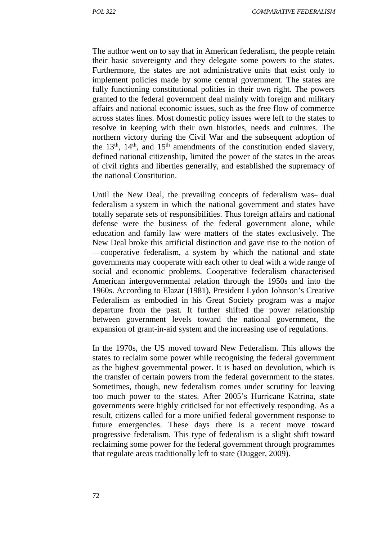The author went on to say that in American federalism, the people retain their basic sovereignty and they delegate some powers to the states. Furthermore, the states are not administrative units that exist only to implement policies made by some central government. The states are fully functioning constitutional polities in their own right. The powers granted to the federal government deal mainly with foreign and military affairs and national economic issues, such as the free flow of commerce across states lines. Most domestic policy issues were left to the states to resolve in keeping with their own histories, needs and cultures. The northern victory during the Civil War and the subsequent adoption of the  $13<sup>th</sup>$ ,  $14<sup>th</sup>$ , and  $15<sup>th</sup>$  amendments of the constitution ended slavery, defined national citizenship, limited the power of the states in the areas of civil rights and liberties generally, and established the supremacy of the national Constitution.

Until the New Deal, the prevailing concepts of federalism was dual federalism a system in which the national government and states have totally separate sets of responsibilities. Thus foreign affairs and national defense were the business of the federal government alone, while education and family law were matters of the states exclusively. The New Deal broke this artificial distinction and gave rise to the notion of

―cooperative federalism, a system by which the national and state governments may cooperate with each other to deal with a wide range of social and economic problems. Cooperative federalism characterised American intergovernmental relation through the 1950s and into the 1960s. According to Elazar (1981), President Lydon Johnson's Creative Federalism as embodied in his Great Society program was a major departure from the past. It further shifted the power relationship between government levels toward the national government, the expansion of grant-in-aid system and the increasing use of regulations.

In the 1970s, the US moved toward New Federalism. This allows the states to reclaim some power while recognising the federal government as the highest governmental power. It is based on devolution, which is the transfer of certain powers from the federal government to the states. Sometimes, though, new federalism comes under scrutiny for leaving too much power to the states. After 2005's Hurricane Katrina, state governments were highly criticised for not effectively responding. As a result, citizens called for a more unified federal government response to future emergencies. These days there is a recent move toward progressive federalism. This type of federalism is a slight shift toward reclaiming some power for the federal government through programmes that regulate areas traditionally left to state (Dugger, 2009).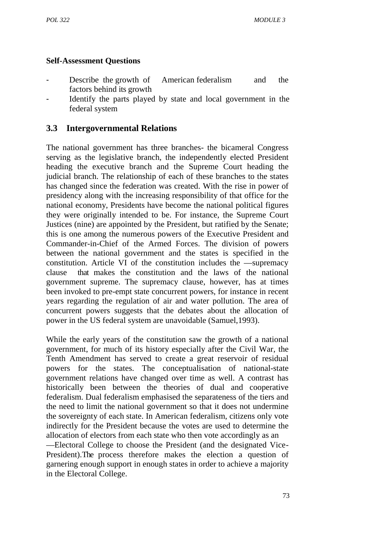### **Self-Assessment Questions**

- Describe the growth of American federalism and the factors behind its growth
- Identify the parts played by state and local government in the federal system

## **3.3 Intergovernmental Relations**

The national government has three branches- the bicameral Congress serving as the legislative branch, the independently elected President heading the executive branch and the Supreme Court heading the judicial branch. The relationship of each of these branches to the states has changed since the federation was created. With the rise in power of presidency along with the increasing responsibility of that office for the national economy, Presidents have become the national political figures they were originally intended to be. For instance, the Supreme Court Justices (nine) are appointed by the President, but ratified by the Senate; this is one among the numerous powers of the Executive President and Commander-in-Chief of the Armed Forces. The division of powers between the national government and the states is specified in the constitution. Article VI of the constitution includes the supremacy clause that makes the constitution and the laws of the national government supreme. The supremacy clause, however, has at times been invoked to pre-empt state concurrent powers, for instance in recent years regarding the regulation of air and water pollution. The area of concurrent powers suggests that the debates about the allocation of power in the US federal system are unavoidable (Samuel,1993).

While the early years of the constitution saw the growth of a national government, for much of its history especially after the Civil War, the Tenth Amendment has served to create a great reservoir of residual powers for the states. The conceptualisation of national-state government relations have changed over time as well. A contrast has historically been between the theories of dual and cooperative federalism. Dual federalism emphasised the separateness of the tiers and the need to limit the national government so that it does not undermine the sovereignty of each state. In American federalism, citizens only vote indirectly for the President because the votes are used to determine the allocation of electors from each state who then vote accordingly as an

―Electoral College to choose the President (and the designated Vice- President).The process therefore makes the election a question of garnering enough support in enough states in order to achieve a majority in the Electoral College.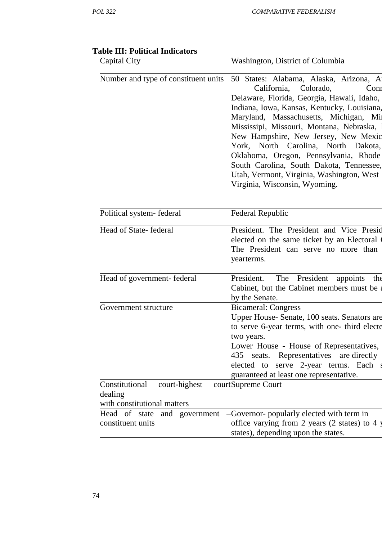| Capital City                                      | Washington, District of Columbia                                                                                                                                                                                                                                                                                                                                                                                                                                                                                |
|---------------------------------------------------|-----------------------------------------------------------------------------------------------------------------------------------------------------------------------------------------------------------------------------------------------------------------------------------------------------------------------------------------------------------------------------------------------------------------------------------------------------------------------------------------------------------------|
| Number and type of constituent units              | 50 States: Alabama, Alaska, Arizona, Al<br>California,<br>Colorado,<br>Conr<br>Delaware, Florida, Georgia, Hawaii, Idaho,<br>Indiana, Iowa, Kansas, Kentucky, Louisiana,<br>Maryland, Massachusetts, Michigan, Mi<br>Mississipi, Missouri, Montana, Nebraska,<br>New Hampshire, New Jersey, New Mexic<br>York, North Carolina, North Dakota,<br>Oklahoma, Oregon, Pennsylvania, Rhode<br>South Carolina, South Dakota, Tennessee,<br>Utah, Vermont, Virginia, Washington, West<br>Virginia, Wisconsin, Wyoming. |
| Political system-federal                          | <b>Federal Republic</b>                                                                                                                                                                                                                                                                                                                                                                                                                                                                                         |
| Head of State-federal                             | President. The President and Vice Presid<br>elected on the same ticket by an Electoral<br>The President can serve no more than<br>yearterms.                                                                                                                                                                                                                                                                                                                                                                    |
| Head of government-federal                        | The<br>President<br>President.<br>appoints<br>the<br>Cabinet, but the Cabinet members must be<br>by the Senate.                                                                                                                                                                                                                                                                                                                                                                                                 |
| Government structure                              | <b>Bicameral: Congress</b><br>Upper House- Senate, 100 seats. Senators are<br>to serve 6-year terms, with one- third electe<br>two years.<br>Lower House - House of Representatives,<br>435 seats. Representatives are directly<br>elected to serve 2-year terms. Each<br>guaranteed at least one representative.                                                                                                                                                                                               |
| Constitutional<br>court-highest<br>dealing        | courtSupreme Court                                                                                                                                                                                                                                                                                                                                                                                                                                                                                              |
| with constitutional matters                       |                                                                                                                                                                                                                                                                                                                                                                                                                                                                                                                 |
| Head of state and government<br>constituent units | Governor- popularly elected with term in<br>office varying from 2 years (2 states) to 4 y<br>states), depending upon the states.                                                                                                                                                                                                                                                                                                                                                                                |

# **Table III: Political Indicators**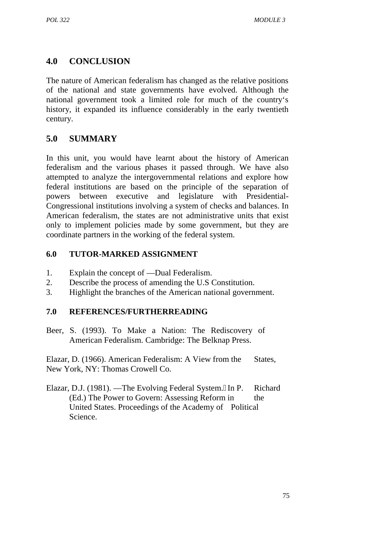# **4.0 CONCLUSION**

The nature of American federalism has changed as the relative positions of the national and state governments have evolved. Although the national government took a limited role for much of the country's history, it expanded its influence considerably in the early twentieth century.

# **5.0 SUMMARY**

In this unit, you would have learnt about the history of American federalism and the various phases it passed through. We have also attempted to analyze the intergovernmental relations and explore how federal institutions are based on the principle of the separation of powers between executive and legislature with Presidential- Congressional institutions involving a system of checks and balances. In American federalism, the states are not administrative units that exist only to implement policies made by some government, but they are coordinate partners in the working of the federal system.

### **6.0 TUTOR-MARKED ASSIGNMENT**

- 1. Explain the concept of Dual Federalism.
- 2. Describe the process of amending the U.S Constitution.
- 3. Highlight the branches of the American national government.

## **7.0 REFERENCES/FURTHERREADING**

Beer, S. (1993). To Make a Nation: The Rediscovery of American Federalism. Cambridge: The Belknap Press.

Elazar, D. (1966). American Federalism: A View from the States, New York, NY: Thomas Crowell Co.

Elazar, D.J. (1981). The Evolving Federal System. In P. Richard (Ed.) The Power to Govern: Assessing Reform in the United States. Proceedings of the Academy of Political Science.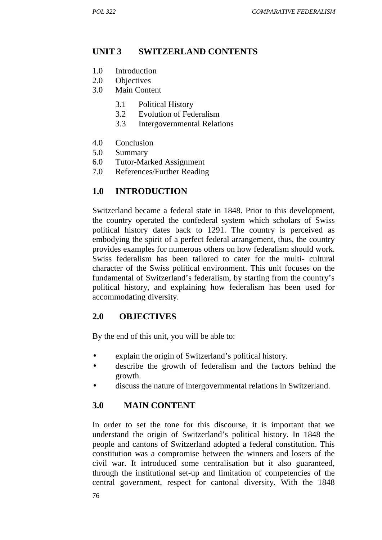## **UNIT 3 SWITZERLAND CONTENTS**

- 1.0 Introduction
- 2.0 Objectives
- 3.0 Main Content
	- 3.1 Political History
	- 3.2 Evolution of Federalism
	- 3.3 Intergovernmental Relations
- 4.0 Conclusion
- 5.0 Summary
- 6.0 Tutor-Marked Assignment
- 7.0 References/Further Reading

## **1.0 INTRODUCTION**

Switzerland became a federal state in 1848. Prior to this development, the country operated the confederal system which scholars of Swiss political history dates back to 1291. The country is perceived as embodying the spirit of a perfect federal arrangement, thus, the country provides examples for numerous others on how federalism should work. Swiss federalism has been tailored to cater for the multi- cultural character of the Swiss political environment. This unit focuses on the fundamental of Switzerland's federalism, by starting from the country's political history, and explaining how federalism has been used for accommodating diversity.

### **2.0 OBJECTIVES**

By the end of this unit, you will be able to:

- explain the origin of Switzerland's political history.
- describe the growth of federalism and the factors behind the growth.
- discuss the nature of intergovernmental relations in Switzerland.

## **3.0 MAIN CONTENT**

In order to set the tone for this discourse, it is important that we understand the origin of Switzerland's political history. In 1848 the people and cantons of Switzerland adopted a federal constitution. This constitution was a compromise between the winners and losers of the civil war. It introduced some centralisation but it also guaranteed, through the institutional set-up and limitation of competencies of the central government, respect for cantonal diversity. With the 1848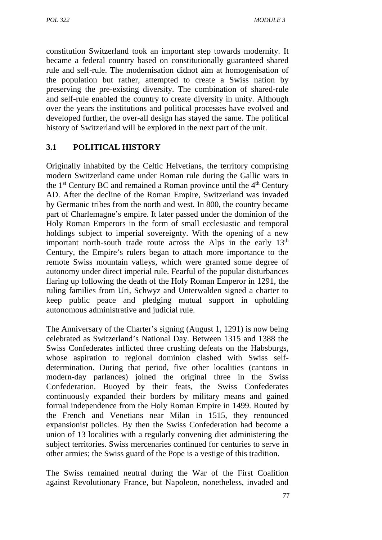constitution Switzerland took an important step towards modernity. It became a federal country based on constitutionally guaranteed shared rule and self-rule. The modernisation didnot aim at homogenisation of the population but rather, attempted to create a Swiss nation by preserving the pre-existing diversity. The combination of shared-rule and self-rule enabled the country to create diversity in unity. Although over the years the institutions and political processes have evolved and developed further, the over-all design has stayed the same. The political history of Switzerland will be explored in the next part of the unit.

# **3.1 POLITICAL HISTORY**

Originally inhabited by the Celtic Helvetians, the territory comprising modern Switzerland came under Roman rule during the Gallic wars in the  $1<sup>st</sup>$  Century BC and remained a Roman province until the  $4<sup>th</sup>$  Century AD. After the decline of the Roman Empire, Switzerland was invaded by Germanic tribes from the north and west. In 800, the country became part of Charlemagne's empire. It later passed under the dominion of the Holy Roman Emperors in the form of small ecclesiastic and temporal holdings subject to imperial sovereignty. With the opening of a new important north-south trade route across the Alps in the early  $13<sup>th</sup>$ Century, the Empire's rulers began to attach more importance to the remote Swiss mountain valleys, which were granted some degree of autonomy under direct imperial rule. Fearful of the popular disturbances flaring up following the death of the Holy Roman Emperor in 1291, the ruling families from Uri, Schwyz and Unterwalden signed a charter to keep public peace and pledging mutual support in upholding autonomous administrative and judicial rule.

The Anniversary of the Charter's signing (August 1, 1291) is now being celebrated as Switzerland's National Day. Between 1315 and 1388 the Swiss Confederates inflicted three crushing defeats on the Habsburgs, whose aspiration to regional dominion clashed with Swiss self determination. During that period, five other localities (cantons in modern-day parlances) joined the original three in the Swiss Confederation. Buoyed by their feats, the Swiss Confederates continuously expanded their borders by military means and gained formal independence from the Holy Roman Empire in 1499. Routed by the French and Venetians near Milan in 1515, they renounced expansionist policies. By then the Swiss Confederation had become a union of 13 localities with a regularly convening diet administering the subject territories. Swiss mercenaries continued for centuries to serve in other armies; the Swiss guard of the Pope is a vestige of this tradition.

The Swiss remained neutral during the War of the First Coalition against Revolutionary France, but Napoleon, nonetheless, invaded and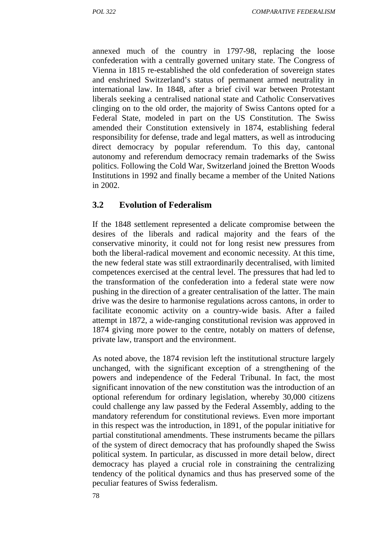annexed much of the country in 1797-98, replacing the loose confederation with a centrally governed unitary state. The Congress of Vienna in 1815 re-established the old confederation of sovereign states and enshrined Switzerland's status of permanent armed neutrality in international law. In 1848, after a brief civil war between Protestant liberals seeking a centralised national state and Catholic Conservatives clinging on to the old order, the majority of Swiss Cantons opted for a Federal State, modeled in part on the US Constitution. The Swiss amended their Constitution extensively in 1874, establishing federal responsibility for defense, trade and legal matters, as well as introducing direct democracy by popular referendum. To this day, cantonal autonomy and referendum democracy remain trademarks of the Swiss politics. Following the Cold War, Switzerland joined the Bretton Woods Institutions in 1992 and finally became a member of the United Nations in 2002.

## **3.2 Evolution of Federalism**

If the 1848 settlement represented a delicate compromise between the desires of the liberals and radical majority and the fears of the conservative minority, it could not for long resist new pressures from both the liberal-radical movement and economic necessity. At this time, the new federal state was still extraordinarily decentralised, with limited competences exercised at the central level. The pressures that had led to the transformation of the confederation into a federal state were now pushing in the direction of a greater centralisation of the latter. The main drive was the desire to harmonise regulations across cantons, in order to facilitate economic activity on a country-wide basis. After a failed attempt in 1872, a wide-ranging constitutional revision was approved in 1874 giving more power to the centre, notably on matters of defense, private law, transport and the environment.

As noted above, the 1874 revision left the institutional structure largely unchanged, with the significant exception of a strengthening of the powers and independence of the Federal Tribunal. In fact, the most significant innovation of the new constitution was the introduction of an optional referendum for ordinary legislation, whereby 30,000 citizens could challenge any law passed by the Federal Assembly, adding to the mandatory referendum for constitutional reviews. Even more important in this respect was the introduction, in 1891, of the popular initiative for partial constitutional amendments. These instruments became the pillars of the system of direct democracy that has profoundly shaped the Swiss political system. In particular, as discussed in more detail below, direct democracy has played a crucial role in constraining the centralizing tendency of the political dynamics and thus has preserved some of the peculiar features of Swiss federalism.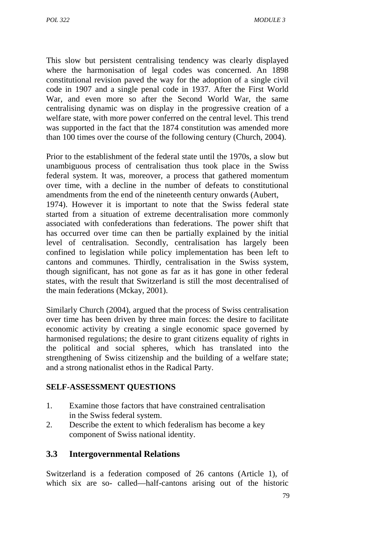This slow but persistent centralising tendency was clearly displayed where the harmonisation of legal codes was concerned. An 1898 constitutional revision paved the way for the adoption of a single civil code in 1907 and a single penal code in 1937. After the First World War, and even more so after the Second World War, the same centralising dynamic was on display in the progressive creation of a welfare state, with more power conferred on the central level. This trend was supported in the fact that the 1874 constitution was amended more than 100 times over the course of the following century (Church, 2004).

Prior to the establishment of the federal state until the 1970s, a slow but unambiguous process of centralisation thus took place in the Swiss federal system. It was, moreover, a process that gathered momentum over time, with a decline in the number of defeats to constitutional amendments from the end of the nineteenth century onwards (Aubert,

1974). However it is important to note that the Swiss federal state started from a situation of extreme decentralisation more commonly associated with confederations than federations. The power shift that has occurred over time can then be partially explained by the initial level of centralisation. Secondly, centralisation has largely been confined to legislation while policy implementation has been left to cantons and communes. Thirdly, centralisation in the Swiss system, though significant, has not gone as far as it has gone in other federal states, with the result that Switzerland is still the most decentralised of the main federations (Mckay, 2001).

Similarly Church (2004), argued that the process of Swiss centralisation over time has been driven by three main forces: the desire to facilitate economic activity by creating a single economic space governed by harmonised regulations; the desire to grant citizens equality of rights in the political and social spheres, which has translated into the strengthening of Swiss citizenship and the building of a welfare state; and a strong nationalist ethos in the Radical Party.

### **SELF-ASSESSMENT QUESTIONS**

- 1. Examine those factors that have constrained centralisation in the Swiss federal system.
- 2. Describe the extent to which federalism has become a key component of Swiss national identity.

## **3.3 Intergovernmental Relations**

Switzerland is a federation composed of 26 cantons (Article 1), of which six are so- called half-cantons arising out of the historic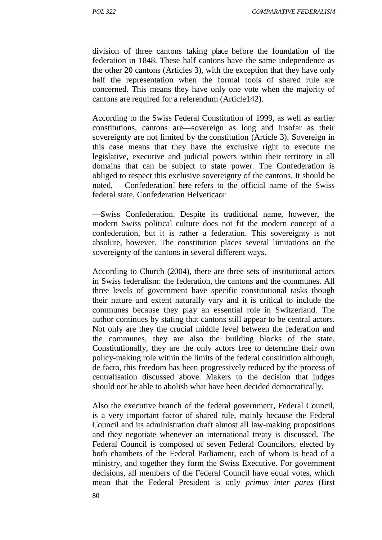division of three cantons taking place before the foundation of the federation in 1848. These half cantons have the same independence as the other 20 cantons (Articles 3), with the exception that they have only half the representation when the formal tools of shared rule are concerned. This means they have only one vote when the majority of cantons are required for a referendum (Article142).

According to the Swiss Federal Constitution of 1999, as well as earlier constitutions, cantons are―sovereign as long and insofar as their sovereignty are not limited by the constitution (Article 3). Sovereign in this case means that they have the exclusive right to execute the legislative, executive and judicial powers within their territory in all domains that can be subject to state power. The Confederation is obliged to respect this exclusive sovereignty of the cantons. It should be noted. Confederation here refers to the official name of the Swiss federal state, Confederation Helveticaor

―Swiss Confederation. Despite its traditional name, however, the modern Swiss political culture does not fit the modern concept of a confederation, but it is rather a federation. This sovereignty is not absolute, however. The constitution places several limitations on the sovereignty of the cantons in several different ways.

According to Church (2004), there are three sets of institutional actors in Swiss federalism: the federation, the cantons and the communes. All three levels of government have specific constitutional tasks though their nature and extent naturally vary and it is critical to include the communes because they play an essential role in Switzerland. The author continues by stating that cantons still appear to be central actors. Not only are they the crucial middle level between the federation and the communes, they are also the building blocks of the state. Constitutionally, they are the only actors free to determine their own policy-making role within the limits of the federal constitution although, de facto, this freedom has been progressively reduced by the process of centralisation discussed above. Makers to the decision that judges should not be able to abolish what have been decided democratically.

Also the executive branch of the federal government, Federal Council, is a very important factor of shared rule, mainly because the Federal Council and its administration draft almost all law-making propositions and they negotiate whenever an international treaty is discussed. The Federal Council is composed of seven Federal Councilors, elected by both chambers of the Federal Parliament, each of whom is head of a ministry, and together they form the Swiss Executive. For government decisions, all members of the Federal Council have equal votes, which mean that the Federal President is only *primus inter pares* (first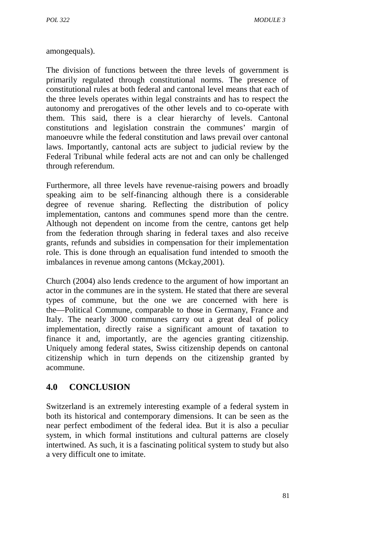amongequals).

The division of functions between the three levels of government is primarily regulated through constitutional norms. The presence of constitutional rules at both federal and cantonal level means that each of the three levels operates within legal constraints and has to respect the autonomy and prerogatives of the other levels and to co-operate with them. This said, there is a clear hierarchy of levels. Cantonal constitutions and legislation constrain the communes' margin of manoeuvre while the federal constitution and laws prevail over cantonal laws. Importantly, cantonal acts are subject to judicial review by the Federal Tribunal while federal acts are not and can only be challenged through referendum.

Furthermore, all three levels have revenue-raising powers and broadly speaking aim to be self-financing although there is a considerable degree of revenue sharing. Reflecting the distribution of policy implementation, cantons and communes spend more than the centre. Although not dependent on income from the centre, cantons get help from the federation through sharing in federal taxes and also receive grants, refunds and subsidies in compensation for their implementation role. This is done through an equalisation fund intended to smooth the imbalances in revenue among cantons (Mckay,2001).

Church (2004) also lends credence to the argument of how important an actor in the communes are in the system. He stated that there are several types of commune, but the one we are concerned with here is the―Political Commune, comparable to those in Germany, France and Italy. The nearly 3000 communes carry out a great deal of policy implementation, directly raise a significant amount of taxation to finance it and, importantly, are the agencies granting citizenship. Uniquely among federal states, Swiss citizenship depends on cantonal citizenship which in turn depends on the citizenship granted by acommune.

# **4.0 CONCLUSION**

Switzerland is an extremely interesting example of a federal system in both its historical and contemporary dimensions. It can be seen as the near perfect embodiment of the federal idea. But it is also a peculiar system, in which formal institutions and cultural patterns are closely intertwined. As such, it is a fascinating political system to study but also a very difficult one to imitate.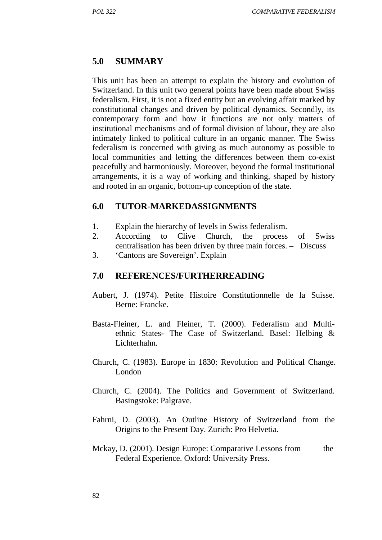#### **5.0 SUMMARY**

This unit has been an attempt to explain the history and evolution of Switzerland. In this unit two general points have been made about Swiss federalism. First, it is not a fixed entity but an evolving affair marked by constitutional changes and driven by political dynamics. Secondly, its contemporary form and how it functions are not only matters of institutional mechanisms and of formal division of labour, they are also intimately linked to political culture in an organic manner. The Swiss federalism is concerned with giving as much autonomy as possible to local communities and letting the differences between them co-exist peacefully and harmoniously. Moreover, beyond the formal institutional arrangements, it is a way of working and thinking, shaped by history and rooted in an organic, bottom-up conception of the state.

#### **6.0 TUTOR-MARKEDASSIGNMENTS**

- 1. Explain the hierarchy of levels in Swiss federalism.
- 2. According to Clive Church, the process of Swiss centralisation has been driven by three main forces. – Discuss
- 3. 'Cantons are Sovereign'. Explain

#### **7.0 REFERENCES/FURTHERREADING**

- Aubert, J. (1974). Petite Histoire Constitutionnelle de la Suisse. Berne: Francke.
- Basta-Fleiner, L. and Fleiner, T. (2000). Federalism and Multi ethnic States- The Case of Switzerland. Basel: Helbing & Lichterhahn.
- Church, C. (1983). Europe in 1830: Revolution and Political Change. London
- Church, C. (2004). The Politics and Government of Switzerland. Basingstoke: Palgrave.
- Fahrni, D. (2003). An Outline History of Switzerland from the Origins to the Present Day. Zurich: Pro Helvetia.
- Mckay, D. (2001). Design Europe: Comparative Lessons from the Federal Experience. Oxford: University Press.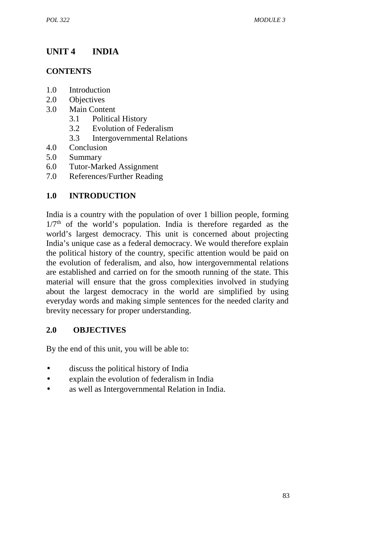# **UNIT 4 INDIA**

## **CONTENTS**

- 1.0 Introduction
- 2.0 Objectives
- 3.0 Main Content
	- 3.1 Political History
	- 3.2 Evolution of Federalism
	- 3.3 Intergovernmental Relations
- 4.0 Conclusion
- 5.0 Summary
- 6.0 Tutor-Marked Assignment
- 7.0 References/Further Reading

# **1.0 INTRODUCTION**

India is a country with the population of over 1 billion people, forming  $1/7<sup>th</sup>$  of the world's population. India is therefore regarded as the world's largest democracy. This unit is concerned about projecting India's unique case as a federal democracy. We would therefore explain the political history of the country, specific attention would be paid on the evolution of federalism, and also, how intergovernmental relations are established and carried on for the smooth running of the state. This material will ensure that the gross complexities involved in studying about the largest democracy in the world are simplified by using everyday words and making simple sentences for the needed clarity and brevity necessary for proper understanding.

## **2.0 OBJECTIVES**

By the end of this unit, you will be able to:

- discuss the political history of India
- explain the evolution of federalism in India
- as well as Intergovernmental Relation in India.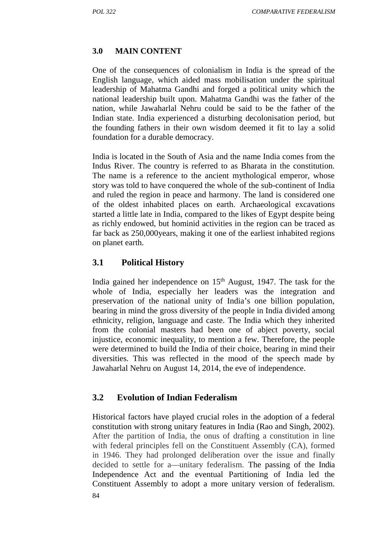## **3.0 MAIN CONTENT**

One of the consequences of colonialism in India is the spread of the English language, which aided mass mobilisation under the spiritual leadership of Mahatma Gandhi and forged a political unity which the national leadership built upon. Mahatma Gandhi was the father of the nation, while Jawaharlal Nehru could be said to be the father of the Indian state. India experienced a disturbing decolonisation period, but the founding fathers in their own wisdom deemed it fit to lay a solid foundation for a durable democracy.

India is located in the South of Asia and the name India comes from the Indus River. The country is referred to as Bharata in the constitution. The name is a reference to the ancient mythological emperor, whose story was told to have conquered the whole of the sub-continent of India and ruled the region in peace and harmony. The land is considered one of the oldest inhabited places on earth. Archaeological excavations started a little late in India, compared to the likes of Egypt despite being as richly endowed, but hominid activities in the region can be traced as far back as 250,000years, making it one of the earliest inhabited regions on planet earth.

## **3.1 Political History**

India gained her independence on  $15<sup>th</sup>$  August, 1947. The task for the whole of India, especially her leaders was the integration and preservation of the national unity of India's one billion population, bearing in mind the gross diversity of the people in India divided among ethnicity, religion, language and caste. The India which they inherited from the colonial masters had been one of abject poverty, social injustice, economic inequality, to mention a few. Therefore, the people were determined to build the India of their choice, bearing in mind their diversities. This was reflected in the mood of the speech made by Jawaharlal Nehru on August 14, 2014, the eve of independence.

## **3.2 Evolution of Indian Federalism**

84 Historical factors have played crucial roles in the adoption of a federal constitution with strong unitary features in India (Rao and Singh, 2002). After the partition of India, the onus of drafting a constitution in line with federal principles fell on the Constituent Assembly (CA), formed in 1946. They had prolonged deliberation over the issue and finally decided to settle for a―unitary federalism. The passing of the India Independence Act and the eventual Partitioning of India led the Constituent Assembly to adopt a more unitary version of federalism.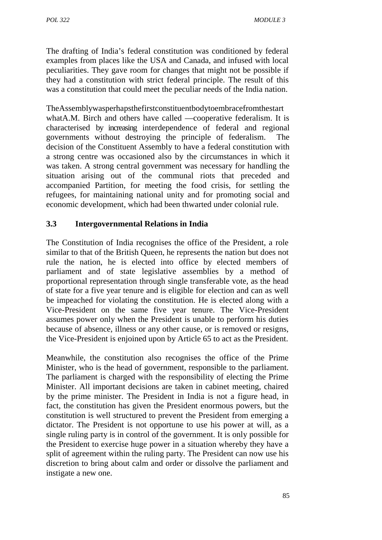The drafting of India's federal constitution was conditioned by federal examples from places like the USA and Canada, and infused with local peculiarities. They gave room for changes that might not be possible if they had a constitution with strict federal principle. The result of this was a constitution that could meet the peculiar needs of the India nation.

TheAssemblywasperhapsthefirstconstituentbodytoembracefromthestart whatA.M. Birch and others have called — cooperative federalism. It is characterised by increasing interdependence of federal and regional governments without destroying the principle of federalism. The decision of the Constituent Assembly to have a federal constitution with a strong centre was occasioned also by the circumstances in which it was taken. A strong central government was necessary for handling the situation arising out of the communal riots that preceded and accompanied Partition, for meeting the food crisis, for settling the refugees, for maintaining national unity and for promoting social and economic development, which had been thwarted under colonial rule.

## **3.3 Intergovernmental Relations in India**

The Constitution of India recognises the office of the President, a role similar to that of the British Queen, he represents the nation but does not rule the nation, he is elected into office by elected members of parliament and of state legislative assemblies by a method of proportional representation through single transferable vote, as the head of state for a five year tenure and is eligible for election and can as well be impeached for violating the constitution. He is elected along with a Vice-President on the same five year tenure. The Vice-President assumes power only when the President is unable to perform his duties because of absence, illness or any other cause, or is removed or resigns, the Vice-President is enjoined upon by Article 65 to act as the President.

Meanwhile, the constitution also recognises the office of the Prime Minister, who is the head of government, responsible to the parliament. The parliament is charged with the responsibility of electing the Prime Minister. All important decisions are taken in cabinet meeting, chaired by the prime minister. The President in India is not a figure head, in fact, the constitution has given the President enormous powers, but the constitution is well structured to prevent the President from emerging a dictator. The President is not opportune to use his power at will, as a single ruling party is in control of the government. It is only possible for the President to exercise huge power in a situation whereby they have a split of agreement within the ruling party. The President can now use his discretion to bring about calm and order or dissolve the parliament and instigate a new one.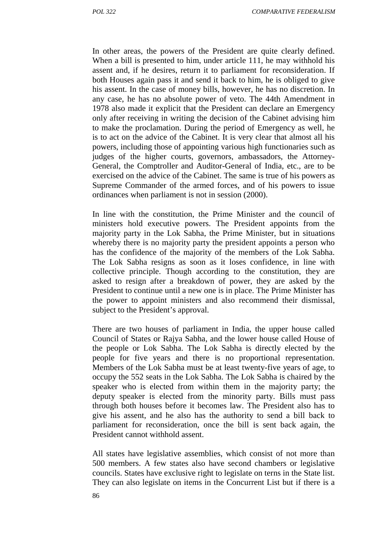In other areas, the powers of the President are quite clearly defined. When a bill is presented to him, under article 111, he may withhold his assent and, if he desires, return it to parliament for reconsideration. If both Houses again pass it and send it back to him, he is obliged to give his assent. In the case of money bills, however, he has no discretion. In any case, he has no absolute power of veto. The 44th Amendment in 1978 also made it explicit that the President can declare an Emergency only after receiving in writing the decision of the Cabinet advising him to make the proclamation. During the period of Emergency as well, he is to act on the advice of the Cabinet. It is very clear that almost all his powers, including those of appointing various high functionaries such as judges of the higher courts, governors, ambassadors, the Attorney- General, the Comptroller and Auditor-General of India, etc., are to be exercised on the advice of the Cabinet. The same is true of his powers as Supreme Commander of the armed forces, and of his powers to issue ordinances when parliament is not in session (2000).

In line with the constitution, the Prime Minister and the council of ministers hold executive powers. The President appoints from the majority party in the Lok Sabha, the Prime Minister, but in situations whereby there is no majority party the president appoints a person who has the confidence of the majority of the members of the Lok Sabha. The Lok Sabha resigns as soon as it loses confidence, in line with collective principle. Though according to the constitution, they are asked to resign after a breakdown of power, they are asked by the President to continue until a new one is in place. The Prime Minister has the power to appoint ministers and also recommend their dismissal, subject to the President's approval.

There are two houses of parliament in India, the upper house called Council of States or Rajya Sabha, and the lower house called House of the people or Lok Sabha. The Lok Sabha is directly elected by the people for five years and there is no proportional representation. Members of the Lok Sabha must be at least twenty-five years of age, to occupy the 552 seats in the Lok Sabha. The Lok Sabha is chaired by the speaker who is elected from within them in the majority party; the deputy speaker is elected from the minority party. Bills must pass through both houses before it becomes law. The President also has to give his assent, and he also has the authority to send a bill back to parliament for reconsideration, once the bill is sent back again, the President cannot withhold assent.

All states have legislative assemblies, which consist of not more than 500 members. A few states also have second chambers or legislative councils. States have exclusive right to legislate on terns in the State list. They can also legislate on items in the Concurrent List but if there is a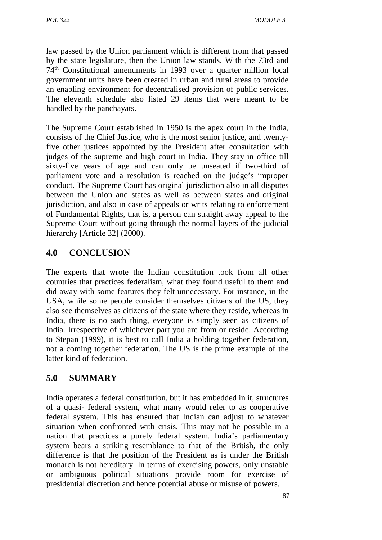law passed by the Union parliament which is different from that passed by the state legislature, then the Union law stands. With the 73rd and 74th Constitutional amendments in 1993 over a quarter million local government units have been created in urban and rural areas to provide an enabling environment for decentralised provision of public services. The eleventh schedule also listed 29 items that were meant to be handled by the panchayats.

The Supreme Court established in 1950 is the apex court in the India, consists of the Chief Justice, who is the most senior justice, and twentyfive other justices appointed by the President after consultation with judges of the supreme and high court in India. They stay in office till sixty-five years of age and can only be unseated if two-third of parliament vote and a resolution is reached on the judge's improper conduct. The Supreme Court has original jurisdiction also in all disputes between the Union and states as well as between states and original jurisdiction, and also in case of appeals or writs relating to enforcement of Fundamental Rights, that is, a person can straight away appeal to the Supreme Court without going through the normal layers of the judicial hierarchy [Article 32] (2000).

# **4.0 CONCLUSION**

The experts that wrote the Indian constitution took from all other countries that practices federalism, what they found useful to them and did away with some features they felt unnecessary. For instance, in the USA, while some people consider themselves citizens of the US, they also see themselves as citizens of the state where they reside, whereas in India, there is no such thing, everyone is simply seen as citizens of India. Irrespective of whichever part you are from or reside. According to Stepan (1999), it is best to call India a holding together federation, not a coming together federation. The US is the prime example of the latter kind of federation.

# **5.0 SUMMARY**

India operates a federal constitution, but it has embedded in it, structures of a quasi- federal system, what many would refer to as cooperative federal system. This has ensured that Indian can adjust to whatever situation when confronted with crisis. This may not be possible in a nation that practices a purely federal system. India's parliamentary system bears a striking resemblance to that of the British, the only difference is that the position of the President as is under the British monarch is not hereditary. In terms of exercising powers, only unstable or ambiguous political situations provide room for exercise of presidential discretion and hence potential abuse or misuse of powers.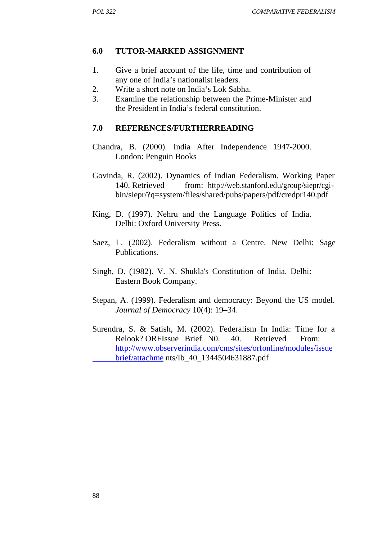#### **6.0 TUTOR-MARKED ASSIGNMENT**

- 1. Give a brief account of the life, time and contribution of any one of India's nationalist leaders.
- 2. Write a short note on India's Lok Sabha.
- 3. Examine the relationship between the Prime-Minister and the President in India's federal constitution.

#### **7.0 REFERENCES/FURTHERREADING**

- Chandra, B. (2000). India After Independence 1947-2000. London: Penguin Books
- Govinda, R. (2002). Dynamics of Indian Federalism. Working Paper 140. Retrieved from: http://web.stanford.edu/group/siepr/cgi bin/siepr/?q=system/files/shared/pubs/papers/pdf/credpr140.pdf
- King, D. (1997). Nehru and the Language Politics of India. Delhi: Oxford University Press.
- Saez, L. (2002). Federalism without a Centre. New Delhi: Sage Publications.
- Singh, D. (1982). V. N. Shukla's Constitution of India. Delhi: Eastern Book Company.
- Stepan, A. (1999). Federalism and democracy: Beyond the US model. *Journal of Democracy* 10(4): 19–34.
- Surendra, S. & Satish, M. (2002). Federalism In India: Time for a Relook? ORFIssue Brief N0. 40. Retrieved From: http://www.observerindia.com/cms/sites/orfonline/modules/issue brief/attachme nts/Ib\_40\_1344504631887.pdf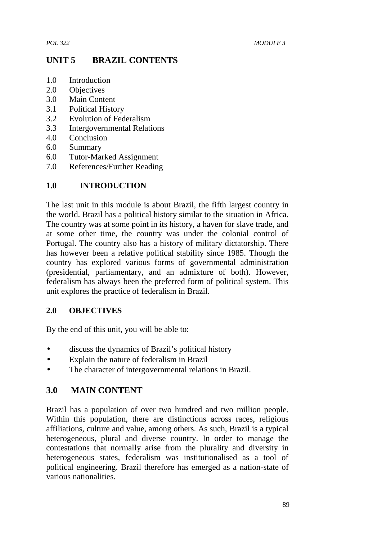# **UNIT 5 BRAZIL CONTENTS**

- 1.0 Introduction
- 2.0 Objectives
- 3.0 Main Content
- 3.1 Political History
- 3.2 Evolution of Federalism
- 3.3 Intergovernmental Relations
- 4.0 Conclusion
- 6.0 Summary
- 6.0 Tutor-Marked Assignment
- 7.0 References/Further Reading

### **1.0** I**NTRODUCTION**

The last unit in this module is about Brazil, the fifth largest country in the world. Brazil has a political history similar to the situation in Africa. The country was at some point in its history, a haven for slave trade, and at some other time, the country was under the colonial control of Portugal. The country also has a history of military dictatorship. There has however been a relative political stability since 1985. Though the country has explored various forms of governmental administration (presidential, parliamentary, and an admixture of both). However, federalism has always been the preferred form of political system. This unit explores the practice of federalism in Brazil.

### **2.0 OBJECTIVES**

By the end of this unit, you will be able to:

- discuss the dynamics of Brazil's political history
- Explain the nature of federalism in Brazil
- The character of intergovernmental relations in Brazil.

### **3.0 MAIN CONTENT**

Brazil has a population of over two hundred and two million people. Within this population, there are distinctions across races, religious affiliations, culture and value, among others. As such, Brazil is a typical heterogeneous, plural and diverse country. In order to manage the contestations that normally arise from the plurality and diversity in heterogeneous states, federalism was institutionalised as a tool of political engineering. Brazil therefore has emerged as a nation-state of various nationalities.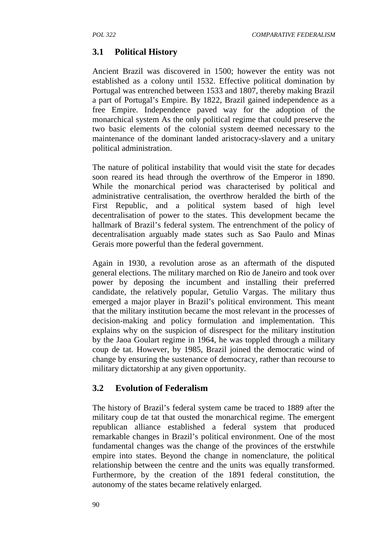# **3.1 Political History**

Ancient Brazil was discovered in 1500; however the entity was not established as a colony until 1532. Effective political domination by Portugal was entrenched between 1533 and 1807, thereby making Brazil a part of Portugal's Empire. By 1822, Brazil gained independence as a free Empire. Independence paved way for the adoption of the monarchical system As the only political regime that could preserve the two basic elements of the colonial system deemed necessary to the maintenance of the dominant landed aristocracy-slavery and a unitary political administration.

The nature of political instability that would visit the state for decades soon reared its head through the overthrow of the Emperor in 1890. While the monarchical period was characterised by political and administrative centralisation, the overthrow heralded the birth of the First Republic, and a political system based of high level decentralisation of power to the states. This development became the hallmark of Brazil's federal system. The entrenchment of the policy of decentralisation arguably made states such as Sao Paulo and Minas Gerais more powerful than the federal government.

Again in 1930, a revolution arose as an aftermath of the disputed general elections. The military marched on Rio de Janeiro and took over power by deposing the incumbent and installing their preferred candidate, the relatively popular, Getulio Vargas. The military thus emerged a major player in Brazil's political environment. This meant that the military institution became the most relevant in the processes of decision-making and policy formulation and implementation. This explains why on the suspicion of disrespect for the military institution by the Jaoa Goulart regime in 1964, he was toppled through a military coup de tat. However, by 1985, Brazil joined the democratic wind of change by ensuring the sustenance of democracy, rather than recourse to military dictatorship at any given opportunity.

## **3.2 Evolution of Federalism**

The history of Brazil's federal system came be traced to 1889 after the military coup de tat that ousted the monarchical regime. The emergent republican alliance established a federal system that produced remarkable changes in Brazil's political environment. One of the most fundamental changes was the change of the provinces of the erstwhile empire into states. Beyond the change in nomenclature, the political relationship between the centre and the units was equally transformed. Furthermore, by the creation of the 1891 federal constitution, the autonomy of the states became relatively enlarged.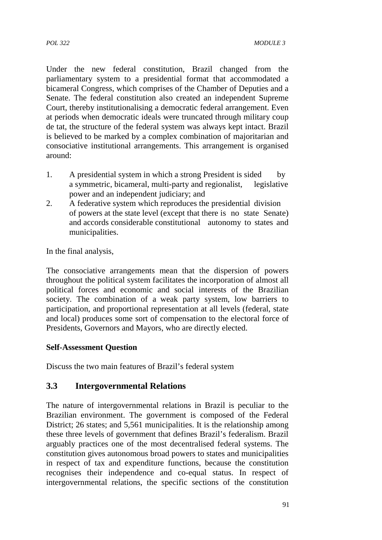Under the new federal constitution, Brazil changed from the parliamentary system to a presidential format that accommodated a bicameral Congress, which comprises of the Chamber of Deputies and a Senate. The federal constitution also created an independent Supreme Court, thereby institutionalising a democratic federal arrangement. Even at periods when democratic ideals were truncated through military coup de tat, the structure of the federal system was always kept intact. Brazil is believed to be marked by a complex combination of majoritarian and consociative institutional arrangements. This arrangement is organised around:

- 1. A presidential system in which a strong President is sided by a symmetric, bicameral, multi-party and regionalist, legislative power and an independent judiciary; and
- 2. A federative system which reproduces the presidential division of powers at the state level (except that there is no state Senate) and accords considerable constitutional autonomy to states and municipalities.

In the final analysis,

The consociative arrangements mean that the dispersion of powers throughout the political system facilitates the incorporation of almost all political forces and economic and social interests of the Brazilian society. The combination of a weak party system, low barriers to participation, and proportional representation at all levels (federal, state and local) produces some sort of compensation to the electoral force of Presidents, Governors and Mayors, who are directly elected.

#### **Self-Assessment Question**

Discuss the two main features of Brazil's federal system

## **3.3 Intergovernmental Relations**

The nature of intergovernmental relations in Brazil is peculiar to the Brazilian environment. The government is composed of the Federal District; 26 states; and 5,561 municipalities. It is the relationship among these three levels of government that defines Brazil's federalism. Brazil arguably practices one of the most decentralised federal systems. The constitution gives autonomous broad powers to states and municipalities in respect of tax and expenditure functions, because the constitution recognises their independence and co-equal status. In respect of intergovernmental relations, the specific sections of the constitution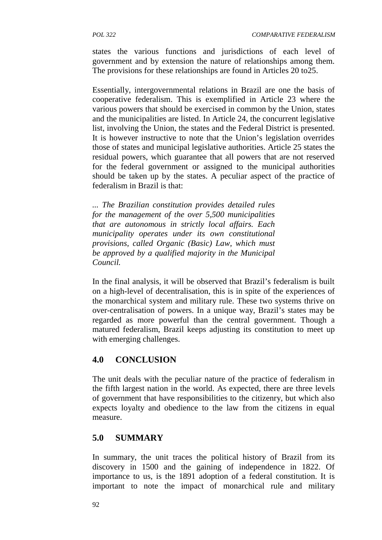states the various functions and jurisdictions of each level of government and by extension the nature of relationships among them. The provisions for these relationships are found in Articles 20 to25.

Essentially, intergovernmental relations in Brazil are one the basis of cooperative federalism. This is exemplified in Article 23 where the various powers that should be exercised in common by the Union, states and the municipalities are listed. In Article 24, the concurrent legislative list, involving the Union, the states and the Federal District is presented. It is however instructive to note that the Union's legislation overrides those of states and municipal legislative authorities. Article 25 states the residual powers, which guarantee that all powers that are not reserved for the federal government or assigned to the municipal authorities should be taken up by the states. A peculiar aspect of the practice of federalism in Brazil is that:

*... The Brazilian constitution provides detailed rules for the management of the over 5,500 municipalities that are autonomous in strictly local affairs. Each municipality operates under its own constitutional provisions, called Organic (Basic) Law, which must be approved by a qualified majority in the Municipal Council.*

In the final analysis, it will be observed that Brazil's federalism is built on a high-level of decentralisation, this is in spite of the experiences of the monarchical system and military rule. These two systems thrive on over-centralisation of powers. In a unique way, Brazil's states may be regarded as more powerful than the central government. Though a matured federalism, Brazil keeps adjusting its constitution to meet up with emerging challenges.

# **4.0 CONCLUSION**

The unit deals with the peculiar nature of the practice of federalism in the fifth largest nation in the world. As expected, there are three levels of government that have responsibilities to the citizenry, but which also expects loyalty and obedience to the law from the citizens in equal measure.

# **5.0 SUMMARY**

In summary, the unit traces the political history of Brazil from its discovery in 1500 and the gaining of independence in 1822. Of importance to us, is the 1891 adoption of a federal constitution. It is important to note the impact of monarchical rule and military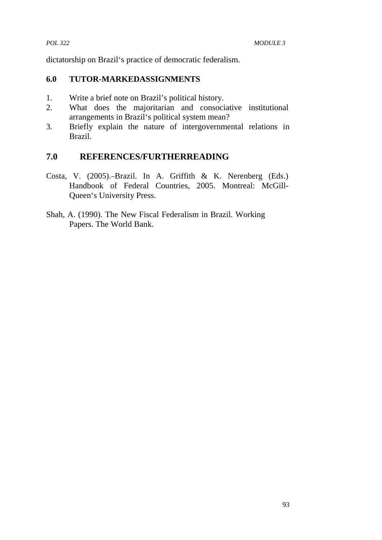dictatorship on Brazil's practice of democratic federalism.

#### **6.0 TUTOR-MARKEDASSIGNMENTS**

- 1. Write a brief note on Brazil's political history.
- 2. What does the majoritarian and consociative institutional arrangements in Brazil's political system mean?
- 3. Briefly explain the nature of intergovernmental relations in Brazil.

## **7.0 REFERENCES/FURTHERREADING**

- Costa, V. (2005). Brazil. In A. Griffith & K. Nerenberg (Eds.) Handbook of Federal Countries, 2005. Montreal: McGill- Queen's University Press.
- Shah, A. (1990). The New Fiscal Federalism in Brazil. Working Papers. The World Bank.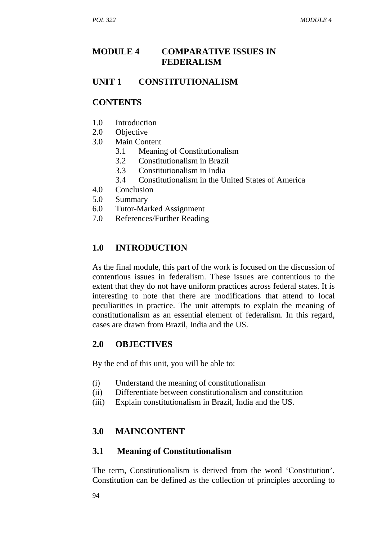# **MODULE 4 COMPARATIVE ISSUES IN FEDERALISM**

## **UNIT 1 CONSTITUTIONALISM**

#### **CONTENTS**

- 1.0 Introduction
- 2.0 Objective
- 3.0 Main Content
	- 3.1 Meaning of Constitutionalism
	- 3.2 Constitutionalism in Brazil
	- 3.3 Constitutionalism in India
	- 3.4 Constitutionalism in the United States of America
- 4.0 Conclusion
- 5.0 Summary
- 6.0 Tutor-Marked Assignment
- 7.0 References/Further Reading

# **1.0 INTRODUCTION**

As the final module, this part of the work is focused on the discussion of contentious issues in federalism. These issues are contentious to the extent that they do not have uniform practices across federal states. It is interesting to note that there are modifications that attend to local peculiarities in practice. The unit attempts to explain the meaning of constitutionalism as an essential element of federalism. In this regard, cases are drawn from Brazil, India and the US.

#### **2.0 OBJECTIVES**

By the end of this unit, you will be able to:

- (i) Understand the meaning of constitutionalism
- (ii) Differentiate between constitutionalism and constitution
- (iii) Explain constitutionalism in Brazil, India and the US.

## **3.0 MAINCONTENT**

#### **3.1 Meaning of Constitutionalism**

The term, Constitutionalism is derived from the word 'Constitution'. Constitution can be defined as the collection of principles according to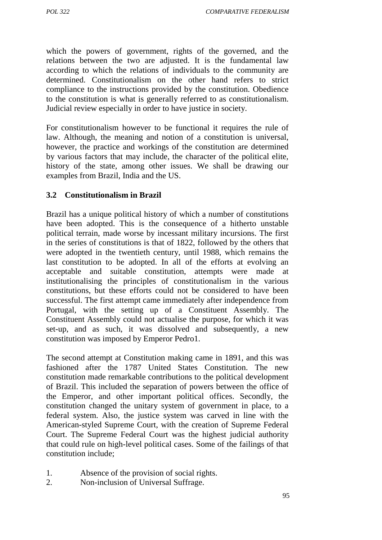which the powers of government, rights of the governed, and the relations between the two are adjusted. It is the fundamental law according to which the relations of individuals to the community are determined. Constitutionalism on the other hand refers to strict compliance to the instructions provided by the constitution. Obedience to the constitution is what is generally referred to as constitutionalism. Judicial review especially in order to have justice in society.

For constitutionalism however to be functional it requires the rule of law. Although, the meaning and notion of a constitution is universal, however, the practice and workings of the constitution are determined by various factors that may include, the character of the political elite, history of the state, among other issues. We shall be drawing our examples from Brazil, India and the US.

#### **3.2 Constitutionalism in Brazil**

Brazil has a unique political history of which a number of constitutions have been adopted. This is the consequence of a hitherto unstable political terrain, made worse by incessant military incursions. The first in the series of constitutions is that of 1822, followed by the others that were adopted in the twentieth century, until 1988, which remains the last constitution to be adopted. In all of the efforts at evolving an acceptable and suitable constitution, attempts were made at institutionalising the principles of constitutionalism in the various constitutions, but these efforts could not be considered to have been successful. The first attempt came immediately after independence from Portugal, with the setting up of a Constituent Assembly. The Constituent Assembly could not actualise the purpose, for which it was set-up, and as such, it was dissolved and subsequently, a new constitution was imposed by Emperor Pedro1.

The second attempt at Constitution making came in 1891, and this was fashioned after the 1787 United States Constitution. The new constitution made remarkable contributions to the political development of Brazil. This included the separation of powers between the office of the Emperor, and other important political offices. Secondly, the constitution changed the unitary system of government in place, to a federal system. Also, the justice system was carved in line with the American-styled Supreme Court, with the creation of Supreme Federal Court. The Supreme Federal Court was the highest judicial authority that could rule on high-level political cases. Some of the failings of that constitution include;

- 1. Absence of the provision of social rights.
- 2. Non-inclusion of Universal Suffrage.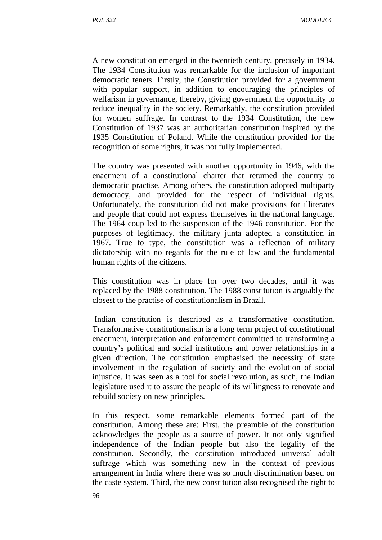A new constitution emerged in the twentieth century, precisely in 1934. The 1934 Constitution was remarkable for the inclusion of important democratic tenets. Firstly, the Constitution provided for a government with popular support, in addition to encouraging the principles of welfarism in governance, thereby, giving government the opportunity to reduce inequality in the society. Remarkably, the constitution provided for women suffrage. In contrast to the 1934 Constitution, the new Constitution of 1937 was an authoritarian constitution inspired by the 1935 Constitution of Poland. While the constitution provided for the recognition of some rights, it was not fully implemented.

The country was presented with another opportunity in 1946, with the enactment of a constitutional charter that returned the country to democratic practise. Among others, the constitution adopted multiparty democracy, and provided for the respect of individual rights. Unfortunately, the constitution did not make provisions for illiterates and people that could not express themselves in the national language. The 1964 coup led to the suspension of the 1946 constitution. For the purposes of legitimacy, the military junta adopted a constitution in 1967. True to type, the constitution was a reflection of military dictatorship with no regards for the rule of law and the fundamental human rights of the citizens.

This constitution was in place for over two decades, until it was replaced by the 1988 constitution. The 1988 constitution is arguably the closest to the practise of constitutionalism in Brazil.

Indian constitution is described as a transformative constitution. Transformative constitutionalism is a long term project of constitutional enactment, interpretation and enforcement committed to transforming a country's political and social institutions and power relationships in a given direction. The constitution emphasised the necessity of state involvement in the regulation of society and the evolution of social injustice. It was seen as a tool for social revolution, as such, the Indian legislature used it to assure the people of its willingness to renovate and rebuild society on new principles.

In this respect, some remarkable elements formed part of the constitution. Among these are: First, the preamble of the constitution acknowledges the people as a source of power. It not only signified independence of the Indian people but also the legality of the constitution. Secondly, the constitution introduced universal adult suffrage which was something new in the context of previous arrangement in India where there was so much discrimination based on the caste system. Third, the new constitution also recognised the right to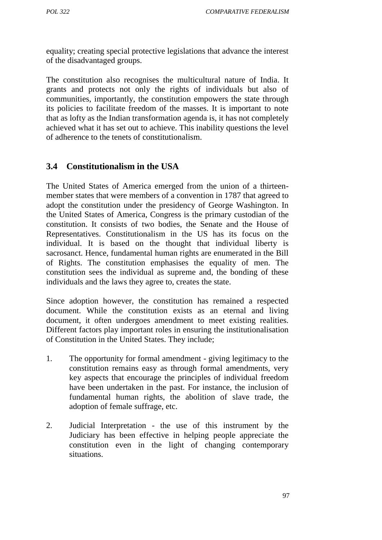equality; creating special protective legislations that advance the interest of the disadvantaged groups.

The constitution also recognises the multicultural nature of India. It grants and protects not only the rights of individuals but also of communities, importantly, the constitution empowers the state through its policies to facilitate freedom of the masses. It is important to note that as lofty as the Indian transformation agenda is, it has not completely achieved what it has set out to achieve. This inability questions the level of adherence to the tenets of constitutionalism.

#### **3.4 Constitutionalism in the USA**

The United States of America emerged from the union of a thirteen member states that were members of a convention in 1787 that agreed to adopt the constitution under the presidency of George Washington. In the United States of America, Congress is the primary custodian of the constitution. It consists of two bodies, the Senate and the House of Representatives. Constitutionalism in the US has its focus on the individual. It is based on the thought that individual liberty is sacrosanct. Hence, fundamental human rights are enumerated in the Bill of Rights. The constitution emphasises the equality of men. The constitution sees the individual as supreme and, the bonding of these individuals and the laws they agree to, creates the state.

Since adoption however, the constitution has remained a respected document. While the constitution exists as an eternal and living document, it often undergoes amendment to meet existing realities. Different factors play important roles in ensuring the institutionalisation of Constitution in the United States. They include;

- 1. The opportunity for formal amendment giving legitimacy to the constitution remains easy as through formal amendments, very key aspects that encourage the principles of individual freedom have been undertaken in the past. For instance, the inclusion of fundamental human rights, the abolition of slave trade, the adoption of female suffrage, etc.
- 2. Judicial Interpretation the use of this instrument by the Judiciary has been effective in helping people appreciate the constitution even in the light of changing contemporary situations.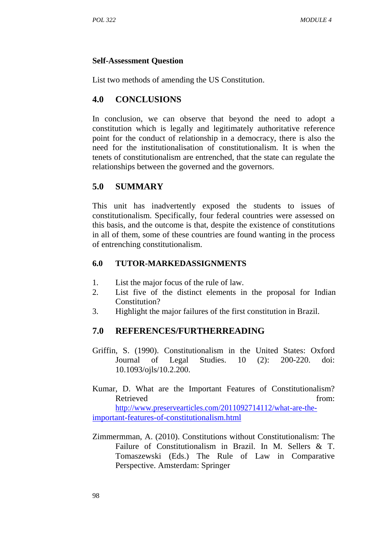#### **Self-Assessment Question**

List two methods of amending the US Constitution.

## **4.0 CONCLUSIONS**

In conclusion, we can observe that beyond the need to adopt a constitution which is legally and legitimately authoritative reference point for the conduct of relationship in a democracy, there is also the need for the institutionalisation of constitutionalism. It is when the tenets of constitutionalism are entrenched, that the state can regulate the relationships between the governed and the governors.

# **5.0 SUMMARY**

This unit has inadvertently exposed the students to issues of constitutionalism. Specifically, four federal countries were assessed on this basis, and the outcome is that, despite the existence of constitutions in all of them, some of these countries are found wanting in the process of entrenching constitutionalism.

#### **6.0 TUTOR-MARKEDASSIGNMENTS**

- 1. List the major focus of the rule of law.
- 2. List five of the distinct elements in the proposal for Indian Constitution?
- 3. Highlight the major failures of the first constitution in Brazil.

## **7.0 REFERENCES/FURTHERREADING**

- Griffin, S. (1990). Constitutionalism in the United States: Oxford Journal of Legal Studies. 10 (2): 200-220. doi: 10.1093/ojls/10.2.200.
- Kumar, D. What are the Important Features of Constitutionalism? Retrieved from: http://www.preservearticles.com/2011092714112/what-are-theimportant-features-of-constitutionalism.html
- Zimmermman, A. (2010). Constitutions without Constitutionalism: The Failure of Constitutionalism in Brazil. In M. Sellers & T. Tomaszewski (Eds.) The Rule of Law in Comparative Perspective. Amsterdam: Springer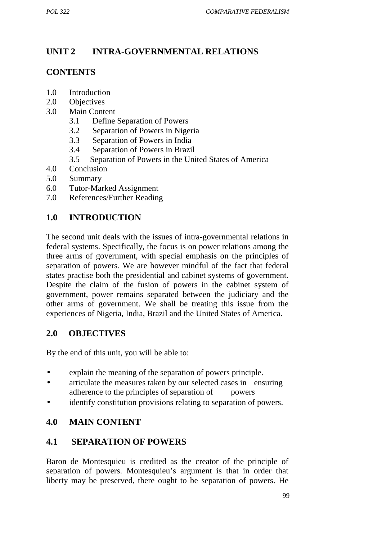# **UNIT 2 INTRA-GOVERNMENTAL RELATIONS**

## **CONTENTS**

- 1.0 Introduction
- 2.0 Objectives
- 3.0 Main Content
	- 3.1 Define Separation of Powers
	- 3.2 Separation of Powers in Nigeria
	- 3.3 Separation of Powers in India
	- 3.4 Separation of Powers in Brazil
	- 3.5 Separation of Powers in the United States of America
- 4.0 Conclusion
- 5.0 Summary
- 6.0 Tutor-Marked Assignment
- 7.0 References/Further Reading

# **1.0 INTRODUCTION**

The second unit deals with the issues of intra-governmental relations in federal systems. Specifically, the focus is on power relations among the three arms of government, with special emphasis on the principles of separation of powers. We are however mindful of the fact that federal states practise both the presidential and cabinet systems of government. Despite the claim of the fusion of powers in the cabinet system of government, power remains separated between the judiciary and the other arms of government. We shall be treating this issue from the experiences of Nigeria, India, Brazil and the United States of America.

## **2.0 OBJECTIVES**

By the end of this unit, you will be able to:

- explain the meaning of the separation of powers principle.
- articulate the measures taken by our selected cases in ensuring adherence to the principles of separation of powers
- identify constitution provisions relating to separation of powers.

# **4.0 MAIN CONTENT**

## **4.1 SEPARATION OF POWERS**

Baron de Montesquieu is credited as the creator of the principle of separation of powers. Montesquieu's argument is that in order that liberty may be preserved, there ought to be separation of powers. He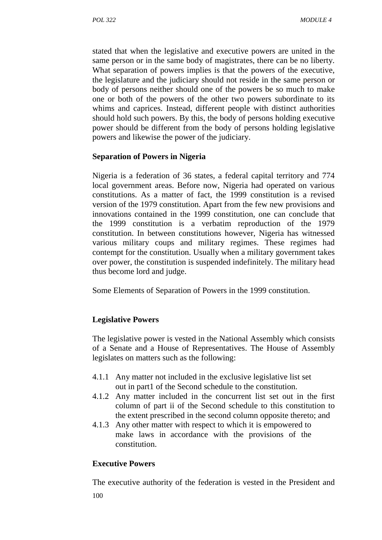stated that when the legislative and executive powers are united in the same person or in the same body of magistrates, there can be no liberty. What separation of powers implies is that the powers of the executive, the legislature and the judiciary should not reside in the same person or body of persons neither should one of the powers be so much to make one or both of the powers of the other two powers subordinate to its whims and caprices. Instead, different people with distinct authorities should hold such powers. By this, the body of persons holding executive power should be different from the body of persons holding legislative powers and likewise the power of the judiciary.

#### **Separation of Powers in Nigeria**

Nigeria is a federation of 36 states, a federal capital territory and 774 local government areas. Before now, Nigeria had operated on various constitutions. As a matter of fact, the 1999 constitution is a revised version of the 1979 constitution. Apart from the few new provisions and innovations contained in the 1999 constitution, one can conclude that the 1999 constitution is a verbatim reproduction of the 1979 constitution. In between constitutions however, Nigeria has witnessed various military coups and military regimes. These regimes had contempt for the constitution. Usually when a military government takes over power, the constitution is suspended indefinitely. The military head thus become lord and judge.

Some Elements of Separation of Powers in the 1999 constitution.

## **Legislative Powers**

The legislative power is vested in the National Assembly which consists of a Senate and a House of Representatives. The House of Assembly legislates on matters such as the following:

- 4.1.1 Any matter not included in the exclusive legislative list set out in part1 of the Second schedule to the constitution.
- 4.1.2 Any matter included in the concurrent list set out in the first column of part ii of the Second schedule to this constitution to the extent prescribed in the second column opposite thereto; and
- 4.1.3 Any other matter with respect to which it is empowered to make laws in accordance with the provisions of the constitution.

#### **Executive Powers**

100 The executive authority of the federation is vested in the President and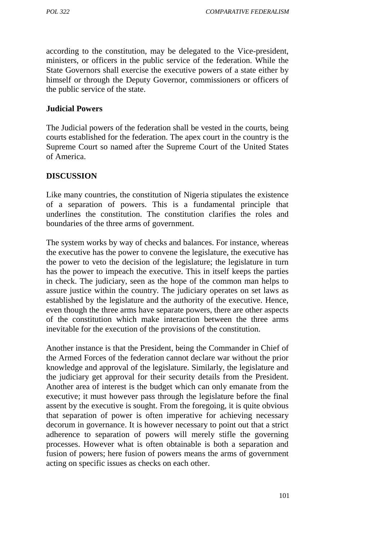according to the constitution, may be delegated to the Vice-president, ministers, or officers in the public service of the federation. While the State Governors shall exercise the executive powers of a state either by himself or through the Deputy Governor, commissioners or officers of the public service of the state.

#### **Judicial Powers**

The Judicial powers of the federation shall be vested in the courts, being courts established for the federation. The apex court in the country is the Supreme Court so named after the Supreme Court of the United States of America.

#### **DISCUSSION**

Like many countries, the constitution of Nigeria stipulates the existence of a separation of powers. This is a fundamental principle that underlines the constitution. The constitution clarifies the roles and boundaries of the three arms of government.

The system works by way of checks and balances. For instance, whereas the executive has the power to convene the legislature, the executive has the power to veto the decision of the legislature; the legislature in turn has the power to impeach the executive. This in itself keeps the parties in check. The judiciary, seen as the hope of the common man helps to assure justice within the country. The judiciary operates on set laws as established by the legislature and the authority of the executive. Hence, even though the three arms have separate powers, there are other aspects of the constitution which make interaction between the three arms inevitable for the execution of the provisions of the constitution.

Another instance is that the President, being the Commander in Chief of the Armed Forces of the federation cannot declare war without the prior knowledge and approval of the legislature. Similarly, the legislature and the judiciary get approval for their security details from the President. Another area of interest is the budget which can only emanate from the executive; it must however pass through the legislature before the final assent by the executive is sought. From the foregoing, it is quite obvious that separation of power is often imperative for achieving necessary decorum in governance. It is however necessary to point out that a strict adherence to separation of powers will merely stifle the governing processes. However what is often obtainable is both a separation and fusion of powers; here fusion of powers means the arms of government acting on specific issues as checks on each other.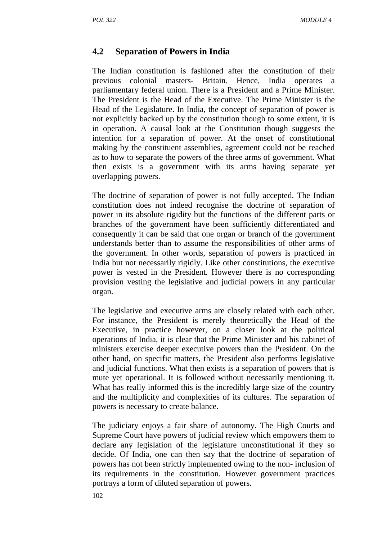#### **4.2 Separation of Powers in India**

The Indian constitution is fashioned after the constitution of their previous colonial masters- Britain. Hence, India operates a parliamentary federal union. There is a President and a Prime Minister. The President is the Head of the Executive. The Prime Minister is the Head of the Legislature. In India, the concept of separation of power is not explicitly backed up by the constitution though to some extent, it is in operation. A causal look at the Constitution though suggests the intention for a separation of power. At the onset of constitutional making by the constituent assemblies, agreement could not be reached as to how to separate the powers of the three arms of government. What then exists is a government with its arms having separate yet overlapping powers.

The doctrine of separation of power is not fully accepted. The Indian constitution does not indeed recognise the doctrine of separation of power in its absolute rigidity but the functions of the different parts or branches of the government have been sufficiently differentiated and consequently it can be said that one organ or branch of the government understands better than to assume the responsibilities of other arms of the government. In other words, separation of powers is practiced in India but not necessarily rigidly. Like other constitutions, the executive power is vested in the President. However there is no corresponding provision vesting the legislative and judicial powers in any particular organ.

The legislative and executive arms are closely related with each other. For instance, the President is merely theoretically the Head of the Executive, in practice however, on a closer look at the political operations of India, it is clear that the Prime Minister and his cabinet of ministers exercise deeper executive powers than the President. On the other hand, on specific matters, the President also performs legislative and judicial functions. What then exists is a separation of powers that is mute yet operational. It is followed without necessarily mentioning it. What has really informed this is the incredibly large size of the country and the multiplicity and complexities of its cultures. The separation of powers is necessary to create balance.

The judiciary enjoys a fair share of autonomy. The High Courts and Supreme Court have powers of judicial review which empowers them to declare any legislation of the legislature unconstitutional if they so decide. Of India, one can then say that the doctrine of separation of powers has not been strictly implemented owing to the non- inclusion of its requirements in the constitution. However government practices portrays a form of diluted separation of powers.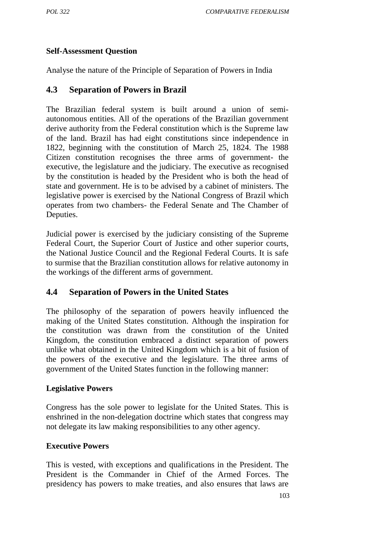#### **Self-Assessment Question**

Analyse the nature of the Principle of Separation of Powers in India

#### **4.3 Separation of Powers in Brazil**

The Brazilian federal system is built around a union of semi autonomous entities. All of the operations of the Brazilian government derive authority from the Federal constitution which is the Supreme law of the land. Brazil has had eight constitutions since independence in 1822, beginning with the constitution of March 25, 1824. The 1988 Citizen constitution recognises the three arms of government- the executive, the legislature and the judiciary. The executive as recognised by the constitution is headed by the President who is both the head of state and government. He is to be advised by a cabinet of ministers. The legislative power is exercised by the National Congress of Brazil which operates from two chambers- the Federal Senate and The Chamber of Deputies.

Judicial power is exercised by the judiciary consisting of the Supreme Federal Court, the Superior Court of Justice and other superior courts, the National Justice Council and the Regional Federal Courts. It is safe to surmise that the Brazilian constitution allows for relative autonomy in the workings of the different arms of government.

## **4.4 Separation of Powers in the United States**

The philosophy of the separation of powers heavily influenced the making of the United States constitution. Although the inspiration for the constitution was drawn from the constitution of the United Kingdom, the constitution embraced a distinct separation of powers unlike what obtained in the United Kingdom which is a bit of fusion of the powers of the executive and the legislature. The three arms of government of the United States function in the following manner:

#### **Legislative Powers**

Congress has the sole power to legislate for the United States. This is enshrined in the non-delegation doctrine which states that congress may not delegate its law making responsibilities to any other agency.

#### **Executive Powers**

This is vested, with exceptions and qualifications in the President. The President is the Commander in Chief of the Armed Forces. The presidency has powers to make treaties, and also ensures that laws are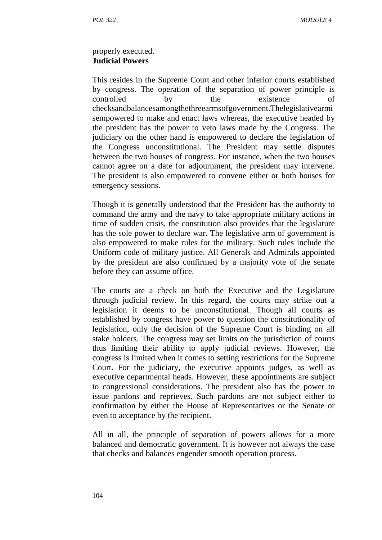#### properly executed. **Judicial Powers**

This resides in the Supreme Court and other inferior courts established by congress. The operation of the separation of power principle is controlled by the existence of checksandbalancesamongthethreearmsofgovernment.Thelegislativearmi sempowered to make and enact laws whereas, the executive headed by the president has the power to veto laws made by the Congress. The judiciary on the other hand is empowered to declare the legislation of the Congress unconstitutional. The President may settle disputes between the two houses of congress. For instance, when the two houses cannot agree on a date for adjournment, the president may intervene. The president is also empowered to convene either or both houses for emergency sessions.

Though it is generally understood that the President has the authority to command the army and the navy to take appropriate military actions in time of sudden crisis, the constitution also provides that the legislature has the sole power to declare war. The legislative arm of government is also empowered to make rules for the military. Such rules include the Uniform code of military justice. All Generals and Admirals appointed by the president are also confirmed by a majority vote of the senate before they can assume office.

The courts are a check on both the Executive and the Legislature through judicial review. In this regard, the courts may strike out a legislation it deems to be unconstitutional. Though all courts as established by congress have power to question the constitutionality of legislation, only the decision of the Supreme Court is binding on all stake holders. The congress may set limits on the jurisdiction of courts thus limiting their ability to apply judicial reviews. However, the congress is limited when it comes to setting restrictions for the Supreme Court. For the judiciary, the executive appoints judges, as well as executive departmental heads. However, these appointments are subject to congressional considerations. The president also has the power to issue pardons and reprieves. Such pardons are not subject either to confirmation by either the House of Representatives or the Senate or even to acceptance by the recipient.

All in all, the principle of separation of powers allows for a more balanced and democratic government. It is however not always the case that checks and balances engender smooth operation process.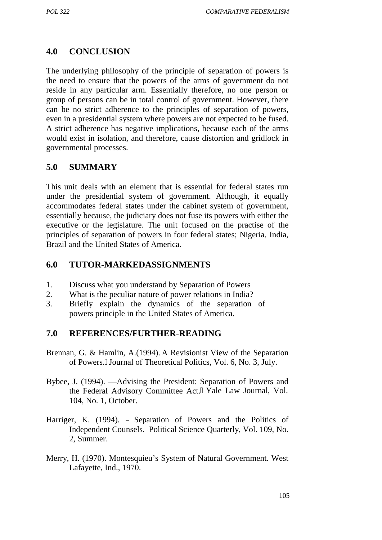# **4.0 CONCLUSION**

The underlying philosophy of the principle of separation of powers is the need to ensure that the powers of the arms of government do not reside in any particular arm. Essentially therefore, no one person or group of persons can be in total control of government. However, there can be no strict adherence to the principles of separation of powers, even in a presidential system where powers are not expected to be fused. A strict adherence has negative implications, because each of the arms would exist in isolation, and therefore, cause distortion and gridlock in governmental processes.

## **5.0 SUMMARY**

This unit deals with an element that is essential for federal states run under the presidential system of government. Although, it equally accommodates federal states under the cabinet system of government, essentially because, the judiciary does not fuse its powers with either the executive or the legislature. The unit focused on the practise of the principles of separation of powers in four federal states; Nigeria, India, Brazil and the United States of America.

## **6.0 TUTOR-MARKEDASSIGNMENTS**

- 1. Discuss what you understand by Separation of Powers
- 2. What is the peculiar nature of power relations in India?
- 3. Briefly explain the dynamics of the separation of powers principle in the United States of America.

## **7.0 REFERENCES/FURTHER-READING**

- Brennan, G. & Hamlin, A.(1994). A Revisionist View of the Separation of Powers.‖ Journal of Theoretical Politics, Vol. 6, No. 3, July.
- Bybee, J. (1994). Advising the President: Separation of Powers and the Federal Advisory Committee Act.‖ Yale Law Journal, Vol. 104, No. 1, October.
- Harriger, K. (1994). Separation of Powers and the Politics of Independent Counsels. Political Science Quarterly, Vol. 109, No. 2, Summer.
- Merry, H. (1970). Montesquieu's System of Natural Government. West Lafayette, Ind., 1970.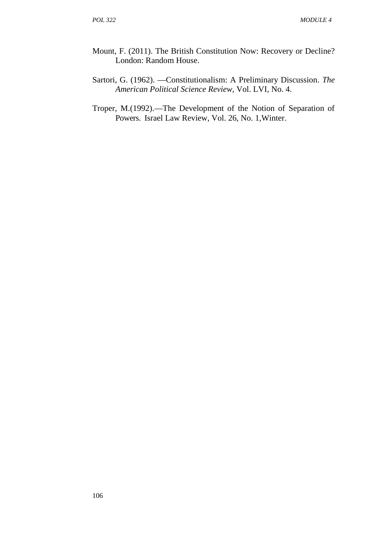- Mount, F. (2011). The British Constitution Now: Recovery or Decline? London: Random House.
- Sartori, G. (1962). ―Constitutionalism: A Preliminary Discussion. *The American Political Science Review*, Vol. LVI, No. 4.
- Troper, M.(1992). The Development of the Notion of Separation of Powers. Israel Law Review, Vol. 26, No. 1,Winter.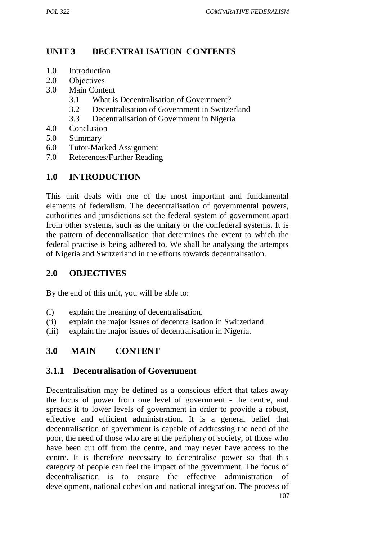## **UNIT 3 DECENTRALISATION CONTENTS**

- 1.0 Introduction
- 2.0 Objectives
- 3.0 Main Content
	- 3.1 What is Decentralisation of Government?
	- 3.2 Decentralisation of Government in Switzerland
	- 3.3 Decentralisation of Government in Nigeria
- 4.0 Conclusion
- 5.0 Summary
- 6.0 Tutor-Marked Assignment
- 7.0 References/Further Reading

# **1.0 INTRODUCTION**

This unit deals with one of the most important and fundamental elements of federalism. The decentralisation of governmental powers, authorities and jurisdictions set the federal system of government apart from other systems, such as the unitary or the confederal systems. It is the pattern of decentralisation that determines the extent to which the federal practise is being adhered to. We shall be analysing the attempts of Nigeria and Switzerland in the efforts towards decentralisation.

#### **2.0 OBJECTIVES**

By the end of this unit, you will be able to:

- (i) explain the meaning of decentralisation.
- (ii) explain the major issues of decentralisation in Switzerland.
- (iii) explain the major issues of decentralisation in Nigeria.

## **3.0 MAIN CONTENT**

#### **3.1.1 Decentralisation of Government**

107 Decentralisation may be defined as a conscious effort that takes away the focus of power from one level of government - the centre, and spreads it to lower levels of government in order to provide a robust, effective and efficient administration. It is a general belief that decentralisation of government is capable of addressing the need of the poor, the need of those who are at the periphery of society, of those who have been cut off from the centre, and may never have access to the centre. It is therefore necessary to decentralise power so that this category of people can feel the impact of the government. The focus of decentralisation is to ensure the effective administration of development, national cohesion and national integration. The process of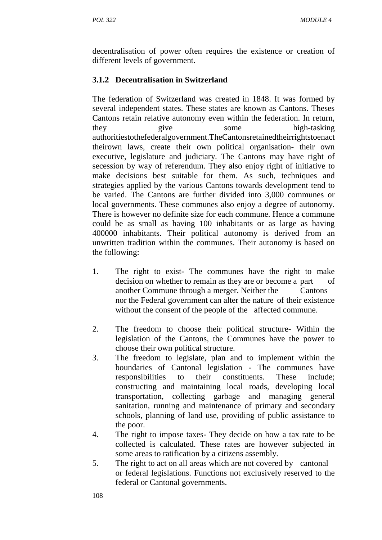decentralisation of power often requires the existence or creation of different levels of government.

## **3.1.2 Decentralisation in Switzerland**

The federation of Switzerland was created in 1848. It was formed by several independent states. These states are known as Cantons. Theses Cantons retain relative autonomy even within the federation. In return, they give some high-tasking authoritiestothefederalgovernment.TheCantonsretainedtheirrightstoenact theirown laws, create their own political organisation- their own executive, legislature and judiciary. The Cantons may have right of secession by way of referendum. They also enjoy right of initiative to make decisions best suitable for them. As such, techniques and strategies applied by the various Cantons towards development tend to be varied. The Cantons are further divided into 3,000 communes or local governments. These communes also enjoy a degree of autonomy. There is however no definite size for each commune. Hence a commune could be as small as having 100 inhabitants or as large as having 400000 inhabitants. Their political autonomy is derived from an unwritten tradition within the communes. Their autonomy is based on the following:

- 1. The right to exist- The communes have the right to make decision on whether to remain as they are or become a part of another Commune through a merger. Neither the Cantons nor the Federal government can alter the nature of their existence without the consent of the people of the affected commune.
- 2. The freedom to choose their political structure- Within the legislation of the Cantons, the Communes have the power to choose their own political structure.
- 3. The freedom to legislate, plan and to implement within the boundaries of Cantonal legislation - The communes have responsibilities to their constituents. These include; constructing and maintaining local roads, developing local transportation, collecting garbage and managing general sanitation, running and maintenance of primary and secondary schools, planning of land use, providing of public assistance to the poor.
- 4. The right to impose taxes- They decide on how a tax rate to be collected is calculated. These rates are however subjected in some areas to ratification by a citizens assembly.
- 5. The right to act on all areas which are not covered by cantonal or federal legislations. Functions not exclusively reserved to the federal or Cantonal governments.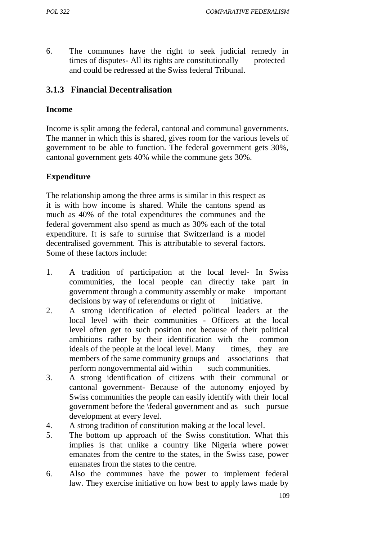6. The communes have the right to seek judicial remedy in times of disputes- All its rights are constitutionally protected and could be redressed at the Swiss federal Tribunal.

#### **3.1.3 Financial Decentralisation**

#### **Income**

Income is split among the federal, cantonal and communal governments. The manner in which this is shared, gives room for the various levels of government to be able to function. The federal government gets 30%, cantonal government gets 40% while the commune gets 30%.

#### **Expenditure**

The relationship among the three arms is similar in this respect as it is with how income is shared. While the cantons spend as much as 40% of the total expenditures the communes and the federal government also spend as much as 30% each of the total expenditure. It is safe to surmise that Switzerland is a model decentralised government. This is attributable to several factors. Some of these factors include:

- 1. A tradition of participation at the local level- In Swiss communities, the local people can directly take part in government through a community assembly or make important decisions by way of referendums or right of initiative.
- 2. A strong identification of elected political leaders at the local level with their communities - Officers at the local level often get to such position not because of their political ambitions rather by their identification with the common ideals of the people at the local level. Many times, they are members of the same community groups and associations that perform nongovernmental aid within such communities.
- 3. A strong identification of citizens with their communal or cantonal government- Because of the autonomy enjoyed by Swiss communities the people can easily identify with their local government before the \federal government and as such pursue development at every level.
- 4. A strong tradition of constitution making at the local level.
- 5. The bottom up approach of the Swiss constitution. What this implies is that unlike a country like Nigeria where power emanates from the centre to the states, in the Swiss case, power emanates from the states to the centre.
- 6. Also the communes have the power to implement federal law. They exercise initiative on how best to apply laws made by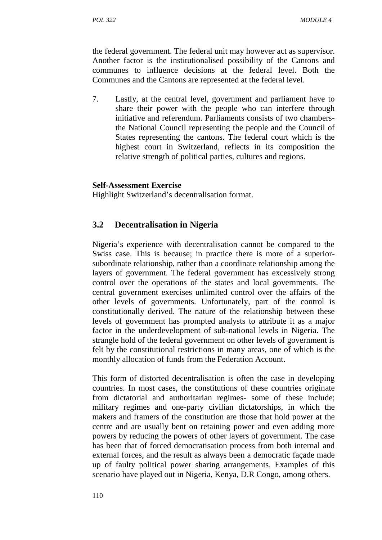the federal government. The federal unit may however act as supervisor. Another factor is the institutionalised possibility of the Cantons and communes to influence decisions at the federal level. Both the Communes and the Cantons are represented at the federal level.

7. Lastly, at the central level, government and parliament have to share their power with the people who can interfere through initiative and referendum. Parliaments consists of two chambersthe National Council representing the people and the Council of States representing the cantons. The federal court which is the highest court in Switzerland, reflects in its composition the relative strength of political parties, cultures and regions.

#### **Self-Assessment Exercise**

Highlight Switzerland's decentralisation format.

#### **3.2 Decentralisation in Nigeria**

Nigeria's experience with decentralisation cannot be compared to the Swiss case. This is because; in practice there is more of a superior subordinate relationship, rather than a coordinate relationship among the layers of government. The federal government has excessively strong control over the operations of the states and local governments. The central government exercises unlimited control over the affairs of the other levels of governments. Unfortunately, part of the control is constitutionally derived. The nature of the relationship between these levels of government has prompted analysts to attribute it as a major factor in the underdevelopment of sub-national levels in Nigeria. The strangle hold of the federal government on other levels of government is felt by the constitutional restrictions in many areas, one of which is the monthly allocation of funds from the Federation Account.

This form of distorted decentralisation is often the case in developing countries. In most cases, the constitutions of these countries originate from dictatorial and authoritarian regimes- some of these include; military regimes and one-party civilian dictatorships, in which the makers and framers of the constitution are those that hold power at the centre and are usually bent on retaining power and even adding more powers by reducing the powers of other layers of government. The case has been that of forced democratisation process from both internal and external forces, and the result as always been a democratic façade made up of faulty political power sharing arrangements. Examples of this scenario have played out in Nigeria, Kenya, D.R Congo, among others.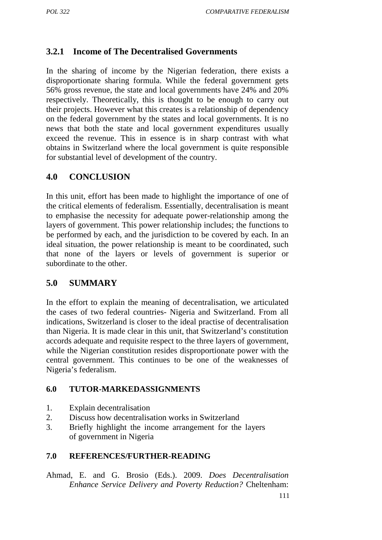# **3.2.1 Income of The Decentralised Governments**

In the sharing of income by the Nigerian federation, there exists a disproportionate sharing formula. While the federal government gets 56% gross revenue, the state and local governments have 24% and 20% respectively. Theoretically, this is thought to be enough to carry out their projects. However what this creates is a relationship of dependency on the federal government by the states and local governments. It is no news that both the state and local government expenditures usually exceed the revenue. This in essence is in sharp contrast with what obtains in Switzerland where the local government is quite responsible for substantial level of development of the country.

## **4.0 CONCLUSION**

In this unit, effort has been made to highlight the importance of one of the critical elements of federalism. Essentially, decentralisation is meant to emphasise the necessity for adequate power-relationship among the layers of government. This power relationship includes; the functions to be performed by each, and the jurisdiction to be covered by each. In an ideal situation, the power relationship is meant to be coordinated, such that none of the layers or levels of government is superior or subordinate to the other.

## **5.0 SUMMARY**

In the effort to explain the meaning of decentralisation, we articulated the cases of two federal countries- Nigeria and Switzerland. From all indications, Switzerland is closer to the ideal practise of decentralisation than Nigeria. It is made clear in this unit, that Switzerland's constitution accords adequate and requisite respect to the three layers of government, while the Nigerian constitution resides disproportionate power with the central government. This continues to be one of the weaknesses of Nigeria's federalism.

#### **6.0 TUTOR-MARKEDASSIGNMENTS**

- 1. Explain decentralisation
- 2. Discuss how decentralisation works in Switzerland
- 3. Briefly highlight the income arrangement for the layers of government in Nigeria

#### **7.0 REFERENCES/FURTHER-READING**

Ahmad, E. and G. Brosio (Eds.). 2009. *Does Decentralisation Enhance Service Delivery and Poverty Reduction?* Cheltenham: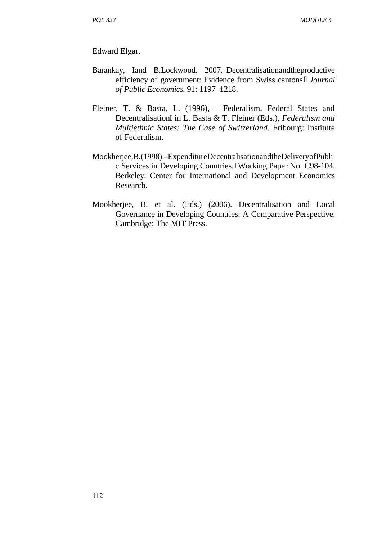Edward Elgar.

- Barankay, Iand B.Lockwood. 2007. Decentralisationandtheproductive efficiency of government: Evidence from Swiss cantons. *Journal of Public Economics*, 91: 1197–1218.
- Fleiner, T. & Basta, L. (1996), Federalism, Federal States and Decentralisation in L. Basta & T. Fleiner (Eds.), *Federalism and Multiethnic States: The Case of Switzerland.* Fribourg: Institute of Federalism.
- Mookherjee,B.(1998). ExpenditureDecentralisationandtheDeliveryofPubli c Services in Developing Countries.‖ Working Paper No. C98-104. Berkeley: Center for International and Development Economics Research.
- Mookherjee, B. et al. (Eds.) (2006). Decentralisation and Local Governance in Developing Countries: A Comparative Perspective. Cambridge: The MIT Press.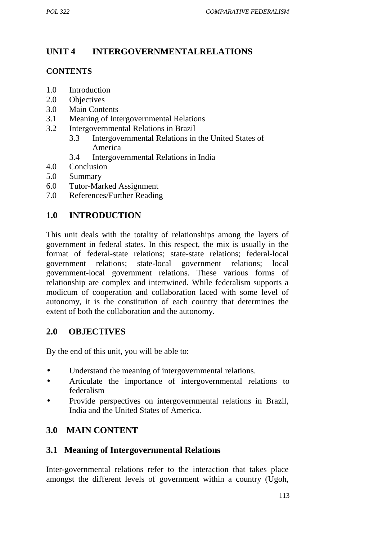# **UNIT 4 INTERGOVERNMENTALRELATIONS**

#### **CONTENTS**

- 1.0 Introduction
- 2.0 Objectives
- 3.0 Main Contents
- 3.1 Meaning of Intergovernmental Relations
- 3.2 Intergovernmental Relations in Brazil
	- 3.3 Intergovernmental Relations in the United States of America
	- 3.4 Intergovernmental Relations in India
- 4.0 Conclusion
- 5.0 Summary
- 6.0 Tutor-Marked Assignment
- 7.0 References/Further Reading

# **1.0 INTRODUCTION**

This unit deals with the totality of relationships among the layers of government in federal states. In this respect, the mix is usually in the format of federal-state relations; state-state relations; federal-local government relations; state-local government relations; local government-local government relations. These various forms of relationship are complex and intertwined. While federalism supports a modicum of cooperation and collaboration laced with some level of autonomy, it is the constitution of each country that determines the extent of both the collaboration and the autonomy.

## **2.0 OBJECTIVES**

By the end of this unit, you will be able to:

- Understand the meaning of intergovernmental relations.
- Articulate the importance of intergovernmental relations to federalism
- Provide perspectives on intergovernmental relations in Brazil, India and the United States of America.

# **3.0 MAIN CONTENT**

## **3.1 Meaning of Intergovernmental Relations**

Inter-governmental relations refer to the interaction that takes place amongst the different levels of government within a country (Ugoh,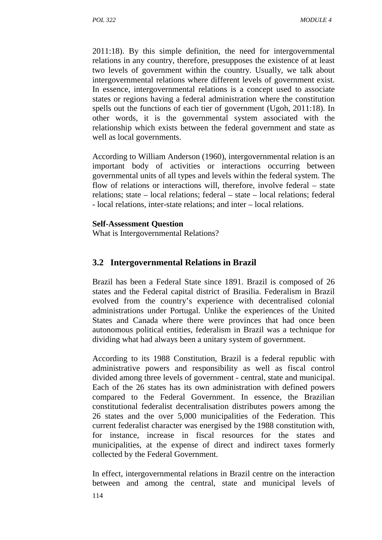2011:18). By this simple definition, the need for intergovernmental relations in any country, therefore, presupposes the existence of at least two levels of government within the country. Usually, we talk about intergovernmental relations where different levels of government exist. In essence, intergovernmental relations is a concept used to associate states or regions having a federal administration where the constitution spells out the functions of each tier of government (Ugoh, 2011:18). In other words, it is the governmental system associated with the relationship which exists between the federal government and state as well as local governments.

According to William Anderson (1960), intergovernmental relation is an important body of activities or interactions occurring between governmental units of all types and levels within the federal system. The flow of relations or interactions will, therefore, involve federal – state relations; state – local relations; federal – state – local relations; federal - local relations, inter-state relations; and inter – local relations.

#### **Self-Assessment Question**

What is Intergovernmental Relations?

#### **3.2 Intergovernmental Relations in Brazil**

Brazil has been a Federal State since 1891. Brazil is composed of 26 states and the Federal capital district of Brasilia. Federalism in Brazil evolved from the country's experience with decentralised colonial administrations under Portugal. Unlike the experiences of the United States and Canada where there were provinces that had once been autonomous political entities, federalism in Brazil was a technique for dividing what had always been a unitary system of government.

According to its 1988 Constitution, Brazil is a federal republic with administrative powers and responsibility as well as fiscal control divided among three levels of government - central, state and municipal. Each of the 26 states has its own administration with defined powers compared to the Federal Government. In essence, the Brazilian constitutional federalist decentralisation distributes powers among the 26 states and the over 5,000 municipalities of the Federation. This current federalist character was energised by the 1988 constitution with, for instance, increase in fiscal resources for the states and municipalities, at the expense of direct and indirect taxes formerly collected by the Federal Government.

In effect, intergovernmental relations in Brazil centre on the interaction between and among the central, state and municipal levels of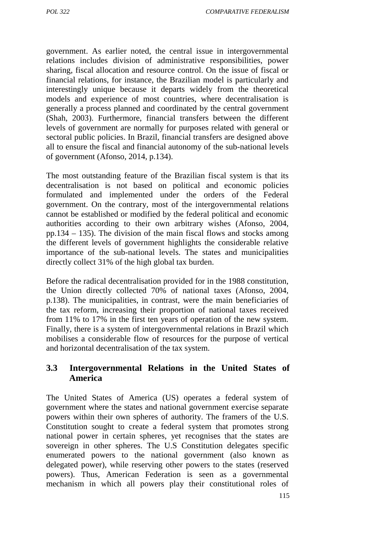government. As earlier noted, the central issue in intergovernmental relations includes division of administrative responsibilities, power sharing, fiscal allocation and resource control. On the issue of fiscal or financial relations, for instance, the Brazilian model is particularly and interestingly unique because it departs widely from the theoretical models and experience of most countries, where decentralisation is generally a process planned and coordinated by the central government (Shah, 2003). Furthermore, financial transfers between the different levels of government are normally for purposes related with general or sectoral public policies. In Brazil, financial transfers are designed above all to ensure the fiscal and financial autonomy of the sub-national levels of government (Afonso, 2014, p.134).

The most outstanding feature of the Brazilian fiscal system is that its decentralisation is not based on political and economic policies formulated and implemented under the orders of the Federal government. On the contrary, most of the intergovernmental relations cannot be established or modified by the federal political and economic authorities according to their own arbitrary wishes (Afonso, 2004, pp.134 – 135). The division of the main fiscal flows and stocks among the different levels of government highlights the considerable relative importance of the sub-national levels. The states and municipalities directly collect 31% of the high global tax burden.

Before the radical decentralisation provided for in the 1988 constitution, the Union directly collected 70% of national taxes (Afonso, 2004, p.138). The municipalities, in contrast, were the main beneficiaries of the tax reform, increasing their proportion of national taxes received from 11% to 17% in the first ten years of operation of the new system. Finally, there is a system of intergovernmental relations in Brazil which mobilises a considerable flow of resources for the purpose of vertical and horizontal decentralisation of the tax system.

# **3.3 Intergovernmental Relations in the United States of America**

The United States of America (US) operates a federal system of government where the states and national government exercise separate powers within their own spheres of authority. The framers of the U.S. Constitution sought to create a federal system that promotes strong national power in certain spheres, yet recognises that the states are sovereign in other spheres. The U.S Constitution delegates specific enumerated powers to the national government (also known as delegated power), while reserving other powers to the states (reserved powers). Thus, American Federation is seen as a governmental mechanism in which all powers play their constitutional roles of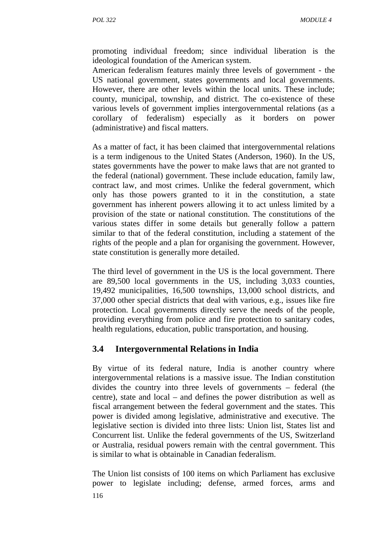promoting individual freedom; since individual liberation is the ideological foundation of the American system.

American federalism features mainly three levels of government - the US national government, states governments and local governments. However, there are other levels within the local units. These include; county, municipal, township, and district. The co-existence of these various levels of government implies intergovernmental relations (as a corollary of federalism) especially as it borders on power (administrative) and fiscal matters.

As a matter of fact, it has been claimed that intergovernmental relations is a term indigenous to the United States (Anderson, 1960). In the US, states governments have the power to make laws that are not granted to the federal (national) government. These include education, family law, contract law, and most crimes. Unlike the federal government, which only has those powers granted to it in the constitution, a state government has inherent powers allowing it to act unless limited by a provision of the state or national constitution. The constitutions of the various states differ in some details but generally follow a pattern similar to that of the federal constitution, including a statement of the rights of the people and a plan for organising the government. However, state constitution is generally more detailed.

The third level of government in the US is the local government. There are 89,500 local governments in the US, including 3,033 counties, 19,492 municipalities, 16,500 townships, 13,000 school districts, and 37,000 other special districts that deal with various, e.g., issues like fire protection. Local governments directly serve the needs of the people, providing everything from police and fire protection to sanitary codes, health regulations, education, public transportation, and housing.

## **3.4 Intergovernmental Relations in India**

By virtue of its federal nature, India is another country where intergovernmental relations is a massive issue. The Indian constitution divides the country into three levels of governments – federal (the centre), state and local – and defines the power distribution as well as fiscal arrangement between the federal government and the states. This power is divided among legislative, administrative and executive. The legislative section is divided into three lists: Union list, States list and Concurrent list. Unlike the federal governments of the US, Switzerland or Australia, residual powers remain with the central government. This is similar to what is obtainable in Canadian federalism.

116 The Union list consists of 100 items on which Parliament has exclusive power to legislate including; defense, armed forces, arms and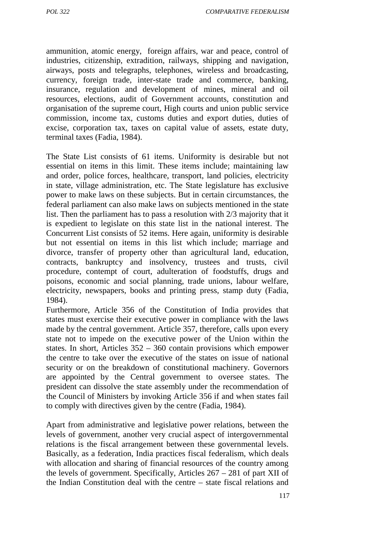*POL 322 COMPARATIVE FEDERALISM*

ammunition, atomic energy, foreign affairs, war and peace, control of industries, citizenship, extradition, railways, shipping and navigation, airways, posts and telegraphs, telephones, wireless and broadcasting, currency, foreign trade, inter-state trade and commerce, banking, insurance, regulation and development of mines, mineral and oil resources, elections, audit of Government accounts, constitution and organisation of the supreme court, High courts and union public service commission, income tax, customs duties and export duties, duties of excise, corporation tax, taxes on capital value of assets, estate duty, terminal taxes (Fadia, 1984).

The State List consists of 61 items. Uniformity is desirable but not essential on items in this limit. These items include; maintaining law and order, police forces, healthcare, transport, land policies, electricity in state, village administration, etc. The State legislature has exclusive power to make laws on these subjects. But in certain circumstances, the federal parliament can also make laws on subjects mentioned in the state list. Then the parliament has to pass a resolution with 2/3 majority that it is expedient to legislate on this state list in the national interest. The Concurrent List consists of 52 items. Here again, uniformity is desirable but not essential on items in this list which include; marriage and divorce, transfer of property other than agricultural land, education, contracts, bankruptcy and insolvency, trustees and trusts, civil procedure, contempt of court, adulteration of foodstuffs, drugs and poisons, economic and social planning, trade unions, labour welfare, electricity, newspapers, books and printing press, stamp duty (Fadia, 1984).

Furthermore, Article 356 of the Constitution of India provides that states must exercise their executive power in compliance with the laws made by the central government. Article 357, therefore, calls upon every state not to impede on the executive power of the Union within the states. In short, Articles 352 – 360 contain provisions which empower the centre to take over the executive of the states on issue of national security or on the breakdown of constitutional machinery. Governors are appointed by the Central government to oversee states. The president can dissolve the state assembly under the recommendation of the Council of Ministers by invoking Article 356 if and when states fail to comply with directives given by the centre (Fadia, 1984).

Apart from administrative and legislative power relations, between the levels of government, another very crucial aspect of intergovernmental relations is the fiscal arrangement between these governmental levels. Basically, as a federation, India practices fiscal federalism, which deals with allocation and sharing of financial resources of the country among the levels of government. Specifically, Articles 267 – 281 of part XII of the Indian Constitution deal with the centre – state fiscal relations and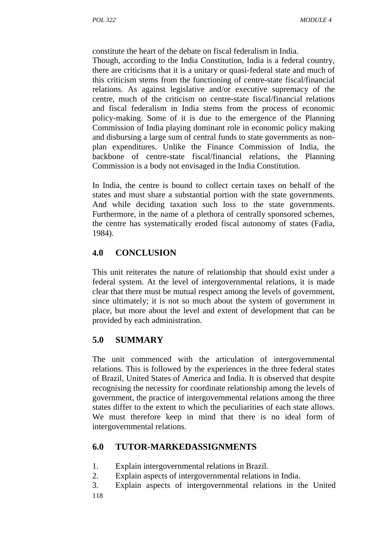constitute the heart of the debate on fiscal federalism in India.

Though, according to the India Constitution, India is a federal country, there are criticisms that it is a unitary or quasi-federal state and much of this criticism stems from the functioning of centre-state fiscal/financial relations. As against legislative and/or executive supremacy of the centre, much of the criticism on centre-state fiscal/financial relations and fiscal federalism in India stems from the process of economic policy-making. Some of it is due to the emergence of the Planning Commission of India playing dominant role in economic policy making and disbursing a large sum of central funds to state governments as non plan expenditures. Unlike the Finance Commission of India, the backbone of centre-state fiscal/financial relations, the Planning Commission is a body not envisaged in the India Constitution.

In India, the centre is bound to collect certain taxes on behalf of the states and must share a substantial portion with the state governments. And while deciding taxation such loss to the state governments. Furthermore, in the name of a plethora of centrally sponsored schemes, the centre has systematically eroded fiscal autonomy of states (Fadia, 1984).

# **4.0 CONCLUSION**

This unit reiterates the nature of relationship that should exist under a federal system. At the level of intergovernmental relations, it is made clear that there must be mutual respect among the levels of government, since ultimately; it is not so much about the system of government in place, but more about the level and extent of development that can be provided by each administration.

# **5.0 SUMMARY**

The unit commenced with the articulation of intergovernmental relations. This is followed by the experiences in the three federal states of Brazil, United States of America and India. It is observed that despite recognising the necessity for coordinate relationship among the levels of government, the practice of intergovernmental relations among the three states differ to the extent to which the peculiarities of each state allows. We must therefore keep in mind that there is no ideal form of intergovernmental relations.

# **6.0 TUTOR-MARKEDASSIGNMENTS**

- 1. Explain intergovernmental relations in Brazil.
- 2. Explain aspects of intergovernmental relations in India.
- 118 3. Explain aspects of intergovernmental relations in the United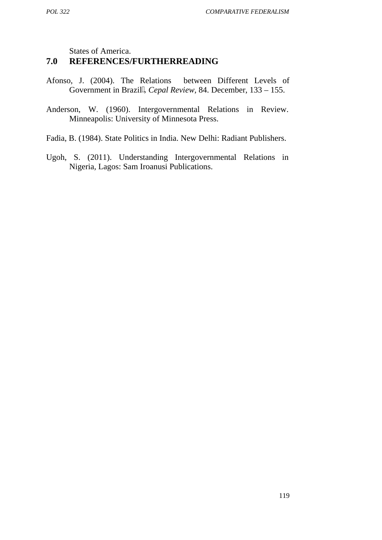States of America.

## **7.0 REFERENCES/FURTHERREADING**

- Afonso, J. (2004). The Relations between Different Levels of Government in Brazil, *Cepal Review*, 84. December, 133 – 155.
- Anderson, W. (1960). Intergovernmental Relations in Review. Minneapolis: University of Minnesota Press.
- Fadia, B. (1984). State Politics in India. New Delhi: Radiant Publishers.
- Ugoh, S. (2011). Understanding Intergovernmental Relations in Nigeria*,* Lagos: Sam Iroanusi Publications.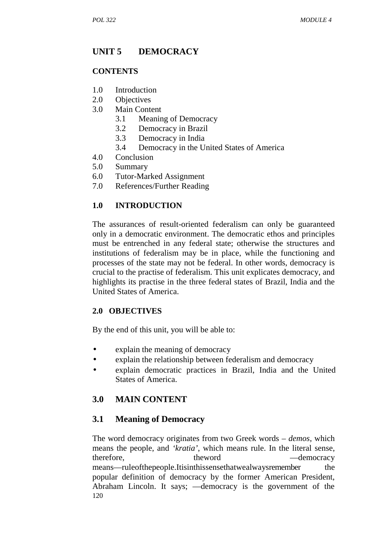## **UNIT 5 DEMOCRACY**

#### **CONTENTS**

- 1.0 Introduction
- 2.0 Objectives
- 3.0 Main Content
	- 3.1 Meaning of Democracy
	- 3.2 Democracy in Brazil
	- 3.3 Democracy in India
	- 3.4 Democracy in the United States of America
- 4.0 Conclusion
- 5.0 Summary
- 6.0 Tutor-Marked Assignment
- 7.0 References/Further Reading

#### **1.0 INTRODUCTION**

The assurances of result-oriented federalism can only be guaranteed only in a democratic environment. The democratic ethos and principles must be entrenched in any federal state; otherwise the structures and institutions of federalism may be in place, while the functioning and processes of the state may not be federal. In other words, democracy is crucial to the practise of federalism. This unit explicates democracy, and highlights its practise in the three federal states of Brazil, India and the United States of America.

#### **2.0 OBJECTIVES**

By the end of this unit, you will be able to:

- explain the meaning of democracy
- explain the relationship between federalism and democracy
- explain democratic practices in Brazil, India and the United States of America.

## **3.0 MAIN CONTENT**

#### **3.1 Meaning of Democracy**

120 The word democracy originates from two Greek words – *demos*, which means the people, and *'kratia'*, which means rule. In the literal sense, therefore. the use the theword democracy means ruleofthepeople.Itisinthissensethatwealwaysremember the popular definition of democracy by the former American President, Abraham Lincoln. It says; democracy is the government of the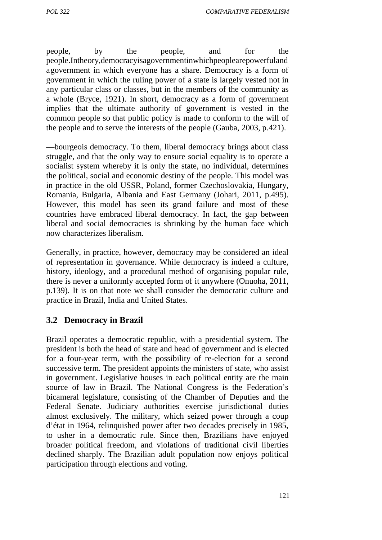people, by the people, and for the people.Intheory,democracyisagovernmentinwhichpeoplearepowerfuland agovernment in which everyone has a share. Democracy is a form of government in which the ruling power of a state is largely vested not in any particular class or classes, but in the members of the community as a whole (Bryce, 1921). In short, democracy as a form of government implies that the ultimate authority of government is vested in the common people so that public policy is made to conform to the will of the people and to serve the interests of the people (Gauba, 2003, p.421).

―bourgeois democracy. To them, liberal democracy brings about class struggle, and that the only way to ensure social equality is to operate a socialist system whereby it is only the state, no individual, determines the political, social and economic destiny of the people. This model was in practice in the old USSR, Poland, former Czechoslovakia, Hungary, Romania, Bulgaria, Albania and East Germany (Johari, 2011, p.495). However, this model has seen its grand failure and most of these countries have embraced liberal democracy. In fact, the gap between liberal and social democracies is shrinking by the human face which now characterizes liberalism.

Generally, in practice, however, democracy may be considered an ideal of representation in governance. While democracy is indeed a culture, history, ideology, and a procedural method of organising popular rule, there is never a uniformly accepted form of it anywhere (Onuoha, 2011, p.139). It is on that note we shall consider the democratic culture and practice in Brazil, India and United States.

#### **3.2 Democracy in Brazil**

Brazil operates a democratic republic, with a presidential system. The president is both the head of state and head of government and is elected for a four-year term, with the possibility of re-election for a second successive term. The president appoints the ministers of state, who assist in government. Legislative houses in each political entity are the main source of law in Brazil. The National Congress is the Federation's bicameral legislature, consisting of the Chamber of Deputies and the Federal Senate. Judiciary authorities exercise jurisdictional duties almost exclusively. The military, which seized power through a coup d'état in 1964, relinquished power after two decades precisely in 1985, to usher in a democratic rule. Since then, Brazilians have enjoyed broader political freedom, and violations of traditional civil liberties declined sharply. The Brazilian adult population now enjoys political participation through elections and voting.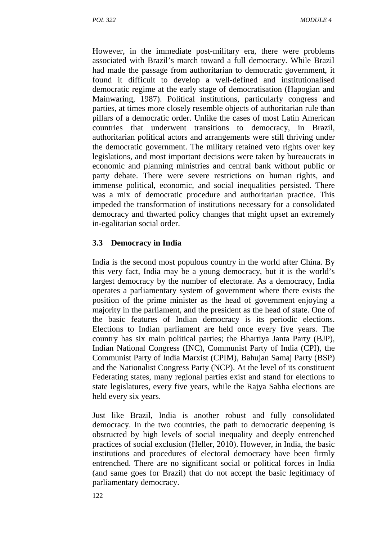However, in the immediate post-military era, there were problems associated with Brazil's march toward a full democracy. While Brazil had made the passage from authoritarian to democratic government, it found it difficult to develop a well-defined and institutionalised democratic regime at the early stage of democratisation (Hapogian and Mainwaring, 1987). Political institutions, particularly congress and parties, at times more closely resemble objects of authoritarian rule than pillars of a democratic order. Unlike the cases of most Latin American countries that underwent transitions to democracy, in Brazil, authoritarian political actors and arrangements were still thriving under the democratic government. The military retained veto rights over key legislations, and most important decisions were taken by bureaucrats in economic and planning ministries and central bank without public or party debate. There were severe restrictions on human rights, and immense political, economic, and social inequalities persisted. There was a mix of democratic procedure and authoritarian practice. This impeded the transformation of institutions necessary for a consolidated democracy and thwarted policy changes that might upset an extremely in-egalitarian social order.

#### **3.3 Democracy in India**

India is the second most populous country in the world after China. By this very fact, India may be a young democracy, but it is the world's largest democracy by the number of electorate. As a democracy, India operates a parliamentary system of government where there exists the position of the prime minister as the head of government enjoying a majority in the parliament, and the president as the head of state. One of the basic features of Indian democracy is its periodic elections. Elections to Indian parliament are held once every five years. The country has six main political parties; the Bhartiya Janta Party (BJP), Indian National Congress (INC), Communist Party of India (CPI), the Communist Party of India Marxist (CPIM), Bahujan Samaj Party (BSP) and the Nationalist Congress Party (NCP). At the level of its constituent Federating states, many regional parties exist and stand for elections to state legislatures, every five years, while the Rajya Sabha elections are held every six years.

Just like Brazil, India is another robust and fully consolidated democracy. In the two countries, the path to democratic deepening is obstructed by high levels of social inequality and deeply entrenched practices of social exclusion (Heller, 2010). However, in India, the basic institutions and procedures of electoral democracy have been firmly entrenched. There are no significant social or political forces in India (and same goes for Brazil) that do not accept the basic legitimacy of parliamentary democracy.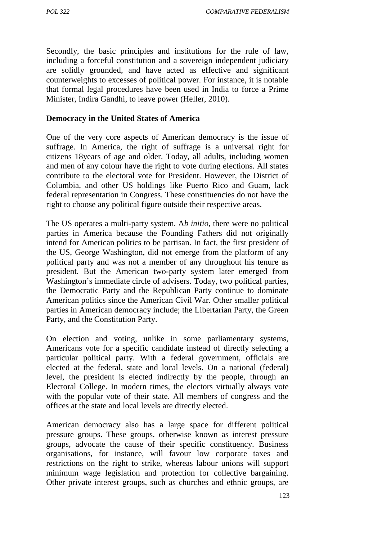Secondly, the basic principles and institutions for the rule of law, including a forceful constitution and a sovereign independent judiciary are solidly grounded, and have acted as effective and significant counterweights to excesses of political power. For instance, it is notable that formal legal procedures have been used in India to force a Prime Minister, Indira Gandhi, to leave power (Heller, 2010).

#### **Democracy in the United States of America**

One of the very core aspects of American democracy is the issue of suffrage. In America, the right of suffrage is a universal right for citizens 18years of age and older. Today, all adults, including women and men of any colour have the right to vote during elections. All states contribute to the electoral vote for President. However, the District of Columbia, and other US holdings like Puerto Rico and Guam, lack federal representation in Congress. These constituencies do not have the right to choose any political figure outside their respective areas.

The US operates a multi-party system. A*b initio*, there were no political parties in America because the Founding Fathers did not originally intend for American politics to be partisan. In fact, the first president of the US, George Washington, did not emerge from the platform of any political party and was not a member of any throughout his tenure as president. But the American two-party system later emerged from Washington's immediate circle of advisers. Today, two political parties, the Democratic Party and the Republican Party continue to dominate American politics since the American Civil War. Other smaller political parties in American democracy include; the Libertarian Party, the Green Party, and the Constitution Party.

On election and voting, unlike in some parliamentary systems, Americans vote for a specific candidate instead of directly selecting a particular political party. With a federal government, officials are elected at the federal, state and local levels. On a national (federal) level, the president is elected indirectly by the people, through an Electoral College. In modern times, the electors virtually always vote with the popular vote of their state. All members of congress and the offices at the state and local levels are directly elected.

American democracy also has a large space for different political pressure groups. These groups, otherwise known as interest pressure groups, advocate the cause of their specific constituency. Business organisations, for instance, will favour low corporate taxes and restrictions on the right to strike, whereas labour unions will support minimum wage legislation and protection for collective bargaining. Other private interest groups, such as churches and ethnic groups, are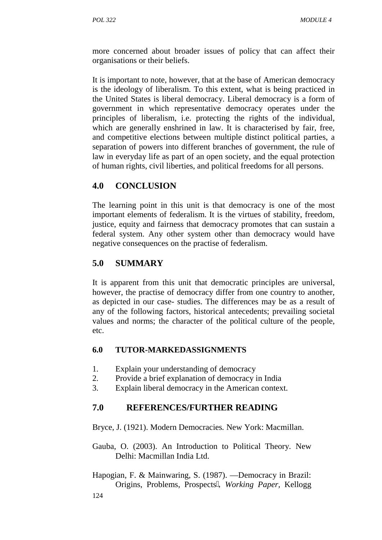more concerned about broader issues of policy that can affect their organisations or their beliefs.

It is important to note, however, that at the base of American democracy is the ideology of liberalism. To this extent, what is being practiced in the United States is liberal democracy. Liberal democracy is a form of government in which representative democracy operates under the principles of liberalism, i.e. protecting the rights of the individual, which are generally enshrined in law. It is characterised by fair, free, and competitive elections between multiple distinct political parties, a separation of powers into different branches of government, the rule of law in everyday life as part of an open society, and the equal protection of human rights, civil liberties, and political freedoms for all persons.

# **4.0 CONCLUSION**

The learning point in this unit is that democracy is one of the most important elements of federalism. It is the virtues of stability, freedom, justice, equity and fairness that democracy promotes that can sustain a federal system. Any other system other than democracy would have negative consequences on the practise of federalism.

# **5.0 SUMMARY**

It is apparent from this unit that democratic principles are universal, however, the practise of democracy differ from one country to another, as depicted in our case- studies. The differences may be as a result of any of the following factors, historical antecedents; prevailing societal values and norms; the character of the political culture of the people, etc.

## **6.0 TUTOR-MARKEDASSIGNMENTS**

- 1. Explain your understanding of democracy
- 2. Provide a brief explanation of democracy in India
- 3. Explain liberal democracy in the American context.

# **7.0 REFERENCES/FURTHER READING**

Bryce, J. (1921). Modern Democracies*.* New York: Macmillan.

- Gauba, O. (2003). An Introduction to Political Theory*.* New Delhi: Macmillan India Ltd.
- 124 Hapogian, F. & Mainwaring, S. (1987). Democracy in Brazil: Origins, Problems, Prospects‖, *Working Paper,* Kellogg